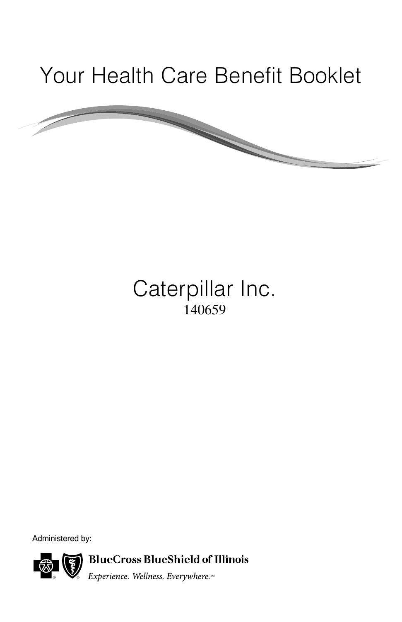# Your Health Care Benefit Booklet

## Caterpillar Inc. 140659

Administered by:

**BlueCross BlueShield of Illinois** 

Experience. Wellness. Everywhere.™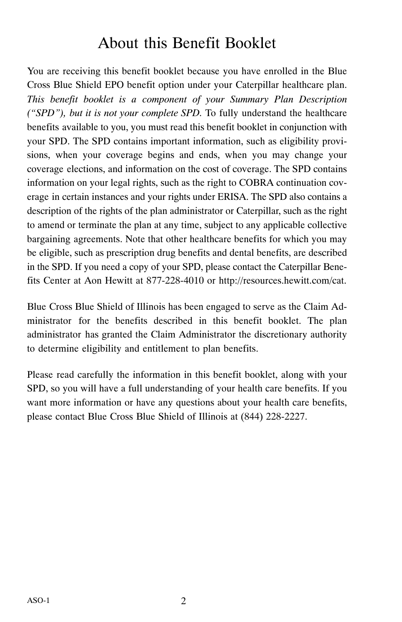## About this Benefit Booklet

You are receiving this benefit booklet because you have enrolled in the Blue Cross Blue Shield EPO benefit option under your Caterpillar healthcare plan. *This benefit booklet is a component of your Summary Plan Description ("SPD"), but it is not your complete SPD.* To fully understand the healthcare benefits available to you, you must read this benefit booklet in conjunction with your SPD. The SPD contains important information, such as eligibility provisions, when your coverage begins and ends, when you may change your coverage elections, and information on the cost of coverage. The SPD contains information on your legal rights, such as the right to COBRA continuation coverage in certain instances and your rights under ERISA. The SPD also contains a description of the rights of the plan administrator or Caterpillar, such as the right to amend or terminate the plan at any time, subject to any applicable collective bargaining agreements. Note that other healthcare benefits for which you may be eligible, such as prescription drug benefits and dental benefits, are described in the SPD. If you need a copy of your SPD, please contact the Caterpillar Benefits Center at Aon Hewitt at 877-228-4010 or http://resources.hewitt.com/cat.

Blue Cross Blue Shield of Illinois has been engaged to serve as the Claim Administrator for the benefits described in this benefit booklet. The plan administrator has granted the Claim Administrator the discretionary authority to determine eligibility and entitlement to plan benefits.

Please read carefully the information in this benefit booklet, along with your SPD, so you will have a full understanding of your health care benefits. If you want more information or have any questions about your health care benefits, please contact Blue Cross Blue Shield of Illinois at  $(844)$  228-2227.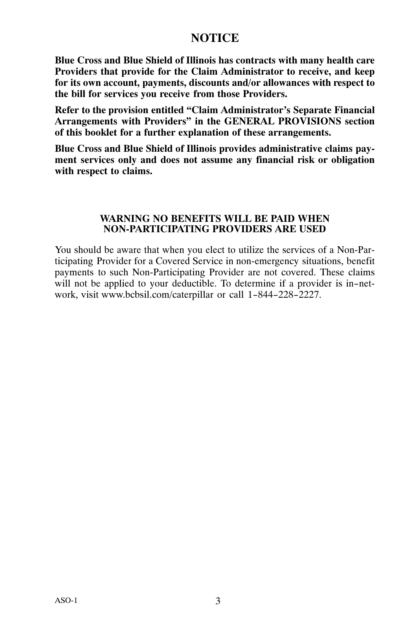#### **NOTICE**

<span id="page-2-0"></span>**Blue Cross and Blue Shield of Illinois has contracts with many health care Providers that provide for the Claim Administrator to receive, and keep for its own account, payments, discounts and/or allowances with respect to the bill for services you receive from those Providers.**

**Refer to the provision entitled "Claim Administrator's Separate Financial Arrangements with Providers" in the GENERAL PROVISIONS section of this booklet for a further explanation of these arrangements.**

**Blue Cross and Blue Shield of Illinois provides administrative claims payment services only and does not assume any financial risk or obligation with respect to claims.**

#### **WARNING NO BENEFITS WILL BE PAID WHEN NON‐PARTICIPATING PROVIDERS ARE USED**

You should be aware that when you elect to utilize the services of a Non-Participating Provider for a Covered Service in non‐emergency situations, benefit payments to such Non‐Participating Provider are not covered. These claims will not be applied to your deductible. To determine if a provider is in-network, visit www.bcbsil.com/caterpillar or call 1-844-228-2227.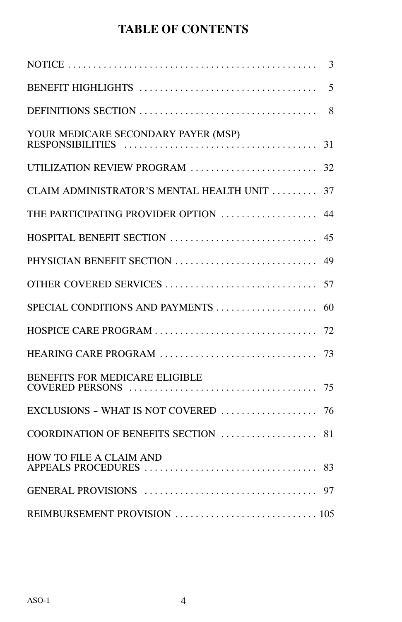### **TABLE OF CONTENTS**

|                                          | 3  |
|------------------------------------------|----|
|                                          | 5  |
|                                          | 8  |
| YOUR MEDICARE SECONDARY PAYER (MSP)      | 31 |
| UTILIZATION REVIEW PROGRAM               | 32 |
| CLAIM ADMINISTRATOR'S MENTAL HEALTH UNIT | 37 |
| THE PARTICIPATING PROVIDER OPTION        | 44 |
| HOSPITAL BENEFIT SECTION                 | 45 |
| PHYSICIAN BENEFIT SECTION                | 49 |
| OTHER COVERED SERVICES                   | 57 |
| SPECIAL CONDITIONS AND PAYMENTS          | 60 |
| HOSPICE CARE PROGRAM                     | 72 |
| HEARING CARE PROGRAM                     | 73 |
| BENEFITS FOR MEDICARE ELIGIBLE           | 75 |
| EXCLUSIONS - WHAT IS NOT COVERED         | 76 |
| COORDINATION OF BENEFITS SECTION         | 81 |
| HOW TO FILE A CLAIM AND                  | 83 |
|                                          |    |
|                                          |    |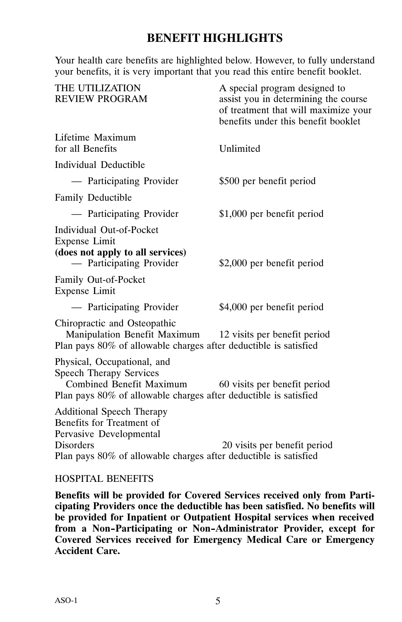#### **BENEFIT HIGHLIGHTS**

<span id="page-4-0"></span>Your health care benefits are highlighted below. However, to fully understand your benefits, it is very important that you read this entire benefit booklet.

| THE UTILIZATION<br>REVIEW PROGRAM                                                                                                                                         | A special program designed to<br>assist you in determining the course<br>of treatment that will maximize your<br>benefits under this benefit booklet |
|---------------------------------------------------------------------------------------------------------------------------------------------------------------------------|------------------------------------------------------------------------------------------------------------------------------------------------------|
| Lifetime Maximum<br>for all Benefits                                                                                                                                      | Unlimited                                                                                                                                            |
| Individual Deductible                                                                                                                                                     |                                                                                                                                                      |
| - Participating Provider                                                                                                                                                  | \$500 per benefit period                                                                                                                             |
| <b>Family Deductible</b>                                                                                                                                                  |                                                                                                                                                      |
| — Participating Provider                                                                                                                                                  | \$1,000 per benefit period                                                                                                                           |
| Individual Out-of-Pocket<br>Expense Limit<br>(does not apply to all services)<br>- Participating Provider                                                                 | \$2,000 per benefit period                                                                                                                           |
| Family Out-of-Pocket<br>Expense Limit                                                                                                                                     |                                                                                                                                                      |
| - Participating Provider                                                                                                                                                  | \$4,000 per benefit period                                                                                                                           |
| Chiropractic and Osteopathic<br>Manipulation Benefit Maximum 12 visits per benefit period<br>Plan pays 80% of allowable charges after deductible is satisfied             |                                                                                                                                                      |
| Physical, Occupational, and<br><b>Speech Therapy Services</b><br>Combined Benefit Maximum<br>Plan pays 80% of allowable charges after deductible is satisfied             | 60 visits per benefit period                                                                                                                         |
| <b>Additional Speech Therapy</b><br>Benefits for Treatment of<br>Pervasive Developmental<br>Disorders<br>Plan pays 80% of allowable charges after deductible is satisfied | 20 visits per benefit period                                                                                                                         |
|                                                                                                                                                                           |                                                                                                                                                      |

#### HOSPITAL BENEFITS

**Benefits will be provided for Covered Services received only from Participating Providers once the deductible has been satisfied. No benefits will be provided for Inpatient or Outpatient Hospital services when received from a Non-Participating or Non-Administrator Provider, except for Covered Services received for Emergency Medical Care or Emergency Accident Care.**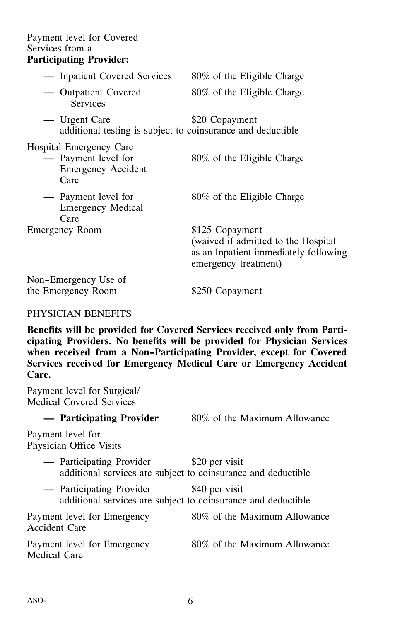#### Payment level for Covered Services from a

#### **Participating Provider:**

| - Inpatient Covered Services                                                               | 80% of the Eligible Charge                                                                                              |
|--------------------------------------------------------------------------------------------|-------------------------------------------------------------------------------------------------------------------------|
| — Outpatient Covered<br><b>Services</b>                                                    | 80% of the Eligible Charge                                                                                              |
| — Urgent Care<br>additional testing is subject to coinsurance and deductible               | \$20 Copayment                                                                                                          |
| <b>Hospital Emergency Care</b><br>— Payment level for<br><b>Emergency Accident</b><br>Care | 80% of the Eligible Charge                                                                                              |
| — Payment level for<br><b>Emergency Medical</b><br>Care                                    | 80% of the Eligible Charge                                                                                              |
| Emergency Room                                                                             | \$125 Copayment<br>(waived if admitted to the Hospital<br>as an Inpatient immediately following<br>emergency treatment) |
| Non-Emergency Use of                                                                       |                                                                                                                         |
| the Emergency Room                                                                         | \$250 Copayment                                                                                                         |

#### PHYSICIAN BENEFITS

**Benefits will be provided for Covered Services received only from Participating Providers. No benefits will be provided for Physician Services when received from a Non-Participating Provider, except for Covered Services received for Emergency Medical Care or Emergency Accident Care.**

Payment level for Surgical/ Medical Covered Services

| - Participating Provider                                                                  | 80% of the Maximum Allowance |
|-------------------------------------------------------------------------------------------|------------------------------|
| Payment level for<br>Physician Office Visits                                              |                              |
| — Participating Provider<br>additional services are subject to coinsurance and deductible | \$20 per visit               |
| — Participating Provider<br>additional services are subject to coinsurance and deductible | \$40 per visit               |
| Payment level for Emergency<br>Accident Care                                              | 80% of the Maximum Allowance |
| Payment level for Emergency<br>Medical Care                                               | 80% of the Maximum Allowance |
|                                                                                           |                              |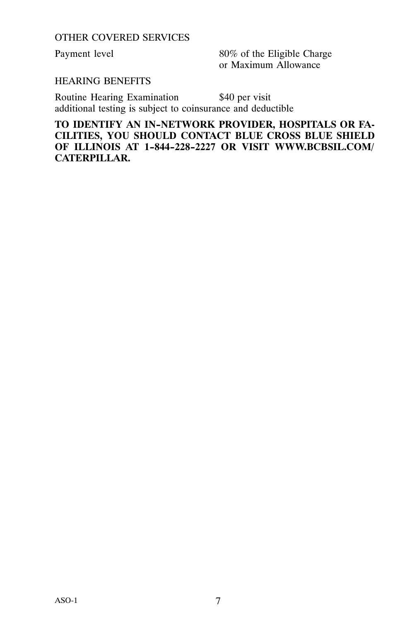OTHER COVERED SERVICES

Payment level 80% of the Eligible Charge or Maximum Allowance

#### HEARING BENEFITS

Routine Hearing Examination \$40 per visit additional testing is subject to coinsurance and deductible

**TO IDENTIFY AN IN-NETWORK PROVIDER, HOSPITALS OR FA-CILITIES, YOU SHOULD CONTACT BLUE CROSS BLUE SHIELD OF ILLINOIS AT 1-844-228-2227 OR VISIT WWW.BCBSIL.COM/ CATERPILLAR.**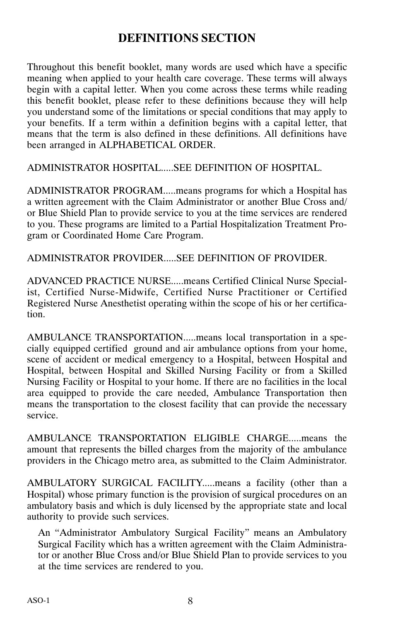#### **DEFINITIONS SECTION**

<span id="page-7-0"></span>Throughout this benefit booklet, many words are used which have a specific meaning when applied to your health care coverage. These terms will always begin with a capital letter. When you come across these terms while reading this benefit booklet, please refer to these definitions because they will help you understand some of the limitations or special conditions that may apply to your benefits. If a term within a definition begins with a capital letter, that means that the term is also defined in these definitions. All definitions have been arranged in ALPHABETICAL ORDER.

ADMINISTRATOR HOSPITAL.....SEE DEFINITION OF HOSPITAL.

ADMINISTRATOR PROGRAM.....means programs for which a Hospital has a written agreement with the Claim Administrator or another Blue Cross and/ or Blue Shield Plan to provide service to you at the time services are rendered to you. These programs are limited to a Partial Hospitalization Treatment Program or Coordinated Home Care Program.

ADMINISTRATOR PROVIDER.....SEE DEFINITION OF PROVIDER.

ADVANCED PRACTICE NURSE.....means Certified Clinical Nurse Specialist, Certified Nurse‐Midwife, Certified Nurse Practitioner or Certified Registered Nurse Anesthetist operating within the scope of his or her certification.

AMBULANCE TRANSPORTATION.....means local transportation in a specially equipped certified ground and air ambulance options from your home, scene of accident or medical emergency to a Hospital, between Hospital and Hospital, between Hospital and Skilled Nursing Facility or from a Skilled Nursing Facility or Hospital to your home. If there are no facilities in the local area equipped to provide the care needed, Ambulance Transportation then means the transportation to the closest facility that can provide the necessary service.

AMBULANCE TRANSPORTATION ELIGIBLE CHARGE.....means the amount that represents the billed charges from the majority of the ambulance providers in the Chicago metro area, as submitted to the Claim Administrator.

AMBULATORY SURGICAL FACILITY.....means a facility (other than a Hospital) whose primary function is the provision of surgical procedures on an ambulatory basis and which is duly licensed by the appropriate state and local authority to provide such services.

An "Administrator Ambulatory Surgical Facility" means an Ambulatory Surgical Facility which has a written agreement with the Claim Administrator or another Blue Cross and/or Blue Shield Plan to provide services to you at the time services are rendered to you.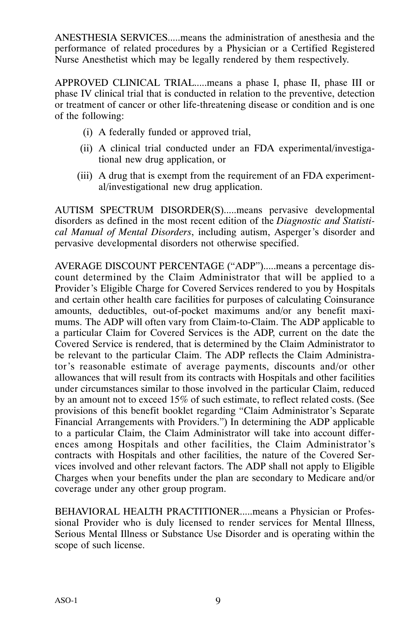ANESTHESIA SERVICES.....means the administration of anesthesia and the performance of related procedures by a Physician or a Certified Registered Nurse Anesthetist which may be legally rendered by them respectively.

APPROVED CLINICAL TRIAL.....means a phase I, phase II, phase III or phase IV clinical trial that is conducted in relation to the preventive, detection or treatment of cancer or other life-threatening disease or condition and is one of the following:

- (i) A federally funded or approved trial,
- (ii) A clinical trial conducted under an FDA experimental/investigational new drug application, or
- (iii) A drug that is exempt from the requirement of an FDA experimental/investigational new drug application.

AUTISM SPECTRUM DISORDER(S).....means pervasive developmental disorders as defined in the most recent edition of the *Diagnostic and Statistical Manual of Mental Disorders*, including autism, Asperger's disorder and pervasive developmental disorders not otherwise specified.

AVERAGE DISCOUNT PERCENTAGE ("ADP").....means a percentage discount determined by the Claim Administrator that will be applied to a Provider's Eligible Charge for Covered Services rendered to you by Hospitals and certain other health care facilities for purposes of calculating Coinsurance amounts, deductibles, out‐of‐pocket maximums and/or any benefit maximums. The ADP will often vary from Claim‐to‐Claim. The ADP applicable to a particular Claim for Covered Services is the ADP, current on the date the Covered Service is rendered, that is determined by the Claim Administrator to be relevant to the particular Claim. The ADP reflects the Claim Administrator's reasonable estimate of average payments, discounts and/or other allowances that will result from its contracts with Hospitals and other facilities under circumstances similar to those involved in the particular Claim, reduced by an amount not to exceed 15% of such estimate, to reflect related costs. (See provisions of this benefit booklet regarding "Claim Administrator's Separate Financial Arrangements with Providers.") In determining the ADP applicable to a particular Claim, the Claim Administrator will take into account differences among Hospitals and other facilities, the Claim Administrator's contracts with Hospitals and other facilities, the nature of the Covered Services involved and other relevant factors. The ADP shall not apply to Eligible Charges when your benefits under the plan are secondary to Medicare and/or coverage under any other group program.

BEHAVIORAL HEALTH PRACTITIONER.....means a Physician or Professional Provider who is duly licensed to render services for Mental Illness, Serious Mental Illness or Substance Use Disorder and is operating within the scope of such license.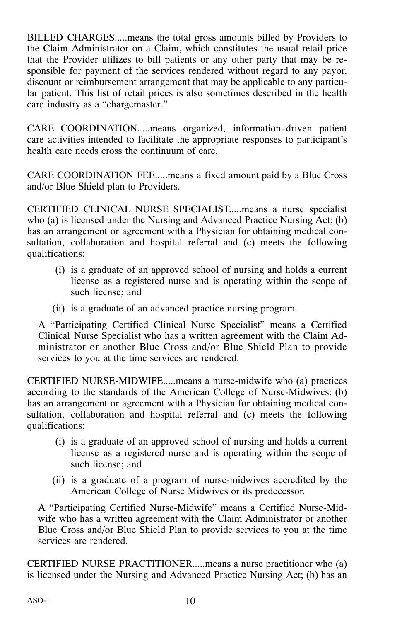BILLED CHARGES.....means the total gross amounts billed by Providers to the Claim Administrator on a Claim, which constitutes the usual retail price that the Provider utilizes to bill patients or any other party that may be responsible for payment of the services rendered without regard to any payor, discount or reimbursement arrangement that may be applicable to any particular patient. This list of retail prices is also sometimes described in the health care industry as a "chargemaster."

CARE COORDINATION.....means organized, information-driven patient care activities intended to facilitate the appropriate responses to participant's health care needs cross the continuum of care.

CARE COORDINATION FEE.....means a fixed amount paid by a Blue Cross and/or Blue Shield plan to Providers.

CERTIFIED CLINICAL NURSE SPECIALIST.....means a nurse specialist who (a) is licensed under the Nursing and Advanced Practice Nursing Act; (b) has an arrangement or agreement with a Physician for obtaining medical consultation, collaboration and hospital referral and (c) meets the following qualifications:

- (i) is a graduate of an approved school of nursing and holds a current license as a registered nurse and is operating within the scope of such license; and
- (ii) is a graduate of an advanced practice nursing program.

A "Participating Certified Clinical Nurse Specialist" means a Certified Clinical Nurse Specialist who has a written agreement with the Claim Administrator or another Blue Cross and/or Blue Shield Plan to provide services to you at the time services are rendered.

CERTIFIED NURSE‐MIDWIFE.....means a nurse‐midwife who (a) practices according to the standards of the American College of Nurse‐Midwives; (b) has an arrangement or agreement with a Physician for obtaining medical consultation, collaboration and hospital referral and (c) meets the following qualifications:

- (i) is a graduate of an approved school of nursing and holds a current license as a registered nurse and is operating within the scope of such license; and
- (ii) is a graduate of a program of nurse‐midwives accredited by the American College of Nurse Midwives or its predecessor.

A "Participating Certified Nurse‐Midwife" means a Certified Nurse‐Midwife who has a written agreement with the Claim Administrator or another Blue Cross and/or Blue Shield Plan to provide services to you at the time services are rendered.

CERTIFIED NURSE PRACTITIONER.....means a nurse practitioner who (a) is licensed under the Nursing and Advanced Practice Nursing Act; (b) has an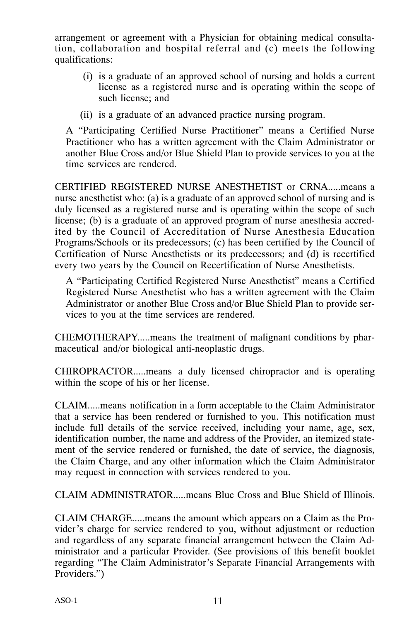arrangement or agreement with a Physician for obtaining medical consultation, collaboration and hospital referral and (c) meets the following qualifications:

- (i) is a graduate of an approved school of nursing and holds a current license as a registered nurse and is operating within the scope of such license; and
- (ii) is a graduate of an advanced practice nursing program.

A "Participating Certified Nurse Practitioner" means a Certified Nurse Practitioner who has a written agreement with the Claim Administrator or another Blue Cross and/or Blue Shield Plan to provide services to you at the time services are rendered.

CERTIFIED REGISTERED NURSE ANESTHETIST or CRNA.....means a nurse anesthetist who: (a) is a graduate of an approved school of nursing and is duly licensed as a registered nurse and is operating within the scope of such license; (b) is a graduate of an approved program of nurse anesthesia accredited by the Council of Accreditation of Nurse Anesthesia Education Programs/Schools or its predecessors; (c) has been certified by the Council of Certification of Nurse Anesthetists or its predecessors; and (d) is recertified every two years by the Council on Recertification of Nurse Anesthetists.

A "Participating Certified Registered Nurse Anesthetist" means a Certified Registered Nurse Anesthetist who has a written agreement with the Claim Administrator or another Blue Cross and/or Blue Shield Plan to provide services to you at the time services are rendered.

CHEMOTHERAPY.....means the treatment of malignant conditions by pharmaceutical and/or biological anti‐neoplastic drugs.

CHIROPRACTOR.....means a duly licensed chiropractor and is operating within the scope of his or her license.

CLAIM.....means notification in a form acceptable to the Claim Administrator that a service has been rendered or furnished to you. This notification must include full details of the service received, including your name, age, sex, identification number, the name and address of the Provider, an itemized statement of the service rendered or furnished, the date of service, the diagnosis, the Claim Charge, and any other information which the Claim Administrator may request in connection with services rendered to you.

CLAIM ADMINISTRATOR.....means Blue Cross and Blue Shield of Illinois.

CLAIM CHARGE.....means the amount which appears on a Claim as the Provider's charge for service rendered to you, without adjustment or reduction and regardless of any separate financial arrangement between the Claim Administrator and a particular Provider. (See provisions of this benefit booklet regarding "The Claim Administrator's Separate Financial Arrangements with Providers.")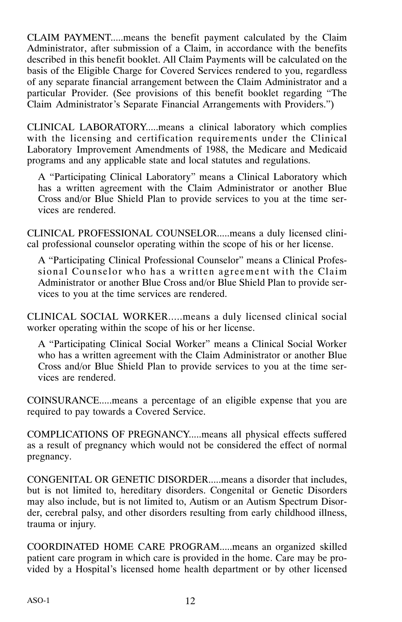CLAIM PAYMENT.....means the benefit payment calculated by the Claim Administrator, after submission of a Claim, in accordance with the benefits described in this benefit booklet. All Claim Payments will be calculated on the basis of the Eligible Charge for Covered Services rendered to you, regardless of any separate financial arrangement between the Claim Administrator and a particular Provider. (See provisions of this benefit booklet regarding "The Claim Administrator's Separate Financial Arrangements with Providers.")

CLINICAL LABORATORY.....means a clinical laboratory which complies with the licensing and certification requirements under the Clinical Laboratory Improvement Amendments of 1988, the Medicare and Medicaid programs and any applicable state and local statutes and regulations.

A "Participating Clinical Laboratory" means a Clinical Laboratory which has a written agreement with the Claim Administrator or another Blue Cross and/or Blue Shield Plan to provide services to you at the time services are rendered.

CLINICAL PROFESSIONAL COUNSELOR.....means a duly licensed clinical professional counselor operating within the scope of his or her license.

A "Participating Clinical Professional Counselor" means a Clinical Professional Counselor who has a written agreement with the Claim Administrator or another Blue Cross and/or Blue Shield Plan to provide services to you at the time services are rendered.

CLINICAL SOCIAL WORKER.....means a duly licensed clinical social worker operating within the scope of his or her license.

A "Participating Clinical Social Worker" means a Clinical Social Worker who has a written agreement with the Claim Administrator or another Blue Cross and/or Blue Shield Plan to provide services to you at the time services are rendered.

COINSURANCE.....means a percentage of an eligible expense that you are required to pay towards a Covered Service.

COMPLICATIONS OF PREGNANCY.....means all physical effects suffered as a result of pregnancy which would not be considered the effect of normal pregnancy.

CONGENITAL OR GENETIC DISORDER.....means a disorder that includes, but is not limited to, hereditary disorders. Congenital or Genetic Disorders may also include, but is not limited to, Autism or an Autism Spectrum Disorder, cerebral palsy, and other disorders resulting from early childhood illness, trauma or injury.

COORDINATED HOME CARE PROGRAM.....means an organized skilled patient care program in which care is provided in the home. Care may be provided by a Hospital's licensed home health department or by other licensed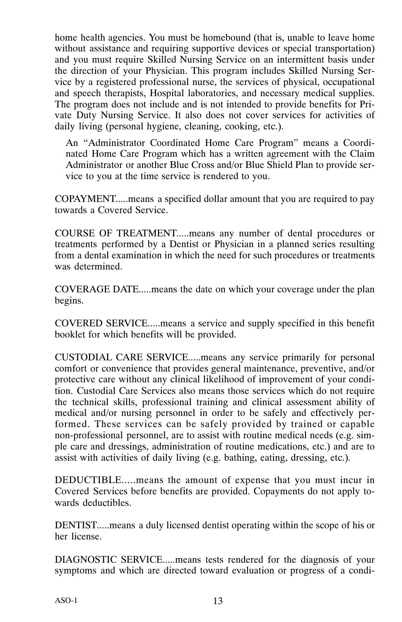home health agencies. You must be homebound (that is, unable to leave home without assistance and requiring supportive devices or special transportation) and you must require Skilled Nursing Service on an intermittent basis under the direction of your Physician. This program includes Skilled Nursing Service by a registered professional nurse, the services of physical, occupational and speech therapists, Hospital laboratories, and necessary medical supplies. The program does not include and is not intended to provide benefits for Private Duty Nursing Service. It also does not cover services for activities of daily living (personal hygiene, cleaning, cooking, etc.).

An "Administrator Coordinated Home Care Program" means a Coordinated Home Care Program which has a written agreement with the Claim Administrator or another Blue Cross and/or Blue Shield Plan to provide service to you at the time service is rendered to you.

COPAYMENT.....means a specified dollar amount that you are required to pay towards a Covered Service.

COURSE OF TREATMENT.....means any number of dental procedures or treatments performed by a Dentist or Physician in a planned series resulting from a dental examination in which the need for such procedures or treatments was determined.

COVERAGE DATE.....means the date on which your coverage under the plan begins.

COVERED SERVICE.....means a service and supply specified in this benefit booklet for which benefits will be provided.

CUSTODIAL CARE SERVICE.....means any service primarily for personal comfort or convenience that provides general maintenance, preventive, and/or protective care without any clinical likelihood of improvement of your condition. Custodial Care Services also means those services which do not require the technical skills, professional training and clinical assessment ability of medical and/or nursing personnel in order to be safely and effectively performed. These services can be safely provided by trained or capable non‐professional personnel, are to assist with routine medical needs (e.g. simple care and dressings, administration of routine medications, etc.) and are to assist with activities of daily living (e.g. bathing, eating, dressing, etc.).

DEDUCTIBLE.....means the amount of expense that you must incur in Covered Services before benefits are provided. Copayments do not apply towards deductibles.

DENTIST.....means a duly licensed dentist operating within the scope of his or her license.

DIAGNOSTIC SERVICE.....means tests rendered for the diagnosis of your symptoms and which are directed toward evaluation or progress of a condi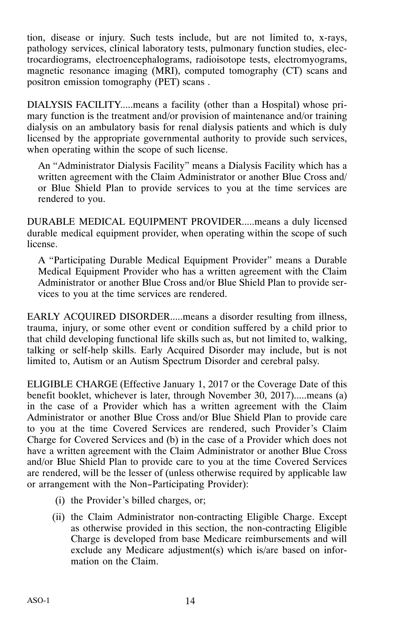tion, disease or injury. Such tests include, but are not limited to, x‐rays, pathology services, clinical laboratory tests, pulmonary function studies, electrocardiograms, electroencephalograms, radioisotope tests, electromyograms, magnetic resonance imaging (MRI), computed tomography (CT) scans and positron emission tomography (PET) scans .

DIALYSIS FACILITY.....means a facility (other than a Hospital) whose primary function is the treatment and/or provision of maintenance and/or training dialysis on an ambulatory basis for renal dialysis patients and which is duly licensed by the appropriate governmental authority to provide such services, when operating within the scope of such license.

An "Administrator Dialysis Facility" means a Dialysis Facility which has a written agreement with the Claim Administrator or another Blue Cross and/ or Blue Shield Plan to provide services to you at the time services are rendered to you.

DURABLE MEDICAL EQUIPMENT PROVIDER.....means a duly licensed durable medical equipment provider, when operating within the scope of such license.

A "Participating Durable Medical Equipment Provider" means a Durable Medical Equipment Provider who has a written agreement with the Claim Administrator or another Blue Cross and/or Blue Shield Plan to provide services to you at the time services are rendered.

EARLY ACQUIRED DISORDER.....means a disorder resulting from illness, trauma, injury, or some other event or condition suffered by a child prior to that child developing functional life skills such as, but not limited to, walking, talking or self‐help skills. Early Acquired Disorder may include, but is not limited to, Autism or an Autism Spectrum Disorder and cerebral palsy.

ELIGIBLE CHARGE (Effective January 1, 2017 or the Coverage Date of this benefit booklet, whichever is later, through November 30, 2017).....means (a) in the case of a Provider which has a written agreement with the Claim Administrator or another Blue Cross and/or Blue Shield Plan to provide care to you at the time Covered Services are rendered, such Provider's Claim Charge for Covered Services and (b) in the case of a Provider which does not have a written agreement with the Claim Administrator or another Blue Cross and/or Blue Shield Plan to provide care to you at the time Covered Services are rendered, will be the lesser of (unless otherwise required by applicable law or arrangement with the Non-Participating Provider):

- (i) the Provider's billed charges, or;
- (ii) the Claim Administrator non‐contracting Eligible Charge. Except as otherwise provided in this section, the non‐contracting Eligible Charge is developed from base Medicare reimbursements and will exclude any Medicare adjustment(s) which is/are based on information on the Claim.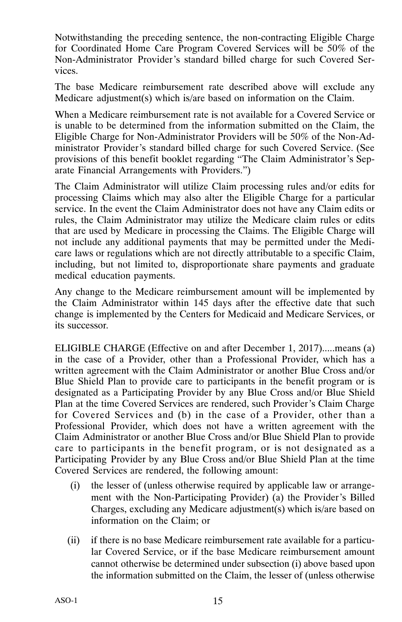Notwithstanding the preceding sentence, the non‐contracting Eligible Charge for Coordinated Home Care Program Covered Services will be 50% of the Non‐Administrator Provider's standard billed charge for such Covered Services.

The base Medicare reimbursement rate described above will exclude any Medicare adjustment(s) which is/are based on information on the Claim.

When a Medicare reimbursement rate is not available for a Covered Service or is unable to be determined from the information submitted on the Claim, the Eligible Charge for Non‐Administrator Providers will be 50% of the Non‐Administrator Provider's standard billed charge for such Covered Service. (See provisions of this benefit booklet regarding "The Claim Administrator's Separate Financial Arrangements with Providers.")

The Claim Administrator will utilize Claim processing rules and/or edits for processing Claims which may also alter the Eligible Charge for a particular service. In the event the Claim Administrator does not have any Claim edits or rules, the Claim Administrator may utilize the Medicare claim rules or edits that are used by Medicare in processing the Claims. The Eligible Charge will not include any additional payments that may be permitted under the Medicare laws or regulations which are not directly attributable to a specific Claim, including, but not limited to, disproportionate share payments and graduate medical education payments.

Any change to the Medicare reimbursement amount will be implemented by the Claim Administrator within 145 days after the effective date that such change is implemented by the Centers for Medicaid and Medicare Services, or its successor.

ELIGIBLE CHARGE (Effective on and after December 1, 2017).....means (a) in the case of a Provider, other than a Professional Provider, which has a written agreement with the Claim Administrator or another Blue Cross and/or Blue Shield Plan to provide care to participants in the benefit program or is designated as a Participating Provider by any Blue Cross and/or Blue Shield Plan at the time Covered Services are rendered, such Provider's Claim Charge for Covered Services and (b) in the case of a Provider, other than a Professional Provider, which does not have a written agreement with the Claim Administrator or another Blue Cross and/or Blue Shield Plan to provide care to participants in the benefit program, or is not designated as a Participating Provider by any Blue Cross and/or Blue Shield Plan at the time Covered Services are rendered, the following amount:

- (i) the lesser of (unless otherwise required by applicable law or arrangement with the Non‐Participating Provider) (a) the Provider's Billed Charges, excluding any Medicare adjustment(s) which is/are based on information on the Claim; or
- (ii) if there is no base Medicare reimbursement rate available for a particular Covered Service, or if the base Medicare reimbursement amount cannot otherwise be determined under subsection (i) above based upon the information submitted on the Claim, the lesser of (unless otherwise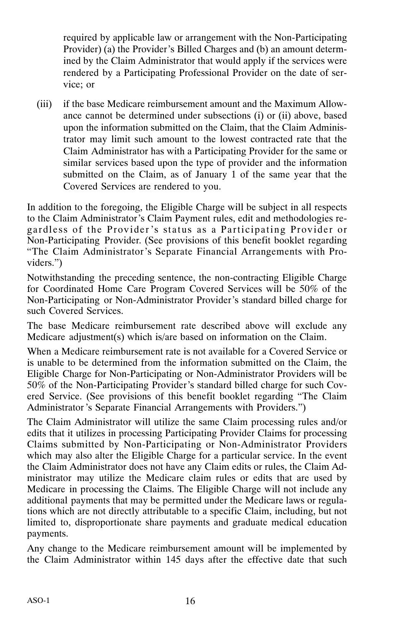required by applicable law or arrangement with the Non‐Participating Provider) (a) the Provider's Billed Charges and (b) an amount determined by the Claim Administrator that would apply if the services were rendered by a Participating Professional Provider on the date of service; or

(iii) if the base Medicare reimbursement amount and the Maximum Allowance cannot be determined under subsections (i) or (ii) above, based upon the information submitted on the Claim, that the Claim Administrator may limit such amount to the lowest contracted rate that the Claim Administrator has with a Participating Provider for the same or similar services based upon the type of provider and the information submitted on the Claim, as of January 1 of the same year that the Covered Services are rendered to you.

In addition to the foregoing, the Eligible Charge will be subject in all respects to the Claim Administrator's Claim Payment rules, edit and methodologies regardless of the Provider 's status as a Participating Provider or Non‐Participating Provider. (See provisions of this benefit booklet regarding "The Claim Administrator's Separate Financial Arrangements with Providers.")

Notwithstanding the preceding sentence, the non‐contracting Eligible Charge for Coordinated Home Care Program Covered Services will be 50% of the Non‐Participating or Non‐Administrator Provider's standard billed charge for such Covered Services.

The base Medicare reimbursement rate described above will exclude any Medicare adjustment(s) which is/are based on information on the Claim.

When a Medicare reimbursement rate is not available for a Covered Service or is unable to be determined from the information submitted on the Claim, the Eligible Charge for Non‐Participating or Non‐Administrator Providers will be 50% of the Non‐Participating Provider's standard billed charge for such Covered Service. (See provisions of this benefit booklet regarding "The Claim Administrator 's Separate Financial Arrangements with Providers.")

The Claim Administrator will utilize the same Claim processing rules and/or edits that it utilizes in processing Participating Provider Claims for processing Claims submitted by Non‐Participating or Non‐Administrator Providers which may also alter the Eligible Charge for a particular service. In the event the Claim Administrator does not have any Claim edits or rules, the Claim Administrator may utilize the Medicare claim rules or edits that are used by Medicare in processing the Claims. The Eligible Charge will not include any additional payments that may be permitted under the Medicare laws or regulations which are not directly attributable to a specific Claim, including, but not limited to, disproportionate share payments and graduate medical education payments.

Any change to the Medicare reimbursement amount will be implemented by the Claim Administrator within 145 days after the effective date that such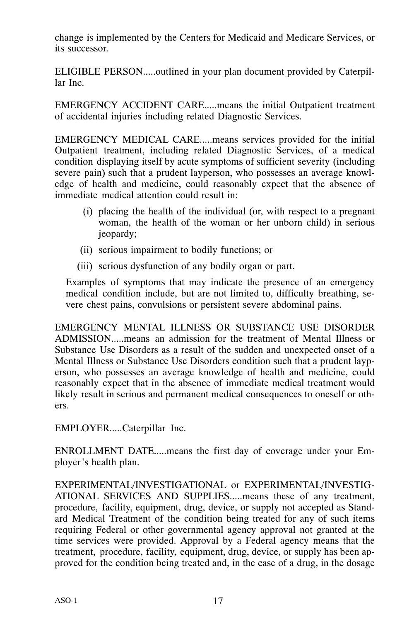change is implemented by the Centers for Medicaid and Medicare Services, or its successor.

ELIGIBLE PERSON.....outlined in your plan document provided by Caterpillar Inc.

EMERGENCY ACCIDENT CARE.....means the initial Outpatient treatment of accidental injuries including related Diagnostic Services.

EMERGENCY MEDICAL CARE.....means services provided for the initial Outpatient treatment, including related Diagnostic Services, of a medical condition displaying itself by acute symptoms of sufficient severity (including severe pain) such that a prudent layperson, who possesses an average knowledge of health and medicine, could reasonably expect that the absence of immediate medical attention could result in:

- (i) placing the health of the individual (or, with respect to a pregnant woman, the health of the woman or her unborn child) in serious jeopardy;
- (ii) serious impairment to bodily functions; or
- (iii) serious dysfunction of any bodily organ or part.

Examples of symptoms that may indicate the presence of an emergency medical condition include, but are not limited to, difficulty breathing, severe chest pains, convulsions or persistent severe abdominal pains.

EMERGENCY MENTAL ILLNESS OR SUBSTANCE USE DISORDER ADMISSION.....means an admission for the treatment of Mental Illness or Substance Use Disorders as a result of the sudden and unexpected onset of a Mental Illness or Substance Use Disorders condition such that a prudent layperson, who possesses an average knowledge of health and medicine, could reasonably expect that in the absence of immediate medical treatment would likely result in serious and permanent medical consequences to oneself or others.

EMPLOYER.....Caterpillar Inc.

ENROLLMENT DATE.....means the first day of coverage under your Employer's health plan.

EXPERIMENTAL/INVESTIGATIONAL or EXPERIMENTAL/INVESTIG-ATIONAL SERVICES AND SUPPLIES.....means these of any treatment, procedure, facility, equipment, drug, device, or supply not accepted as Standard Medical Treatment of the condition being treated for any of such items requiring Federal or other governmental agency approval not granted at the time services were provided. Approval by a Federal agency means that the treatment, procedure, facility, equipment, drug, device, or supply has been approved for the condition being treated and, in the case of a drug, in the dosage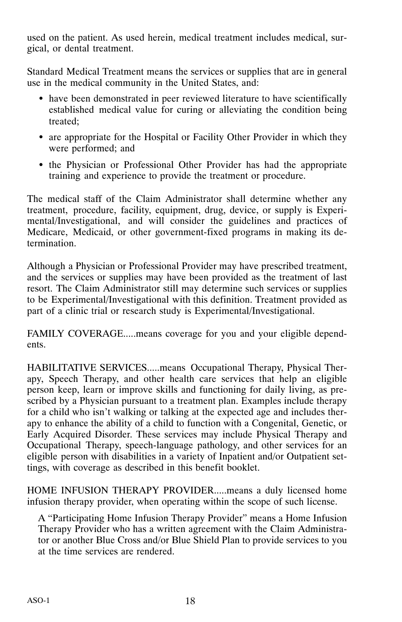used on the patient. As used herein, medical treatment includes medical, surgical, or dental treatment.

Standard Medical Treatment means the services or supplies that are in general use in the medical community in the United States, and:

- have been demonstrated in peer reviewed literature to have scientifically established medical value for curing or alleviating the condition being treated;
- are appropriate for the Hospital or Facility Other Provider in which they were performed; and
- the Physician or Professional Other Provider has had the appropriate training and experience to provide the treatment or procedure.

The medical staff of the Claim Administrator shall determine whether any treatment, procedure, facility, equipment, drug, device, or supply is Experimental/Investigational, and will consider the guidelines and practices of Medicare, Medicaid, or other government-fixed programs in making its determination.

Although a Physician or Professional Provider may have prescribed treatment, and the services or supplies may have been provided as the treatment of last resort. The Claim Administrator still may determine such services or supplies to be Experimental/Investigational with this definition. Treatment provided as part of a clinic trial or research study is Experimental/Investigational.

FAMILY COVERAGE.....means coverage for you and your eligible dependents.

HABILITATIVE SERVICES.....means Occupational Therapy, Physical Therapy, Speech Therapy, and other health care services that help an eligible person keep, learn or improve skills and functioning for daily living, as prescribed by a Physician pursuant to a treatment plan. Examples include therapy for a child who isn't walking or talking at the expected age and includes therapy to enhance the ability of a child to function with a Congenital, Genetic, or Early Acquired Disorder. These services may include Physical Therapy and Occupational Therapy, speech‐language pathology, and other services for an eligible person with disabilities in a variety of Inpatient and/or Outpatient settings, with coverage as described in this benefit booklet.

HOME INFUSION THERAPY PROVIDER.....means a duly licensed home infusion therapy provider, when operating within the scope of such license.

A "Participating Home Infusion Therapy Provider" means a Home Infusion Therapy Provider who has a written agreement with the Claim Administrator or another Blue Cross and/or Blue Shield Plan to provide services to you at the time services are rendered.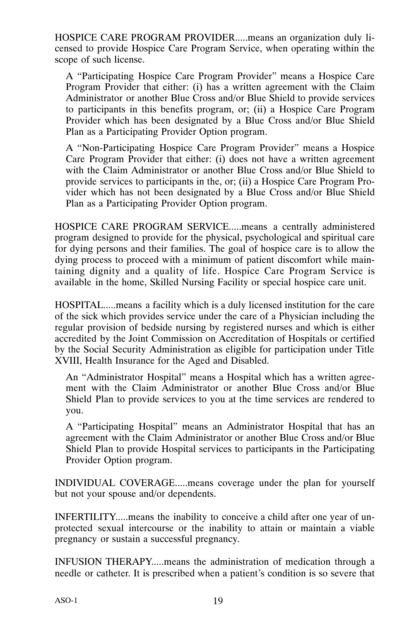HOSPICE CARE PROGRAM PROVIDER.....means an organization duly licensed to provide Hospice Care Program Service, when operating within the scope of such license.

A "Participating Hospice Care Program Provider" means a Hospice Care Program Provider that either: (i) has a written agreement with the Claim Administrator or another Blue Cross and/or Blue Shield to provide services to participants in this benefits program, or; (ii) a Hospice Care Program Provider which has been designated by a Blue Cross and/or Blue Shield Plan as a Participating Provider Option program.

A "Non‐Participating Hospice Care Program Provider" means a Hospice Care Program Provider that either: (i) does not have a written agreement with the Claim Administrator or another Blue Cross and/or Blue Shield to provide services to participants in the, or; (ii) a Hospice Care Program Provider which has not been designated by a Blue Cross and/or Blue Shield Plan as a Participating Provider Option program.

HOSPICE CARE PROGRAM SERVICE.....means a centrally administered program designed to provide for the physical, psychological and spiritual care for dying persons and their families. The goal of hospice care is to allow the dying process to proceed with a minimum of patient discomfort while maintaining dignity and a quality of life. Hospice Care Program Service is available in the home, Skilled Nursing Facility or special hospice care unit.

HOSPITAL.....means a facility which is a duly licensed institution for the care of the sick which provides service under the care of a Physician including the regular provision of bedside nursing by registered nurses and which is either accredited by the Joint Commission on Accreditation of Hospitals or certified by the Social Security Administration as eligible for participation under Title XVIII, Health Insurance for the Aged and Disabled.

An "Administrator Hospital" means a Hospital which has a written agreement with the Claim Administrator or another Blue Cross and/or Blue Shield Plan to provide services to you at the time services are rendered to you.

A "Participating Hospital" means an Administrator Hospital that has an agreement with the Claim Administrator or another Blue Cross and/or Blue Shield Plan to provide Hospital services to participants in the Participating Provider Option program.

INDIVIDUAL COVERAGE.....means coverage under the plan for yourself but not your spouse and/or dependents.

INFERTILITY.....means the inability to conceive a child after one year of unprotected sexual intercourse or the inability to attain or maintain a viable pregnancy or sustain a successful pregnancy.

INFUSION THERAPY.....means the administration of medication through a needle or catheter. It is prescribed when a patient's condition is so severe that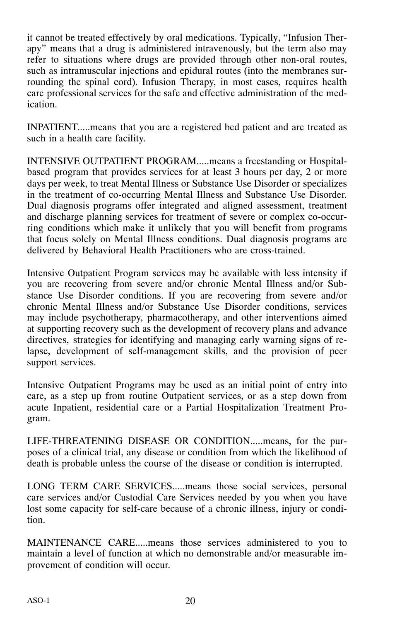it cannot be treated effectively by oral medications. Typically, "Infusion Therapy" means that a drug is administered intravenously, but the term also may refer to situations where drugs are provided through other non-oral routes, such as intramuscular injections and epidural routes (into the membranes surrounding the spinal cord). Infusion Therapy, in most cases, requires health care professional services for the safe and effective administration of the medication.

INPATIENT.....means that you are a registered bed patient and are treated as such in a health care facility.

INTENSIVE OUTPATIENT PROGRAM.....means a freestanding or Hospital‐ based program that provides services for at least 3 hours per day, 2 or more days per week, to treat Mental Illness or Substance Use Disorder or specializes in the treatment of co-occurring Mental Illness and Substance Use Disorder. Dual diagnosis programs offer integrated and aligned assessment, treatment and discharge planning services for treatment of severe or complex co-occurring conditions which make it unlikely that you will benefit from programs that focus solely on Mental Illness conditions. Dual diagnosis programs are delivered by Behavioral Health Practitioners who are cross‐trained.

Intensive Outpatient Program services may be available with less intensity if you are recovering from severe and/or chronic Mental Illness and/or Substance Use Disorder conditions. If you are recovering from severe and/or chronic Mental Illness and/or Substance Use Disorder conditions, services may include psychotherapy, pharmacotherapy, and other interventions aimed at supporting recovery such as the development of recovery plans and advance directives, strategies for identifying and managing early warning signs of relapse, development of self‐management skills, and the provision of peer support services.

Intensive Outpatient Programs may be used as an initial point of entry into care, as a step up from routine Outpatient services, or as a step down from acute Inpatient, residential care or a Partial Hospitalization Treatment Program.

LIFE-THREATENING DISEASE OR CONDITION.....means, for the purposes of a clinical trial, any disease or condition from which the likelihood of death is probable unless the course of the disease or condition is interrupted.

LONG TERM CARE SERVICES.....means those social services, personal care services and/or Custodial Care Services needed by you when you have lost some capacity for self-care because of a chronic illness, injury or condition.

MAINTENANCE CARE.....means those services administered to you to maintain a level of function at which no demonstrable and/or measurable improvement of condition will occur.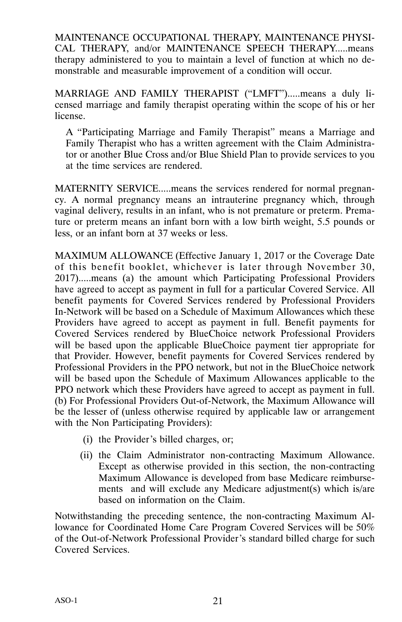MAINTENANCE OCCUPATIONAL THERAPY, MAINTENANCE PHYSI-CAL THERAPY, and/or MAINTENANCE SPEECH THERAPY.....means therapy administered to you to maintain a level of function at which no demonstrable and measurable improvement of a condition will occur.

MARRIAGE AND FAMILY THERAPIST ("LMFT").....means a duly licensed marriage and family therapist operating within the scope of his or her license.

A "Participating Marriage and Family Therapist" means a Marriage and Family Therapist who has a written agreement with the Claim Administrator or another Blue Cross and/or Blue Shield Plan to provide services to you at the time services are rendered.

MATERNITY SERVICE.....means the services rendered for normal pregnancy. A normal pregnancy means an intrauterine pregnancy which, through vaginal delivery, results in an infant, who is not premature or preterm. Premature or preterm means an infant born with a low birth weight, 5.5 pounds or less, or an infant born at 37 weeks or less.

MAXIMUM ALLOWANCE (Effective January 1, 2017 or the Coverage Date of this benefit booklet, whichever is later through November 30, 2017).....means (a) the amount which Participating Professional Providers have agreed to accept as payment in full for a particular Covered Service. All benefit payments for Covered Services rendered by Professional Providers In‐Network will be based on a Schedule of Maximum Allowances which these Providers have agreed to accept as payment in full. Benefit payments for Covered Services rendered by BlueChoice network Professional Providers will be based upon the applicable BlueChoice payment tier appropriate for that Provider. However, benefit payments for Covered Services rendered by Professional Providers in the PPO network, but not in the BlueChoice network will be based upon the Schedule of Maximum Allowances applicable to the PPO network which these Providers have agreed to accept as payment in full. (b) For Professional Providers Out‐of‐Network, the Maximum Allowance will be the lesser of (unless otherwise required by applicable law or arrangement with the Non Participating Providers):

- (i) the Provider's billed charges, or;
- (ii) the Claim Administrator non‐contracting Maximum Allowance. Except as otherwise provided in this section, the non-contracting Maximum Allowance is developed from base Medicare reimbursements and will exclude any Medicare adjustment(s) which is/are based on information on the Claim.

Notwithstanding the preceding sentence, the non‐contracting Maximum Allowance for Coordinated Home Care Program Covered Services will be 50% of the Out‐of‐Network Professional Provider's standard billed charge for such Covered Services.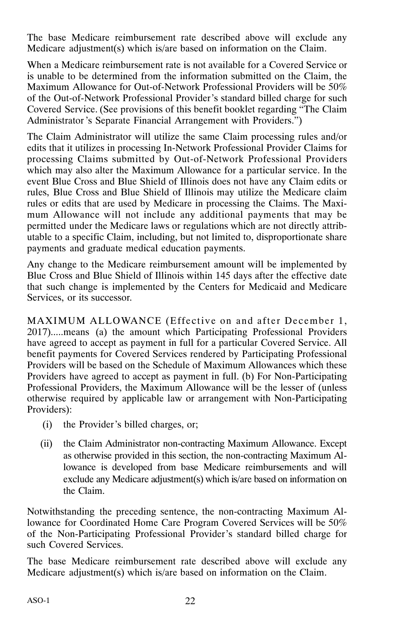The base Medicare reimbursement rate described above will exclude any Medicare adjustment(s) which is/are based on information on the Claim.

When a Medicare reimbursement rate is not available for a Covered Service or is unable to be determined from the information submitted on the Claim, the Maximum Allowance for Out‐of‐Network Professional Providers will be 50% of the Out‐of‐Network Professional Provider's standard billed charge for such Covered Service. (See provisions of this benefit booklet regarding "The Claim Administrator 's Separate Financial Arrangement with Providers.")

The Claim Administrator will utilize the same Claim processing rules and/or edits that it utilizes in processing In‐Network Professional Provider Claims for processing Claims submitted by Out‐of‐Network Professional Providers which may also alter the Maximum Allowance for a particular service. In the event Blue Cross and Blue Shield of Illinois does not have any Claim edits or rules, Blue Cross and Blue Shield of Illinois may utilize the Medicare claim rules or edits that are used by Medicare in processing the Claims. The Maximum Allowance will not include any additional payments that may be permitted under the Medicare laws or regulations which are not directly attributable to a specific Claim, including, but not limited to, disproportionate share payments and graduate medical education payments.

Any change to the Medicare reimbursement amount will be implemented by Blue Cross and Blue Shield of Illinois within 145 days after the effective date that such change is implemented by the Centers for Medicaid and Medicare Services, or its successor.

MAXIMUM ALLOWANCE (Effective on and after December 1, 2017).....means (a) the amount which Participating Professional Providers have agreed to accept as payment in full for a particular Covered Service. All benefit payments for Covered Services rendered by Participating Professional Providers will be based on the Schedule of Maximum Allowances which these Providers have agreed to accept as payment in full. (b) For Non‐Participating Professional Providers, the Maximum Allowance will be the lesser of (unless otherwise required by applicable law or arrangement with Non‐Participating Providers):

- (i) the Provider's billed charges, or;
- (ii) the Claim Administrator non‐contracting Maximum Allowance. Except as otherwise provided in this section, the non‐contracting Maximum Allowance is developed from base Medicare reimbursements and will exclude any Medicare adjustment(s) which is/are based on information on the Claim.

Notwithstanding the preceding sentence, the non‐contracting Maximum Allowance for Coordinated Home Care Program Covered Services will be 50% of the Non‐Participating Professional Provider's standard billed charge for such Covered Services.

The base Medicare reimbursement rate described above will exclude any Medicare adjustment(s) which is/are based on information on the Claim.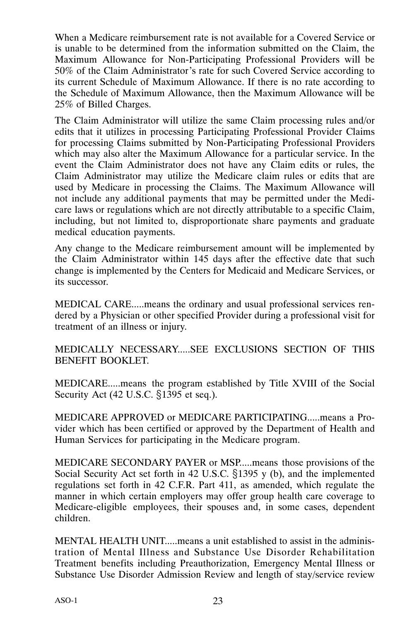When a Medicare reimbursement rate is not available for a Covered Service or is unable to be determined from the information submitted on the Claim, the Maximum Allowance for Non‐Participating Professional Providers will be 50% of the Claim Administrator's rate for such Covered Service according to its current Schedule of Maximum Allowance. If there is no rate according to the Schedule of Maximum Allowance, then the Maximum Allowance will be 25% of Billed Charges.

The Claim Administrator will utilize the same Claim processing rules and/or edits that it utilizes in processing Participating Professional Provider Claims for processing Claims submitted by Non‐Participating Professional Providers which may also alter the Maximum Allowance for a particular service. In the event the Claim Administrator does not have any Claim edits or rules, the Claim Administrator may utilize the Medicare claim rules or edits that are used by Medicare in processing the Claims. The Maximum Allowance will not include any additional payments that may be permitted under the Medicare laws or regulations which are not directly attributable to a specific Claim, including, but not limited to, disproportionate share payments and graduate medical education payments.

Any change to the Medicare reimbursement amount will be implemented by the Claim Administrator within 145 days after the effective date that such change is implemented by the Centers for Medicaid and Medicare Services, or its successor.

MEDICAL CARE.....means the ordinary and usual professional services rendered by a Physician or other specified Provider during a professional visit for treatment of an illness or injury.

MEDICALLY NECESSARY.....SEE EXCLUSIONS SECTION OF THIS BENEFIT BOOKLET.

MEDICARE.....means the program established by Title XVIII of the Social Security Act  $(42 \text{ U.S.C. } $1395 \text{ et seq.}).$ 

MEDICARE APPROVED or MEDICARE PARTICIPATING.....means a Provider which has been certified or approved by the Department of Health and Human Services for participating in the Medicare program.

MEDICARE SECONDARY PAYER or MSP.....means those provisions of the Social Security Act set forth in 42 U.S.C.  $\S$ 1395 y (b), and the implemented regulations set forth in 42 C.F.R. Part 411, as amended, which regulate the manner in which certain employers may offer group health care coverage to Medicare-eligible employees, their spouses and, in some cases, dependent children.

MENTAL HEALTH UNIT.....means a unit established to assist in the administration of Mental Illness and Substance Use Disorder Rehabilitation Treatment benefits including Preauthorization, Emergency Mental Illness or Substance Use Disorder Admission Review and length of stay/service review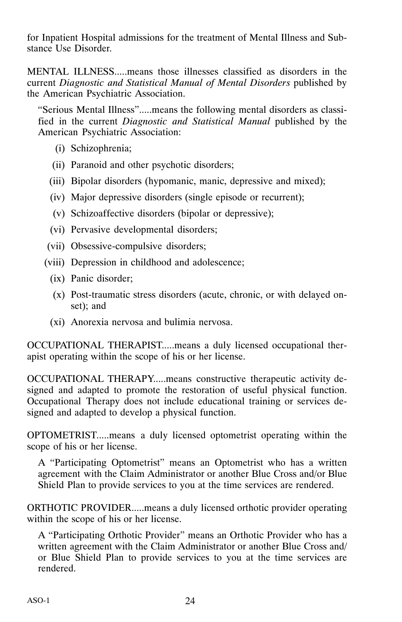for Inpatient Hospital admissions for the treatment of Mental Illness and Substance Use Disorder.

MENTAL ILLNESS.....means those illnesses classified as disorders in the current *Diagnostic and Statistical Manual of Mental Disorders* published by the American Psychiatric Association.

"Serious Mental Illness".....means the following mental disorders as classified in the current *Diagnostic and Statistical Manual* published by the American Psychiatric Association:

- (i) Schizophrenia;
- (ii) Paranoid and other psychotic disorders;
- (iii) Bipolar disorders (hypomanic, manic, depressive and mixed);
- (iv) Major depressive disorders (single episode or recurrent);
- (v) Schizoaffective disorders (bipolar or depressive);
- (vi) Pervasive developmental disorders;
- (vii) Obsessive‐compulsive disorders;
- (viii) Depression in childhood and adolescence;
	- (ix) Panic disorder;
	- (x) Post‐traumatic stress disorders (acute, chronic, or with delayed onset); and
	- (xi) Anorexia nervosa and bulimia nervosa.

OCCUPATIONAL THERAPIST.....means a duly licensed occupational therapist operating within the scope of his or her license.

OCCUPATIONAL THERAPY.....means constructive therapeutic activity designed and adapted to promote the restoration of useful physical function. Occupational Therapy does not include educational training or services designed and adapted to develop a physical function.

OPTOMETRIST.....means a duly licensed optometrist operating within the scope of his or her license.

A "Participating Optometrist" means an Optometrist who has a written agreement with the Claim Administrator or another Blue Cross and/or Blue Shield Plan to provide services to you at the time services are rendered.

ORTHOTIC PROVIDER.....means a duly licensed orthotic provider operating within the scope of his or her license.

A "Participating Orthotic Provider" means an Orthotic Provider who has a written agreement with the Claim Administrator or another Blue Cross and/ or Blue Shield Plan to provide services to you at the time services are rendered.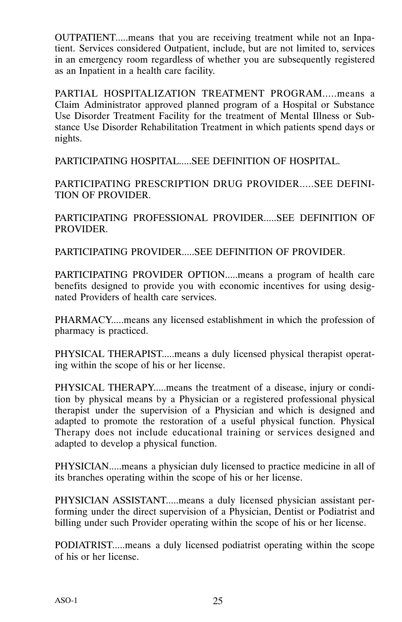OUTPATIENT.....means that you are receiving treatment while not an Inpatient. Services considered Outpatient, include, but are not limited to, services in an emergency room regardless of whether you are subsequently registered as an Inpatient in a health care facility.

PARTIAL HOSPITALIZATION TREATMENT PROGRAM.....means a Claim Administrator approved planned program of a Hospital or Substance Use Disorder Treatment Facility for the treatment of Mental Illness or Substance Use Disorder Rehabilitation Treatment in which patients spend days or nights.

PARTICIPATING HOSPITAL.....SEE DEFINITION OF HOSPITAL.

PARTICIPATING PRESCRIPTION DRUG PROVIDER.....SEE DEFINI-TION OF PROVIDER.

PARTICIPATING PROFESSIONAL PROVIDER.....SEE DEFINITION OF PROVIDER.

PARTICIPATING PROVIDER.....SEE DEFINITION OF PROVIDER.

PARTICIPATING PROVIDER OPTION.....means a program of health care benefits designed to provide you with economic incentives for using designated Providers of health care services.

PHARMACY.....means any licensed establishment in which the profession of pharmacy is practiced.

PHYSICAL THERAPIST.....means a duly licensed physical therapist operating within the scope of his or her license.

PHYSICAL THERAPY.....means the treatment of a disease, injury or condition by physical means by a Physician or a registered professional physical therapist under the supervision of a Physician and which is designed and adapted to promote the restoration of a useful physical function. Physical Therapy does not include educational training or services designed and adapted to develop a physical function.

PHYSICIAN.....means a physician duly licensed to practice medicine in all of its branches operating within the scope of his or her license.

PHYSICIAN ASSISTANT.....means a duly licensed physician assistant performing under the direct supervision of a Physician, Dentist or Podiatrist and billing under such Provider operating within the scope of his or her license.

PODIATRIST.....means a duly licensed podiatrist operating within the scope of his or her license.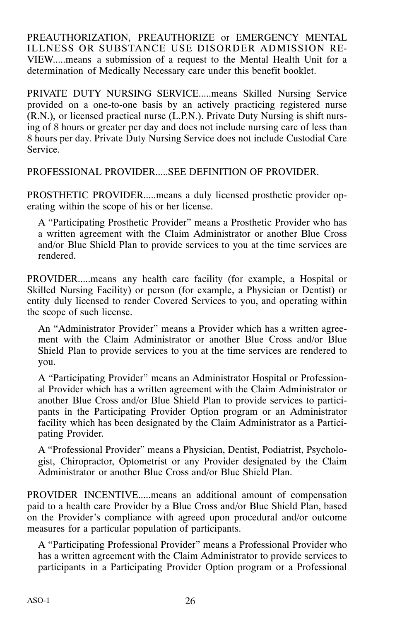PREAUTHORIZATION, PREAUTHORIZE or EMERGENCY MENTAL ILLNESS OR SUBSTANCE USE DISORDER ADMISSION RE-VIEW.....means a submission of a request to the Mental Health Unit for a determination of Medically Necessary care under this benefit booklet.

PRIVATE DUTY NURSING SERVICE.....means Skilled Nursing Service provided on a one‐to‐one basis by an actively practicing registered nurse (R.N.), or licensed practical nurse (L.P.N.). Private Duty Nursing is shift nursing of 8 hours or greater per day and does not include nursing care of less than 8 hours per day. Private Duty Nursing Service does not include Custodial Care Service.

PROFESSIONAL PROVIDER.....SEE DEFINITION OF PROVIDER.

PROSTHETIC PROVIDER.....means a duly licensed prosthetic provider operating within the scope of his or her license.

A "Participating Prosthetic Provider" means a Prosthetic Provider who has a written agreement with the Claim Administrator or another Blue Cross and/or Blue Shield Plan to provide services to you at the time services are rendered.

PROVIDER.....means any health care facility (for example, a Hospital or Skilled Nursing Facility) or person (for example, a Physician or Dentist) or entity duly licensed to render Covered Services to you, and operating within the scope of such license.

An "Administrator Provider" means a Provider which has a written agreement with the Claim Administrator or another Blue Cross and/or Blue Shield Plan to provide services to you at the time services are rendered to you.

A "Participating Provider" means an Administrator Hospital or Professional Provider which has a written agreement with the Claim Administrator or another Blue Cross and/or Blue Shield Plan to provide services to participants in the Participating Provider Option program or an Administrator facility which has been designated by the Claim Administrator as a Participating Provider.

A "Professional Provider" means a Physician, Dentist, Podiatrist, Psychologist, Chiropractor, Optometrist or any Provider designated by the Claim Administrator or another Blue Cross and/or Blue Shield Plan.

PROVIDER INCENTIVE.....means an additional amount of compensation paid to a health care Provider by a Blue Cross and/or Blue Shield Plan, based on the Provider's compliance with agreed upon procedural and/or outcome measures for a particular population of participants.

A "Participating Professional Provider" means a Professional Provider who has a written agreement with the Claim Administrator to provide services to participants in a Participating Provider Option program or a Professional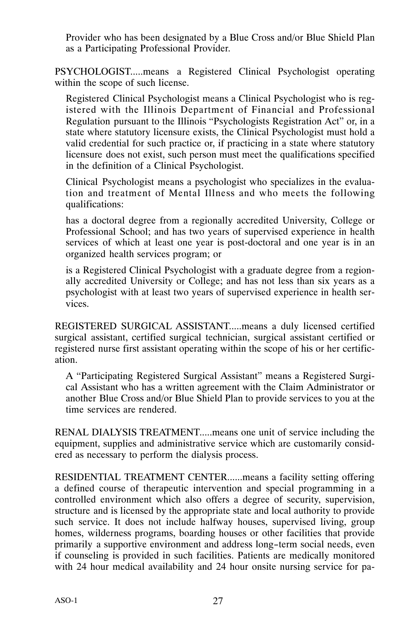Provider who has been designated by a Blue Cross and/or Blue Shield Plan as a Participating Professional Provider.

PSYCHOLOGIST.....means a Registered Clinical Psychologist operating within the scope of such license.

Registered Clinical Psychologist means a Clinical Psychologist who is registered with the Illinois Department of Financial and Professional Regulation pursuant to the Illinois "Psychologists Registration Act" or, in a state where statutory licensure exists, the Clinical Psychologist must hold a valid credential for such practice or, if practicing in a state where statutory licensure does not exist, such person must meet the qualifications specified in the definition of a Clinical Psychologist.

Clinical Psychologist means a psychologist who specializes in the evaluation and treatment of Mental Illness and who meets the following qualifications:

has a doctoral degree from a regionally accredited University, College or Professional School; and has two years of supervised experience in health services of which at least one year is post-doctoral and one year is in an organized health services program; or

is a Registered Clinical Psychologist with a graduate degree from a regionally accredited University or College; and has not less than six years as a psychologist with at least two years of supervised experience in health services.

REGISTERED SURGICAL ASSISTANT.....means a duly licensed certified surgical assistant, certified surgical technician, surgical assistant certified or registered nurse first assistant operating within the scope of his or her certification.

A "Participating Registered Surgical Assistant" means a Registered Surgical Assistant who has a written agreement with the Claim Administrator or another Blue Cross and/or Blue Shield Plan to provide services to you at the time services are rendered.

RENAL DIALYSIS TREATMENT.....means one unit of service including the equipment, supplies and administrative service which are customarily considered as necessary to perform the dialysis process.

RESIDENTIAL TREATMENT CENTER......means a facility setting offering a defined course of therapeutic intervention and special programming in a controlled environment which also offers a degree of security, supervision, structure and is licensed by the appropriate state and local authority to provide such service. It does not include halfway houses, supervised living, group homes, wilderness programs, boarding houses or other facilities that provide primarily a supportive environment and address long-term social needs, even if counseling is provided in such facilities. Patients are medically monitored with 24 hour medical availability and 24 hour onsite nursing service for pa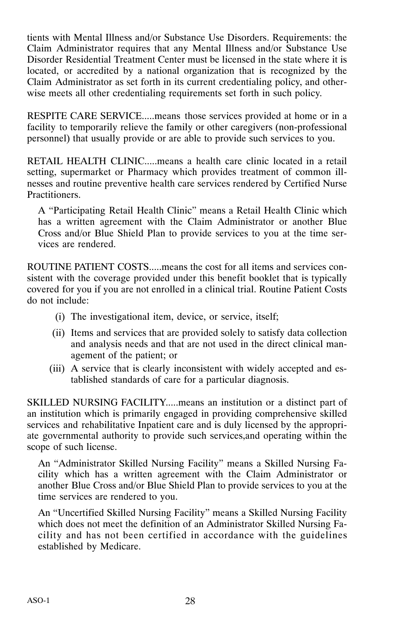tients with Mental Illness and/or Substance Use Disorders. Requirements: the Claim Administrator requires that any Mental Illness and/or Substance Use Disorder Residential Treatment Center must be licensed in the state where it is located, or accredited by a national organization that is recognized by the Claim Administrator as set forth in its current credentialing policy, and otherwise meets all other credentialing requirements set forth in such policy.

RESPITE CARE SERVICE.....means those services provided at home or in a facility to temporarily relieve the family or other caregivers (non-professional personnel) that usually provide or are able to provide such services to you.

RETAIL HEALTH CLINIC.....means a health care clinic located in a retail setting, supermarket or Pharmacy which provides treatment of common illnesses and routine preventive health care services rendered by Certified Nurse Practitioners.

A "Participating Retail Health Clinic" means a Retail Health Clinic which has a written agreement with the Claim Administrator or another Blue Cross and/or Blue Shield Plan to provide services to you at the time services are rendered.

ROUTINE PATIENT COSTS.....means the cost for all items and services consistent with the coverage provided under this benefit booklet that is typically covered for you if you are not enrolled in a clinical trial. Routine Patient Costs do not include:

- (i) The investigational item, device, or service, itself;
- (ii) Items and services that are provided solely to satisfy data collection and analysis needs and that are not used in the direct clinical management of the patient; or
- (iii) A service that is clearly inconsistent with widely accepted and established standards of care for a particular diagnosis.

SKILLED NURSING FACILITY.....means an institution or a distinct part of an institution which is primarily engaged in providing comprehensive skilled services and rehabilitative Inpatient care and is duly licensed by the appropriate governmental authority to provide such services,and operating within the scope of such license.

An "Administrator Skilled Nursing Facility" means a Skilled Nursing Facility which has a written agreement with the Claim Administrator or another Blue Cross and/or Blue Shield Plan to provide services to you at the time services are rendered to you.

An "Uncertified Skilled Nursing Facility" means a Skilled Nursing Facility which does not meet the definition of an Administrator Skilled Nursing Facility and has not been certified in accordance with the guidelines established by Medicare.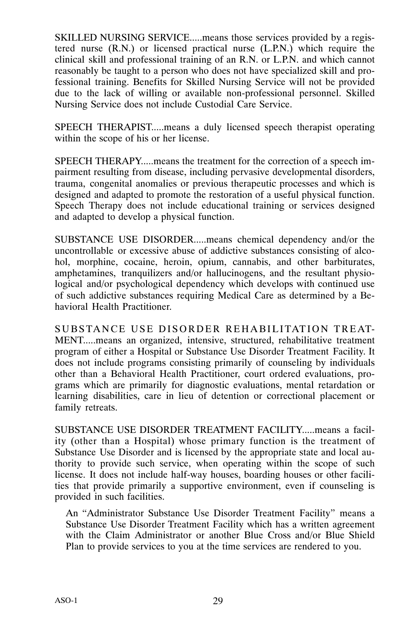SKILLED NURSING SERVICE.....means those services provided by a registered nurse (R.N.) or licensed practical nurse (L.P.N.) which require the clinical skill and professional training of an R.N. or L.P.N. and which cannot reasonably be taught to a person who does not have specialized skill and professional training. Benefits for Skilled Nursing Service will not be provided due to the lack of willing or available non‐professional personnel. Skilled Nursing Service does not include Custodial Care Service.

SPEECH THERAPIST.....means a duly licensed speech therapist operating within the scope of his or her license.

SPEECH THERAPY.....means the treatment for the correction of a speech impairment resulting from disease, including pervasive developmental disorders, trauma, congenital anomalies or previous therapeutic processes and which is designed and adapted to promote the restoration of a useful physical function. Speech Therapy does not include educational training or services designed and adapted to develop a physical function.

SUBSTANCE USE DISORDER.....means chemical dependency and/or the uncontrollable or excessive abuse of addictive substances consisting of alcohol, morphine, cocaine, heroin, opium, cannabis, and other barbiturates, amphetamines, tranquilizers and/or hallucinogens, and the resultant physiological and/or psychological dependency which develops with continued use of such addictive substances requiring Medical Care as determined by a Behavioral Health Practitioner.

SUBSTANCE USE DISORDER REHABILITATION TREAT-MENT.....means an organized, intensive, structured, rehabilitative treatment program of either a Hospital or Substance Use Disorder Treatment Facility. It does not include programs consisting primarily of counseling by individuals other than a Behavioral Health Practitioner, court ordered evaluations, programs which are primarily for diagnostic evaluations, mental retardation or learning disabilities, care in lieu of detention or correctional placement or family retreats.

SUBSTANCE USE DISORDER TREATMENT FACILITY.....means a facility (other than a Hospital) whose primary function is the treatment of Substance Use Disorder and is licensed by the appropriate state and local authority to provide such service, when operating within the scope of such license. It does not include half‐way houses, boarding houses or other facilities that provide primarily a supportive environment, even if counseling is provided in such facilities.

An "Administrator Substance Use Disorder Treatment Facility" means a Substance Use Disorder Treatment Facility which has a written agreement with the Claim Administrator or another Blue Cross and/or Blue Shield Plan to provide services to you at the time services are rendered to you.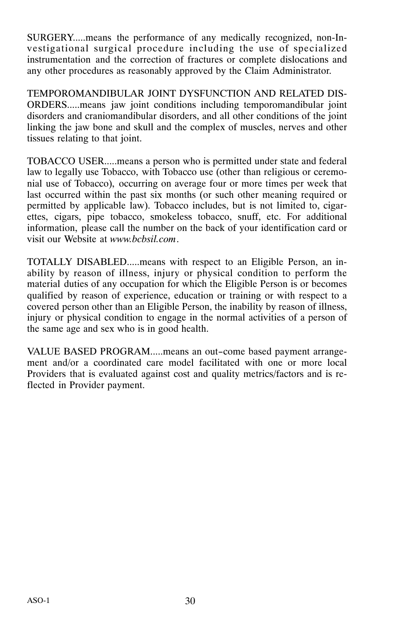SURGERY.....means the performance of any medically recognized, non‐Investigational surgical procedure including the use of specialized instrumentation and the correction of fractures or complete dislocations and any other procedures as reasonably approved by the Claim Administrator.

TEMPOROMANDIBULAR JOINT DYSFUNCTION AND RELATED DIS-ORDERS.....means jaw joint conditions including temporomandibular joint disorders and craniomandibular disorders, and all other conditions of the joint linking the jaw bone and skull and the complex of muscles, nerves and other tissues relating to that joint.

TOBACCO USER.....means a person who is permitted under state and federal law to legally use Tobacco, with Tobacco use (other than religious or ceremonial use of Tobacco), occurring on average four or more times per week that last occurred within the past six months (or such other meaning required or permitted by applicable law). Tobacco includes, but is not limited to, cigarettes, cigars, pipe tobacco, smokeless tobacco, snuff, etc. For additional information, please call the number on the back of your identification card or visit our Website at *www.bcbsil.com*.

TOTALLY DISABLED.....means with respect to an Eligible Person, an inability by reason of illness, injury or physical condition to perform the material duties of any occupation for which the Eligible Person is or becomes qualified by reason of experience, education or training or with respect to a covered person other than an Eligible Person, the inability by reason of illness, injury or physical condition to engage in the normal activities of a person of the same age and sex who is in good health.

VALUE BASED PROGRAM.....means an out-come based payment arrangement and/or a coordinated care model facilitated with one or more local Providers that is evaluated against cost and quality metrics/factors and is reflected in Provider payment.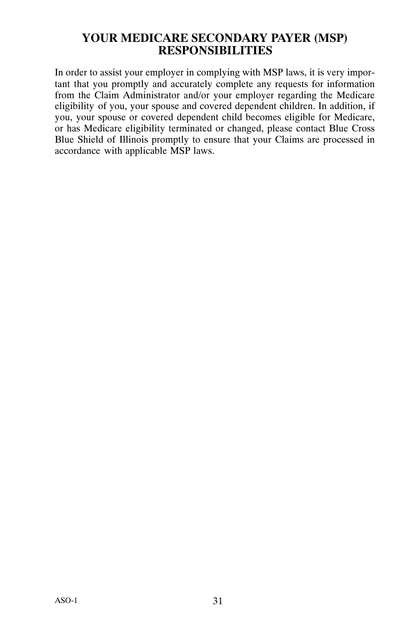#### **YOUR MEDICARE SECONDARY PAYER (MSP) RESPONSIBILITIES**

<span id="page-30-0"></span>In order to assist your employer in complying with MSP laws, it is very important that you promptly and accurately complete any requests for information from the Claim Administrator and/or your employer regarding the Medicare eligibility of you, your spouse and covered dependent children. In addition, if you, your spouse or covered dependent child becomes eligible for Medicare, or has Medicare eligibility terminated or changed, please contact Blue Cross Blue Shield of Illinois promptly to ensure that your Claims are processed in accordance with applicable MSP laws.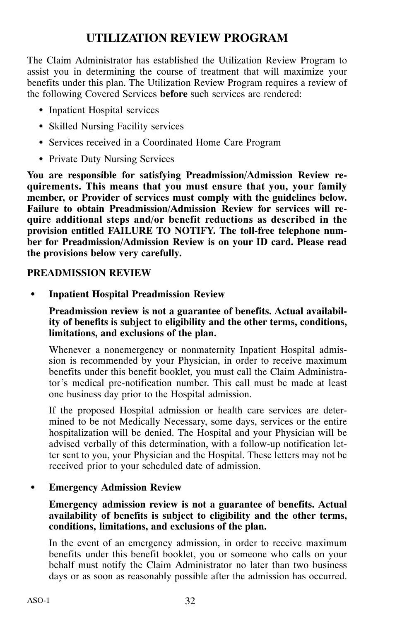### **UTILIZATION REVIEW PROGRAM**

<span id="page-31-0"></span>The Claim Administrator has established the Utilization Review Program to assist you in determining the course of treatment that will maximize your benefits under this plan. The Utilization Review Program requires a review of the following Covered Services **before** such services are rendered:

- Inpatient Hospital services
- Skilled Nursing Facility services
- Services received in a Coordinated Home Care Program
- Private Duty Nursing Services

**You are responsible for satisfying Preadmission/Admission Review requirements. This means that you must ensure that you, your family member, or Provider of services must comply with the guidelines below. Failure to obtain Preadmission/Admission Review for services will require additional steps and/or benefit reductions as described in the provision entitled FAILURE TO NOTIFY. The toll‐free telephone number for Preadmission/Admission Review is on your ID card. Please read the provisions below very carefully.**

#### **PREADMISSION REVIEW**

**Inpatient Hospital Preadmission Review**

**Preadmission review is not a guarantee of benefits. Actual availability of benefits is subject to eligibility and the other terms, conditions, limitations, and exclusions of the plan.**

Whenever a nonemergency or nonmaternity Inpatient Hospital admission is recommended by your Physician, in order to receive maximum benefits under this benefit booklet, you must call the Claim Administrator's medical pre‐notification number. This call must be made at least one business day prior to the Hospital admission.

If the proposed Hospital admission or health care services are determined to be not Medically Necessary, some days, services or the entire hospitalization will be denied. The Hospital and your Physician will be advised verbally of this determination, with a follow‐up notification letter sent to you, your Physician and the Hospital. These letters may not be received prior to your scheduled date of admission.

#### $\bullet$ **Emergency Admission Review**

#### **Emergency admission review is not a guarantee of benefits. Actual availability of benefits is subject to eligibility and the other terms, conditions, limitations, and exclusions of the plan.**

In the event of an emergency admission, in order to receive maximum benefits under this benefit booklet, you or someone who calls on your behalf must notify the Claim Administrator no later than two business days or as soon as reasonably possible after the admission has occurred.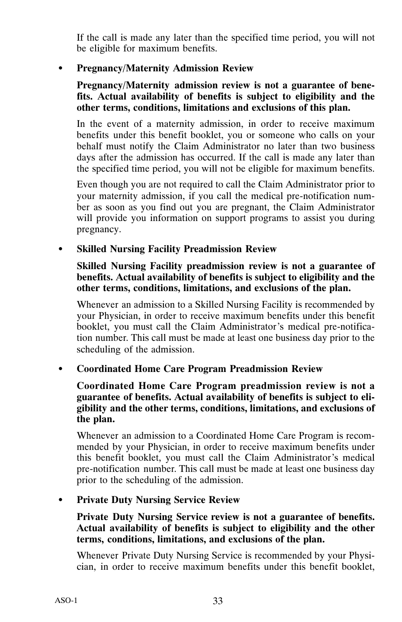If the call is made any later than the specified time period, you will not be eligible for maximum benefits.

#### **Pregnancy/Maternity Admission Review**

#### **Pregnancy/Maternity admission review is not a guarantee of benefits. Actual availability of benefits is subject to eligibility and the other terms, conditions, limitations and exclusions of this plan.**

In the event of a maternity admission, in order to receive maximum benefits under this benefit booklet, you or someone who calls on your behalf must notify the Claim Administrator no later than two business days after the admission has occurred. If the call is made any later than the specified time period, you will not be eligible for maximum benefits.

Even though you are not required to call the Claim Administrator prior to your maternity admission, if you call the medical pre‐notification number as soon as you find out you are pregnant, the Claim Administrator will provide you information on support programs to assist you during pregnancy.

#### **Skilled Nursing Facility Preadmission Review**

#### **Skilled Nursing Facility preadmission review is not a guarantee of benefits. Actual availability of benefits is subject to eligibility and the other terms, conditions, limitations, and exclusions of the plan.**

Whenever an admission to a Skilled Nursing Facility is recommended by your Physician, in order to receive maximum benefits under this benefit booklet, you must call the Claim Administrator's medical pre‐notification number. This call must be made at least one business day prior to the scheduling of the admission.

#### $\bullet$ **Coordinated Home Care Program Preadmission Review**

#### **Coordinated Home Care Program preadmission review is not a guarantee of benefits. Actual availability of benefits is subject to eligibility and the other terms, conditions, limitations, and exclusions of the plan.**

Whenever an admission to a Coordinated Home Care Program is recommended by your Physician, in order to receive maximum benefits under this benefit booklet, you must call the Claim Administrator's medical pre‐notification number. This call must be made at least one business day prior to the scheduling of the admission.

#### **Private Duty Nursing Service Review**

#### **Private Duty Nursing Service review is not a guarantee of benefits. Actual availability of benefits is subject to eligibility and the other terms, conditions, limitations, and exclusions of the plan.**

Whenever Private Duty Nursing Service is recommended by your Physician, in order to receive maximum benefits under this benefit booklet,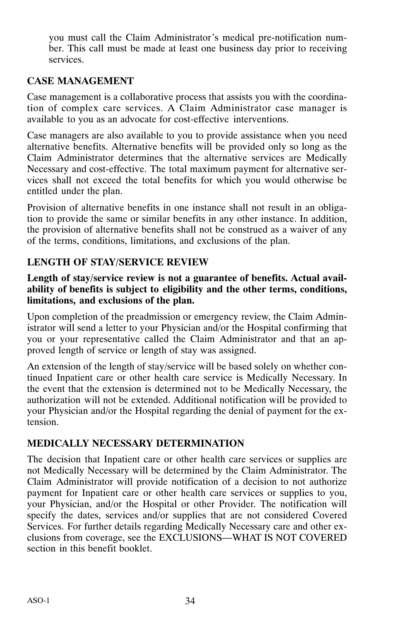you must call the Claim Administrator's medical pre‐notification number. This call must be made at least one business day prior to receiving services.

#### **CASE MANAGEMENT**

Case management is a collaborative process that assists you with the coordination of complex care services. A Claim Administrator case manager is available to you as an advocate for cost‐effective interventions.

Case managers are also available to you to provide assistance when you need alternative benefits. Alternative benefits will be provided only so long as the Claim Administrator determines that the alternative services are Medically Necessary and cost-effective. The total maximum payment for alternative services shall not exceed the total benefits for which you would otherwise be entitled under the plan.

Provision of alternative benefits in one instance shall not result in an obligation to provide the same or similar benefits in any other instance. In addition, the provision of alternative benefits shall not be construed as a waiver of any of the terms, conditions, limitations, and exclusions of the plan.

#### **LENGTH OF STAY/SERVICE REVIEW**

#### **Length of stay/service review is not a guarantee of benefits. Actual availability of benefits is subject to eligibility and the other terms, conditions, limitations, and exclusions of the plan.**

Upon completion of the preadmission or emergency review, the Claim Administrator will send a letter to your Physician and/or the Hospital confirming that you or your representative called the Claim Administrator and that an approved length of service or length of stay was assigned.

An extension of the length of stay/service will be based solely on whether continued Inpatient care or other health care service is Medically Necessary. In the event that the extension is determined not to be Medically Necessary, the authorization will not be extended. Additional notification will be provided to your Physician and/or the Hospital regarding the denial of payment for the extension.

#### **MEDICALLY NECESSARY DETERMINATION**

The decision that Inpatient care or other health care services or supplies are not Medically Necessary will be determined by the Claim Administrator. The Claim Administrator will provide notification of a decision to not authorize payment for Inpatient care or other health care services or supplies to you, your Physician, and/or the Hospital or other Provider. The notification will specify the dates, services and/or supplies that are not considered Covered Services. For further details regarding Medically Necessary care and other exclusions from coverage, see the EXCLUSIONS—WHAT IS NOT COVERED section in this benefit booklet.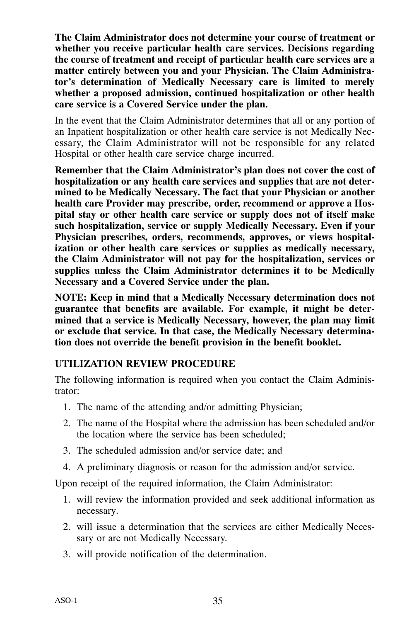**The Claim Administrator does not determine your course of treatment or whether you receive particular health care services. Decisions regarding the course of treatment and receipt of particular health care services are a matter entirely between you and your Physician. The Claim Administrator's determination of Medically Necessary care is limited to merely whether a proposed admission, continued hospitalization or other health care service is a Covered Service under the plan.**

In the event that the Claim Administrator determines that all or any portion of an Inpatient hospitalization or other health care service is not Medically Necessary, the Claim Administrator will not be responsible for any related Hospital or other health care service charge incurred.

**Remember that the Claim Administrator's plan does not cover the cost of hospitalization or any health care services and supplies that are not determined to be Medically Necessary. The fact that your Physician or another health care Provider may prescribe, order, recommend or approve a Hospital stay or other health care service or supply does not of itself make such hospitalization, service or supply Medically Necessary. Even if your Physician prescribes, orders, recommends, approves, or views hospitalization or other health care services or supplies as medically necessary, the Claim Administrator will not pay for the hospitalization, services or supplies unless the Claim Administrator determines it to be Medically Necessary and a Covered Service under the plan.**

**NOTE: Keep in mind that a Medically Necessary determination does not guarantee that benefits are available. For example, it might be determined that a service is Medically Necessary, however, the plan may limit or exclude that service. In that case, the Medically Necessary determination does not override the benefit provision in the benefit booklet.**

#### **UTILIZATION REVIEW PROCEDURE**

The following information is required when you contact the Claim Administrator:

- 1. The name of the attending and/or admitting Physician;
- 2. The name of the Hospital where the admission has been scheduled and/or the location where the service has been scheduled;
- 3. The scheduled admission and/or service date; and
- 4. A preliminary diagnosis or reason for the admission and/or service.

Upon receipt of the required information, the Claim Administrator:

- 1. will review the information provided and seek additional information as necessary.
- 2. will issue a determination that the services are either Medically Necessary or are not Medically Necessary.
- 3. will provide notification of the determination.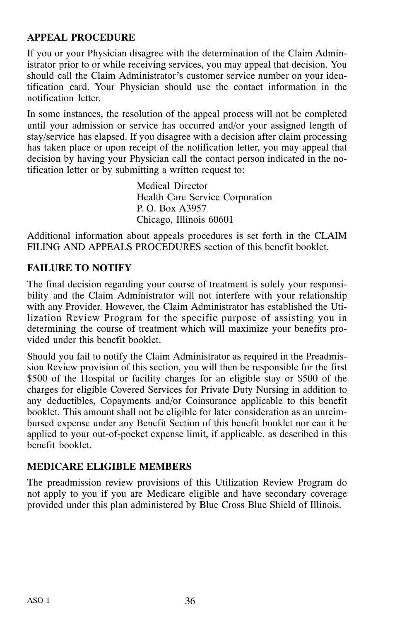#### **APPEAL PROCEDURE**

If you or your Physician disagree with the determination of the Claim Administrator prior to or while receiving services, you may appeal that decision. You should call the Claim Administrator's customer service number on your identification card. Your Physician should use the contact information in the notification letter.

In some instances, the resolution of the appeal process will not be completed until your admission or service has occurred and/or your assigned length of stay/service has elapsed. If you disagree with a decision after claim processing has taken place or upon receipt of the notification letter, you may appeal that decision by having your Physician call the contact person indicated in the notification letter or by submitting a written request to:

> Medical Director Health Care Service Corporation P. O. Box A3957 Chicago, Illinois 60601

Additional information about appeals procedures is set forth in the CLAIM FILING AND APPEALS PROCEDURES section of this benefit booklet.

#### **FAILURE TO NOTIFY**

The final decision regarding your course of treatment is solely your responsibility and the Claim Administrator will not interfere with your relationship with any Provider. However, the Claim Administrator has established the Utilization Review Program for the specific purpose of assisting you in determining the course of treatment which will maximize your benefits provided under this benefit booklet.

Should you fail to notify the Claim Administrator as required in the Preadmission Review provision of this section, you will then be responsible for the first \$500 of the Hospital or facility charges for an eligible stay or \$500 of the charges for eligible Covered Services for Private Duty Nursing in addition to any deductibles, Copayments and/or Coinsurance applicable to this benefit booklet. This amount shall not be eligible for later consideration as an unreimbursed expense under any Benefit Section of this benefit booklet nor can it be applied to your out‐of‐pocket expense limit, if applicable, as described in this benefit booklet.

#### **MEDICARE ELIGIBLE MEMBERS**

The preadmission review provisions of this Utilization Review Program do not apply to you if you are Medicare eligible and have secondary coverage provided under this plan administered by Blue Cross Blue Shield of Illinois.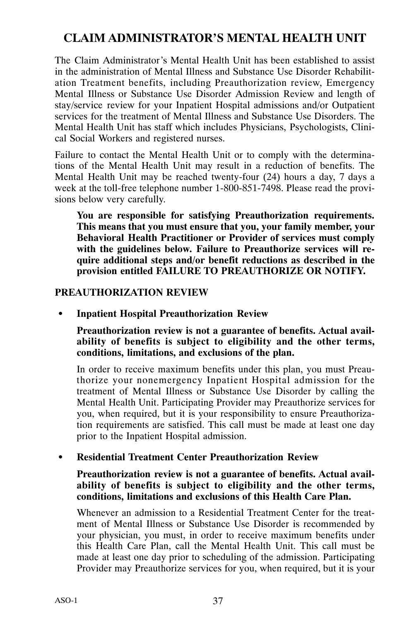# **CLAIM ADMINISTRATOR'S MENTAL HEALTH UNIT**

The Claim Administrator's Mental Health Unit has been established to assist in the administration of Mental Illness and Substance Use Disorder Rehabilitation Treatment benefits, including Preauthorization review, Emergency Mental Illness or Substance Use Disorder Admission Review and length of stay/service review for your Inpatient Hospital admissions and/or Outpatient services for the treatment of Mental Illness and Substance Use Disorders. The Mental Health Unit has staff which includes Physicians, Psychologists, Clinical Social Workers and registered nurses.

Failure to contact the Mental Health Unit or to comply with the determinations of the Mental Health Unit may result in a reduction of benefits. The Mental Health Unit may be reached twenty-four (24) hours a day, 7 days a week at the toll-free telephone number 1-800-851-7498. Please read the provisions below very carefully.

**You are responsible for satisfying Preauthorization requirements. This means that you must ensure that you, your family member, your Behavioral Health Practitioner or Provider of services must comply with the guidelines below. Failure to Preauthorize services will require additional steps and/or benefit reductions as described in the provision entitled FAILURE TO PREAUTHORIZE OR NOTIFY.**

#### **PREAUTHORIZATION REVIEW**

**Inpatient Hospital Preauthorization Review**

**Preauthorization review is not a guarantee of benefits. Actual availability of benefits is subject to eligibility and the other terms, conditions, limitations, and exclusions of the plan.**

In order to receive maximum benefits under this plan, you must Preauthorize your nonemergency Inpatient Hospital admission for the treatment of Mental Illness or Substance Use Disorder by calling the Mental Health Unit. Participating Provider may Preauthorize services for you, when required, but it is your responsibility to ensure Preauthorization requirements are satisfied. This call must be made at least one day prior to the Inpatient Hospital admission.

#### **Residential Treatment Center Preauthorization Review**

#### **Preauthorization review is not a guarantee of benefits. Actual availability of benefits is subject to eligibility and the other terms, conditions, limitations and exclusions of this Health Care Plan.**

Whenever an admission to a Residential Treatment Center for the treatment of Mental Illness or Substance Use Disorder is recommended by your physician, you must, in order to receive maximum benefits under this Health Care Plan, call the Mental Health Unit. This call must be made at least one day prior to scheduling of the admission. Participating Provider may Preauthorize services for you, when required, but it is your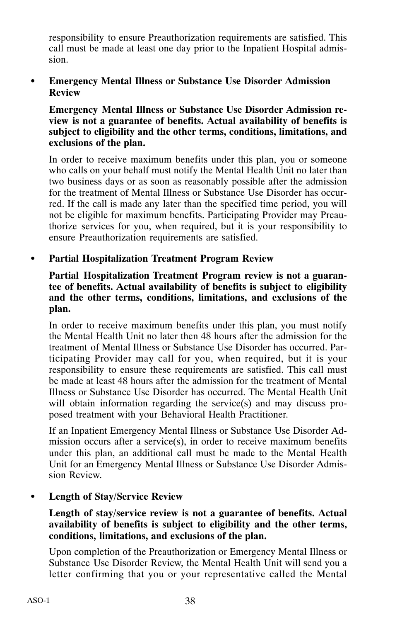responsibility to ensure Preauthorization requirements are satisfied. This call must be made at least one day prior to the Inpatient Hospital admission.

#### **Emergency Mental Illness or Substance Use Disorder Admission Review**

**Emergency Mental Illness or Substance Use Disorder Admission review is not a guarantee of benefits. Actual availability of benefits is subject to eligibility and the other terms, conditions, limitations, and exclusions of the plan.**

In order to receive maximum benefits under this plan, you or someone who calls on your behalf must notify the Mental Health Unit no later than two business days or as soon as reasonably possible after the admission for the treatment of Mental Illness or Substance Use Disorder has occurred. If the call is made any later than the specified time period, you will not be eligible for maximum benefits. Participating Provider may Preauthorize services for you, when required, but it is your responsibility to ensure Preauthorization requirements are satisfied.

#### $\bullet$ **Partial Hospitalization Treatment Program Review**

#### **Partial Hospitalization Treatment Program review is not a guarantee of benefits. Actual availability of benefits is subject to eligibility and the other terms, conditions, limitations, and exclusions of the plan.**

In order to receive maximum benefits under this plan, you must notify the Mental Health Unit no later then 48 hours after the admission for the treatment of Mental Illness or Substance Use Disorder has occurred. Participating Provider may call for you, when required, but it is your responsibility to ensure these requirements are satisfied. This call must be made at least 48 hours after the admission for the treatment of Mental Illness or Substance Use Disorder has occurred. The Mental Health Unit will obtain information regarding the service(s) and may discuss proposed treatment with your Behavioral Health Practitioner.

If an Inpatient Emergency Mental Illness or Substance Use Disorder Admission occurs after a service(s), in order to receive maximum benefits under this plan, an additional call must be made to the Mental Health Unit for an Emergency Mental Illness or Substance Use Disorder Admission Review.

#### **Length of Stay/Service Review**

#### **Length of stay/service review is not a guarantee of benefits. Actual availability of benefits is subject to eligibility and the other terms, conditions, limitations, and exclusions of the plan.**

Upon completion of the Preauthorization or Emergency Mental Illness or Substance Use Disorder Review, the Mental Health Unit will send you a letter confirming that you or your representative called the Mental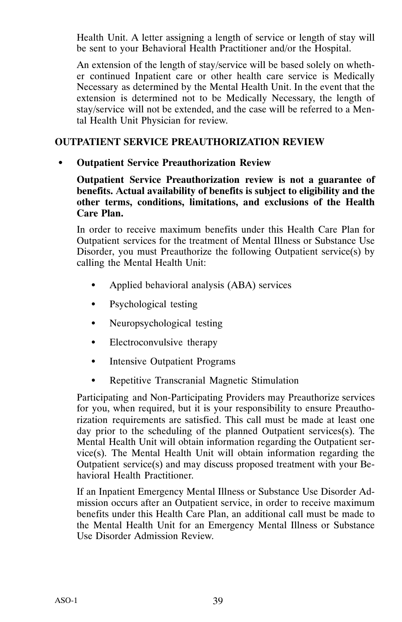Health Unit. A letter assigning a length of service or length of stay will be sent to your Behavioral Health Practitioner and/or the Hospital.

An extension of the length of stay/service will be based solely on whether continued Inpatient care or other health care service is Medically Necessary as determined by the Mental Health Unit. In the event that the extension is determined not to be Medically Necessary, the length of stay/service will not be extended, and the case will be referred to a Mental Health Unit Physician for review.

#### **OUTPATIENT SERVICE PREAUTHORIZATION REVIEW**

#### **Outpatient Service Preauthorization Review**

**Outpatient Service Preauthorization review is not a guarantee of benefits. Actual availability of benefits is subject to eligibility and the other terms, conditions, limitations, and exclusions of the Health Care Plan.**

In order to receive maximum benefits under this Health Care Plan for Outpatient services for the treatment of Mental Illness or Substance Use Disorder, you must Preauthorize the following Outpatient service(s) by calling the Mental Health Unit:

- -Applied behavioral analysis (ABA) services
- -Psychological testing
- $\bullet$ Neuropsychological testing
- $\bullet$ Electroconvulsive therapy
- $\bullet$ Intensive Outpatient Programs
- $\bullet$ Repetitive Transcranial Magnetic Stimulation

Participating and Non‐Participating Providers may Preauthorize services for you, when required, but it is your responsibility to ensure Preauthorization requirements are satisfied. This call must be made at least one day prior to the scheduling of the planned Outpatient services(s). The Mental Health Unit will obtain information regarding the Outpatient service(s). The Mental Health Unit will obtain information regarding the Outpatient service(s) and may discuss proposed treatment with your Behavioral Health Practitioner.

If an Inpatient Emergency Mental Illness or Substance Use Disorder Admission occurs after an Outpatient service, in order to receive maximum benefits under this Health Care Plan, an additional call must be made to the Mental Health Unit for an Emergency Mental Illness or Substance Use Disorder Admission Review.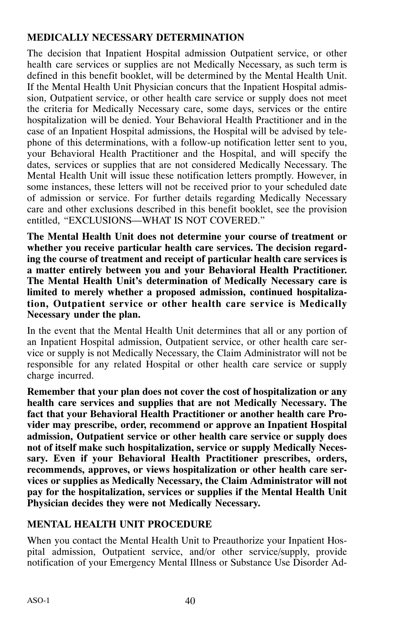# **MEDICALLY NECESSARY DETERMINATION**

The decision that Inpatient Hospital admission Outpatient service, or other health care services or supplies are not Medically Necessary, as such term is defined in this benefit booklet, will be determined by the Mental Health Unit. If the Mental Health Unit Physician concurs that the Inpatient Hospital admission, Outpatient service, or other health care service or supply does not meet the criteria for Medically Necessary care, some days, services or the entire hospitalization will be denied. Your Behavioral Health Practitioner and in the case of an Inpatient Hospital admissions, the Hospital will be advised by telephone of this determinations, with a follow‐up notification letter sent to you, your Behavioral Health Practitioner and the Hospital, and will specify the dates, services or supplies that are not considered Medically Necessary. The Mental Health Unit will issue these notification letters promptly. However, in some instances, these letters will not be received prior to your scheduled date of admission or service. For further details regarding Medically Necessary care and other exclusions described in this benefit booklet, see the provision entitled, "EXCLUSIONS—WHAT IS NOT COVERED."

**The Mental Health Unit does not determine your course of treatment or whether you receive particular health care services. The decision regarding the course of treatment and receipt of particular health care services is a matter entirely between you and your Behavioral Health Practitioner. The Mental Health Unit's determination of Medically Necessary care is limited to merely whether a proposed admission, continued hospitalization, Outpatient service or other health care service is Medically Necessary under the plan.**

In the event that the Mental Health Unit determines that all or any portion of an Inpatient Hospital admission, Outpatient service, or other health care service or supply is not Medically Necessary, the Claim Administrator will not be responsible for any related Hospital or other health care service or supply charge incurred.

**Remember that your plan does not cover the cost of hospitalization or any health care services and supplies that are not Medically Necessary. The fact that your Behavioral Health Practitioner or another health care Provider may prescribe, order, recommend or approve an Inpatient Hospital admission, Outpatient service or other health care service or supply does not of itself make such hospitalization, service or supply Medically Necessary. Even if your Behavioral Health Practitioner prescribes, orders, recommends, approves, or views hospitalization or other health care services or supplies as Medically Necessary, the Claim Administrator will not pay for the hospitalization, services or supplies if the Mental Health Unit Physician decides they were not Medically Necessary.**

#### **MENTAL HEALTH UNIT PROCEDURE**

When you contact the Mental Health Unit to Preauthorize your Inpatient Hospital admission, Outpatient service, and/or other service/supply, provide notification of your Emergency Mental Illness or Substance Use Disorder Ad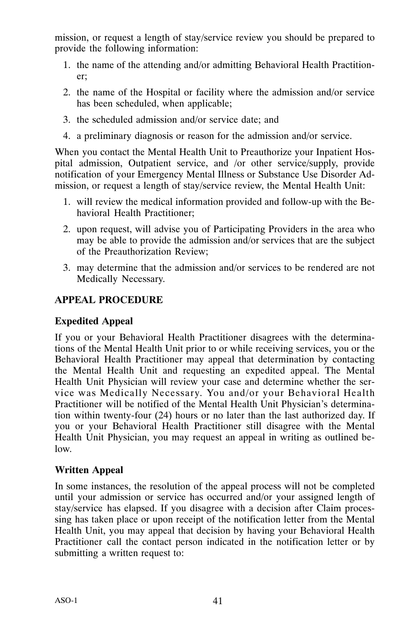mission, or request a length of stay/service review you should be prepared to provide the following information:

- 1. the name of the attending and/or admitting Behavioral Health Practitioner;
- 2. the name of the Hospital or facility where the admission and/or service has been scheduled, when applicable;
- 3. the scheduled admission and/or service date; and
- 4. a preliminary diagnosis or reason for the admission and/or service.

When you contact the Mental Health Unit to Preauthorize your Inpatient Hospital admission, Outpatient service, and /or other service/supply, provide notification of your Emergency Mental Illness or Substance Use Disorder Admission, or request a length of stay/service review, the Mental Health Unit:

- 1. will review the medical information provided and follow‐up with the Behavioral Health Practitioner;
- 2. upon request, will advise you of Participating Providers in the area who may be able to provide the admission and/or services that are the subject of the Preauthorization Review;
- 3. may determine that the admission and/or services to be rendered are not Medically Necessary.

# **APPEAL PROCEDURE**

#### **Expedited Appeal**

If you or your Behavioral Health Practitioner disagrees with the determinations of the Mental Health Unit prior to or while receiving services, you or the Behavioral Health Practitioner may appeal that determination by contacting the Mental Health Unit and requesting an expedited appeal. The Mental Health Unit Physician will review your case and determine whether the service was Medically Necessary. You and/or your Behavioral Health Practitioner will be notified of the Mental Health Unit Physician's determination within twenty‐four (24) hours or no later than the last authorized day. If you or your Behavioral Health Practitioner still disagree with the Mental Health Unit Physician, you may request an appeal in writing as outlined below.

#### **Written Appeal**

In some instances, the resolution of the appeal process will not be completed until your admission or service has occurred and/or your assigned length of stay/service has elapsed. If you disagree with a decision after Claim processing has taken place or upon receipt of the notification letter from the Mental Health Unit, you may appeal that decision by having your Behavioral Health Practitioner call the contact person indicated in the notification letter or by submitting a written request to: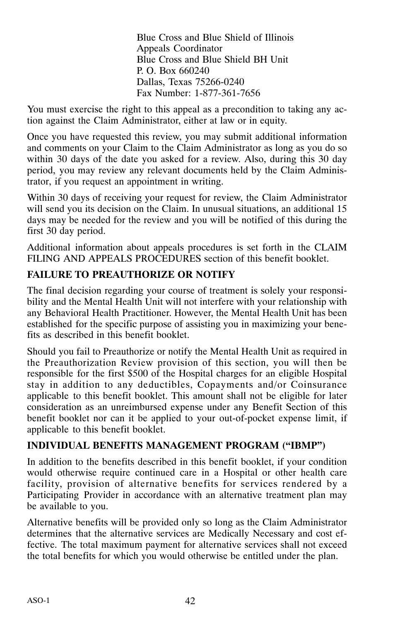Blue Cross and Blue Shield of Illinois Appeals Coordinator Blue Cross and Blue Shield BH Unit P. O. Box 660240 Dallas, Texas 75266‐0240 Fax Number: 1‐877‐361‐7656

You must exercise the right to this appeal as a precondition to taking any action against the Claim Administrator, either at law or in equity.

Once you have requested this review, you may submit additional information and comments on your Claim to the Claim Administrator as long as you do so within 30 days of the date you asked for a review. Also, during this 30 day period, you may review any relevant documents held by the Claim Administrator, if you request an appointment in writing.

Within 30 days of receiving your request for review, the Claim Administrator will send you its decision on the Claim. In unusual situations, an additional 15 days may be needed for the review and you will be notified of this during the first 30 day period.

Additional information about appeals procedures is set forth in the CLAIM FILING AND APPEALS PROCEDURES section of this benefit booklet.

# **FAILURE TO PREAUTHORIZE OR NOTIFY**

The final decision regarding your course of treatment is solely your responsibility and the Mental Health Unit will not interfere with your relationship with any Behavioral Health Practitioner. However, the Mental Health Unit has been established for the specific purpose of assisting you in maximizing your benefits as described in this benefit booklet.

Should you fail to Preauthorize or notify the Mental Health Unit as required in the Preauthorization Review provision of this section, you will then be responsible for the first \$500 of the Hospital charges for an eligible Hospital stay in addition to any deductibles, Copayments and/or Coinsurance applicable to this benefit booklet. This amount shall not be eligible for later consideration as an unreimbursed expense under any Benefit Section of this benefit booklet nor can it be applied to your out‐of‐pocket expense limit, if applicable to this benefit booklet.

# **INDIVIDUAL BENEFITS MANAGEMENT PROGRAM ("IBMP")**

In addition to the benefits described in this benefit booklet, if your condition would otherwise require continued care in a Hospital or other health care facility, provision of alternative benefits for services rendered by a Participating Provider in accordance with an alternative treatment plan may be available to you.

Alternative benefits will be provided only so long as the Claim Administrator determines that the alternative services are Medically Necessary and cost effective. The total maximum payment for alternative services shall not exceed the total benefits for which you would otherwise be entitled under the plan.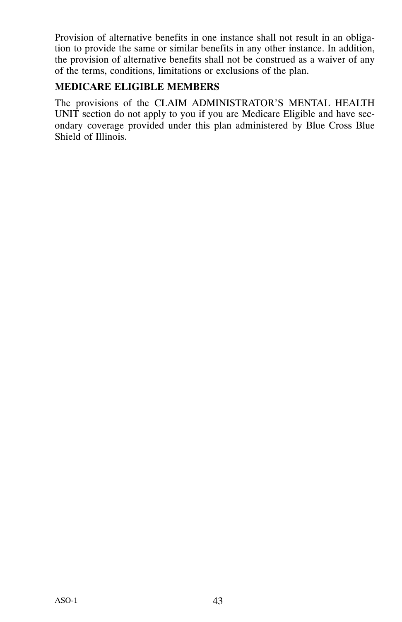Provision of alternative benefits in one instance shall not result in an obligation to provide the same or similar benefits in any other instance. In addition, the provision of alternative benefits shall not be construed as a waiver of any of the terms, conditions, limitations or exclusions of the plan.

#### **MEDICARE ELIGIBLE MEMBERS**

The provisions of the CLAIM ADMINISTRATOR'S MENTAL HEALTH UNIT section do not apply to you if you are Medicare Eligible and have secondary coverage provided under this plan administered by Blue Cross Blue Shield of Illinois.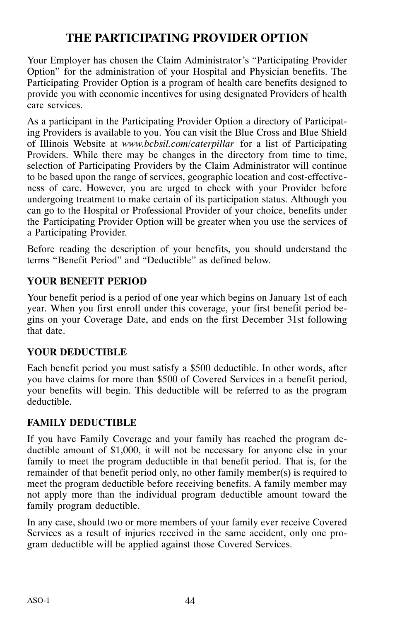# **THE PARTICIPATING PROVIDER OPTION**

Your Employer has chosen the Claim Administrator's "Participating Provider Option" for the administration of your Hospital and Physician benefits. The Participating Provider Option is a program of health care benefits designed to provide you with economic incentives for using designated Providers of health care services.

As a participant in the Participating Provider Option a directory of Participating Providers is available to you. You can visit the Blue Cross and Blue Shield of Illinois Website at *www.bcbsil.com/caterpillar* for a list of Participating Providers. While there may be changes in the directory from time to time, selection of Participating Providers by the Claim Administrator will continue to be based upon the range of services, geographic location and cost-effectiveness of care. However, you are urged to check with your Provider before undergoing treatment to make certain of its participation status. Although you can go to the Hospital or Professional Provider of your choice, benefits under the Participating Provider Option will be greater when you use the services of a Participating Provider.

Before reading the description of your benefits, you should understand the terms "Benefit Period" and "Deductible" as defined below.

#### **YOUR BENEFIT PERIOD**

Your benefit period is a period of one year which begins on January 1st of each year. When you first enroll under this coverage, your first benefit period begins on your Coverage Date, and ends on the first December 31st following that date.

#### **YOUR DEDUCTIBLE**

Each benefit period you must satisfy a \$500 deductible. In other words, after you have claims for more than \$500 of Covered Services in a benefit period, your benefits will begin. This deductible will be referred to as the program deductible.

# **FAMILY DEDUCTIBLE**

If you have Family Coverage and your family has reached the program deductible amount of \$1,000, it will not be necessary for anyone else in your family to meet the program deductible in that benefit period. That is, for the remainder of that benefit period only, no other family member(s) is required to meet the program deductible before receiving benefits. A family member may not apply more than the individual program deductible amount toward the family program deductible.

In any case, should two or more members of your family ever receive Covered Services as a result of injuries received in the same accident, only one program deductible will be applied against those Covered Services.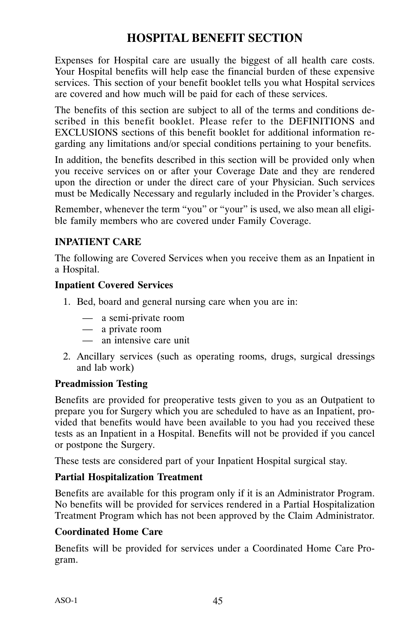# **HOSPITAL BENEFIT SECTION**

Expenses for Hospital care are usually the biggest of all health care costs. Your Hospital benefits will help ease the financial burden of these expensive services. This section of your benefit booklet tells you what Hospital services are covered and how much will be paid for each of these services.

The benefits of this section are subject to all of the terms and conditions described in this benefit booklet. Please refer to the DEFINITIONS and EXCLUSIONS sections of this benefit booklet for additional information regarding any limitations and/or special conditions pertaining to your benefits.

In addition, the benefits described in this section will be provided only when you receive services on or after your Coverage Date and they are rendered upon the direction or under the direct care of your Physician. Such services must be Medically Necessary and regularly included in the Provider's charges.

Remember, whenever the term "you" or "your" is used, we also mean all eligible family members who are covered under Family Coverage.

# **INPATIENT CARE**

The following are Covered Services when you receive them as an Inpatient in a Hospital.

#### **Inpatient Covered Services**

- 1. Bed, board and general nursing care when you are in:
	- a semi‐private room
	- a private room
	- an intensive care unit
- 2. Ancillary services (such as operating rooms, drugs, surgical dressings and lab work)

#### **Preadmission Testing**

Benefits are provided for preoperative tests given to you as an Outpatient to prepare you for Surgery which you are scheduled to have as an Inpatient, provided that benefits would have been available to you had you received these tests as an Inpatient in a Hospital. Benefits will not be provided if you cancel or postpone the Surgery.

These tests are considered part of your Inpatient Hospital surgical stay.

#### **Partial Hospitalization Treatment**

Benefits are available for this program only if it is an Administrator Program. No benefits will be provided for services rendered in a Partial Hospitalization Treatment Program which has not been approved by the Claim Administrator.

#### **Coordinated Home Care**

Benefits will be provided for services under a Coordinated Home Care Program.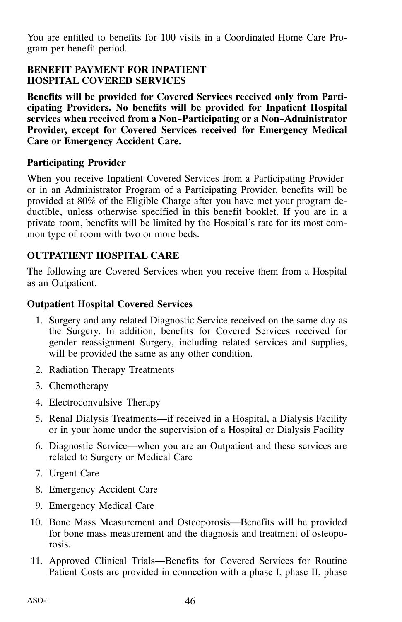You are entitled to benefits for 100 visits in a Coordinated Home Care Program per benefit period.

#### **BENEFIT PAYMENT FOR INPATIENT HOSPITAL COVERED SERVICES**

**Benefits will be provided for Covered Services received only from Participating Providers. No benefits will be provided for Inpatient Hospital services when received from a Non-Participating or a Non-Administrator Provider, except for Covered Services received for Emergency Medical Care or Emergency Accident Care.**

# **Participating Provider**

When you receive Inpatient Covered Services from a Participating Provider or in an Administrator Program of a Participating Provider, benefits will be provided at 80% of the Eligible Charge after you have met your program deductible, unless otherwise specified in this benefit booklet. If you are in a private room, benefits will be limited by the Hospital's rate for its most common type of room with two or more beds.

# **OUTPATIENT HOSPITAL CARE**

The following are Covered Services when you receive them from a Hospital as an Outpatient.

# **Outpatient Hospital Covered Services**

- 1. Surgery and any related Diagnostic Service received on the same day as the Surgery. In addition, benefits for Covered Services received for gender reassignment Surgery, including related services and supplies, will be provided the same as any other condition.
- 2. Radiation Therapy Treatments
- 3. Chemotherapy
- 4. Electroconvulsive Therapy
- 5. Renal Dialysis Treatments—if received in a Hospital, a Dialysis Facility or in your home under the supervision of a Hospital or Dialysis Facility
- 6. Diagnostic Service—when you are an Outpatient and these services are related to Surgery or Medical Care
- 7. Urgent Care
- 8. Emergency Accident Care
- 9. Emergency Medical Care
- 10. Bone Mass Measurement and Osteoporosis—Benefits will be provided for bone mass measurement and the diagnosis and treatment of osteoporosis.
- 11. Approved Clinical Trials—Benefits for Covered Services for Routine Patient Costs are provided in connection with a phase I, phase II, phase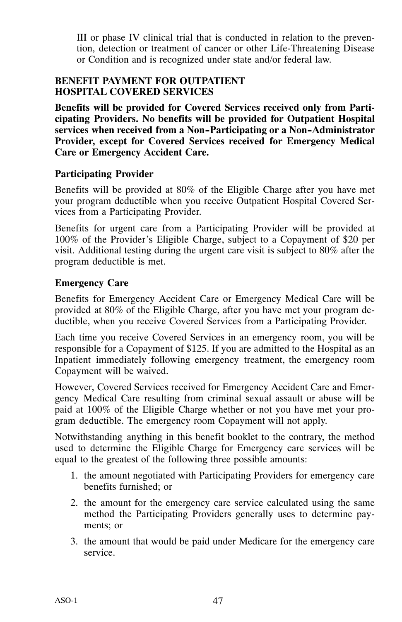III or phase IV clinical trial that is conducted in relation to the prevention, detection or treatment of cancer or other Life‐Threatening Disease or Condition and is recognized under state and/or federal law.

#### **BENEFIT PAYMENT FOR OUTPATIENT HOSPITAL COVERED SERVICES**

**Benefits will be provided for Covered Services received only from Participating Providers. No benefits will be provided for Outpatient Hospital services when received from a Non-Participating or a Non-Administrator Provider, except for Covered Services received for Emergency Medical Care or Emergency Accident Care.**

#### **Participating Provider**

Benefits will be provided at 80% of the Eligible Charge after you have met your program deductible when you receive Outpatient Hospital Covered Services from a Participating Provider.

Benefits for urgent care from a Participating Provider will be provided at 100% of the Provider's Eligible Charge, subject to a Copayment of \$20 per visit. Additional testing during the urgent care visit is subject to 80% after the program deductible is met.

# **Emergency Care**

Benefits for Emergency Accident Care or Emergency Medical Care will be provided at 80% of the Eligible Charge, after you have met your program deductible, when you receive Covered Services from a Participating Provider.

Each time you receive Covered Services in an emergency room, you will be responsible for a Copayment of \$125. If you are admitted to the Hospital as an Inpatient immediately following emergency treatment, the emergency room Copayment will be waived.

However, Covered Services received for Emergency Accident Care and Emergency Medical Care resulting from criminal sexual assault or abuse will be paid at 100% of the Eligible Charge whether or not you have met your program deductible. The emergency room Copayment will not apply.

Notwithstanding anything in this benefit booklet to the contrary, the method used to determine the Eligible Charge for Emergency care services will be equal to the greatest of the following three possible amounts:

- 1. the amount negotiated with Participating Providers for emergency care benefits furnished; or
- 2. the amount for the emergency care service calculated using the same method the Participating Providers generally uses to determine payments; or
- 3. the amount that would be paid under Medicare for the emergency care service.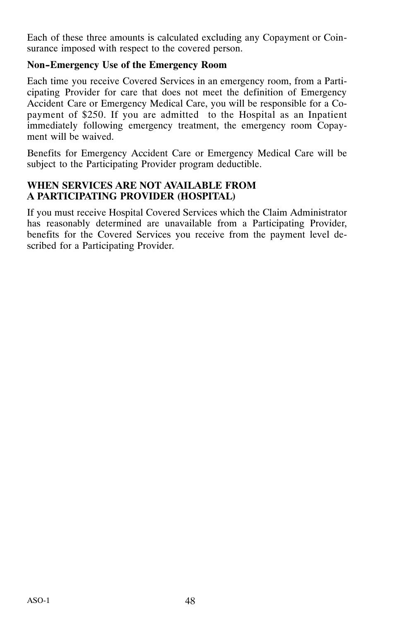Each of these three amounts is calculated excluding any Copayment or Coinsurance imposed with respect to the covered person.

### **Non-Emergency Use of the Emergency Room**

Each time you receive Covered Services in an emergency room, from a Participating Provider for care that does not meet the definition of Emergency Accident Care or Emergency Medical Care, you will be responsible for a Copayment of \$250. If you are admitted to the Hospital as an Inpatient immediately following emergency treatment, the emergency room Copayment will be waived.

Benefits for Emergency Accident Care or Emergency Medical Care will be subject to the Participating Provider program deductible.

#### **WHEN SERVICES ARE NOT AVAILABLE FROM A PARTICIPATING PROVIDER (HOSPITAL)**

If you must receive Hospital Covered Services which the Claim Administrator has reasonably determined are unavailable from a Participating Provider, benefits for the Covered Services you receive from the payment level described for a Participating Provider.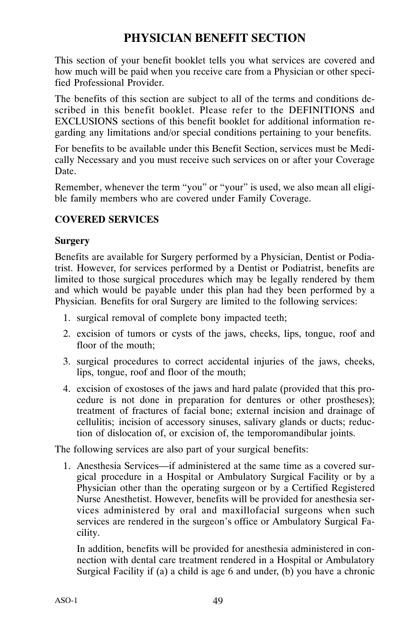# **PHYSICIAN BENEFIT SECTION**

This section of your benefit booklet tells you what services are covered and how much will be paid when you receive care from a Physician or other specified Professional Provider.

The benefits of this section are subject to all of the terms and conditions described in this benefit booklet. Please refer to the DEFINITIONS and EXCLUSIONS sections of this benefit booklet for additional information regarding any limitations and/or special conditions pertaining to your benefits.

For benefits to be available under this Benefit Section, services must be Medically Necessary and you must receive such services on or after your Coverage Date.

Remember, whenever the term "you" or "your" is used, we also mean all eligible family members who are covered under Family Coverage.

# **COVERED SERVICES**

#### **Surgery**

Benefits are available for Surgery performed by a Physician, Dentist or Podiatrist. However, for services performed by a Dentist or Podiatrist, benefits are limited to those surgical procedures which may be legally rendered by them and which would be payable under this plan had they been performed by a Physician. Benefits for oral Surgery are limited to the following services:

- 1. surgical removal of complete bony impacted teeth;
- 2. excision of tumors or cysts of the jaws, cheeks, lips, tongue, roof and floor of the mouth;
- 3. surgical procedures to correct accidental injuries of the jaws, cheeks, lips, tongue, roof and floor of the mouth;
- 4. excision of exostoses of the jaws and hard palate (provided that this procedure is not done in preparation for dentures or other prostheses); treatment of fractures of facial bone; external incision and drainage of cellulitis; incision of accessory sinuses, salivary glands or ducts; reduction of dislocation of, or excision of, the temporomandibular joints.

The following services are also part of your surgical benefits:

1. Anesthesia Services—if administered at the same time as a covered surgical procedure in a Hospital or Ambulatory Surgical Facility or by a Physician other than the operating surgeon or by a Certified Registered Nurse Anesthetist. However, benefits will be provided for anesthesia services administered by oral and maxillofacial surgeons when such services are rendered in the surgeon's office or Ambulatory Surgical Facility.

In addition, benefits will be provided for anesthesia administered in connection with dental care treatment rendered in a Hospital or Ambulatory Surgical Facility if (a) a child is age 6 and under, (b) you have a chronic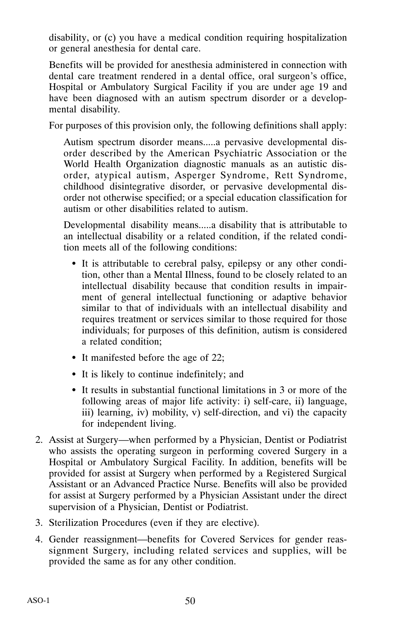disability, or (c) you have a medical condition requiring hospitalization or general anesthesia for dental care.

Benefits will be provided for anesthesia administered in connection with dental care treatment rendered in a dental office, oral surgeon's office, Hospital or Ambulatory Surgical Facility if you are under age 19 and have been diagnosed with an autism spectrum disorder or a developmental disability.

For purposes of this provision only, the following definitions shall apply:

Autism spectrum disorder means.....a pervasive developmental disorder described by the American Psychiatric Association or the World Health Organization diagnostic manuals as an autistic disorder, atypical autism, Asperger Syndrome, Rett Syndrome, childhood disintegrative disorder, or pervasive developmental disorder not otherwise specified; or a special education classification for autism or other disabilities related to autism.

Developmental disability means.....a disability that is attributable to an intellectual disability or a related condition, if the related condition meets all of the following conditions:

- It is attributable to cerebral palsy, epilepsy or any other condition, other than a Mental Illness, found to be closely related to an intellectual disability because that condition results in impairment of general intellectual functioning or adaptive behavior similar to that of individuals with an intellectual disability and requires treatment or services similar to those required for those individuals; for purposes of this definition, autism is considered a related condition;
- It manifested before the age of 22;
- It is likely to continue indefinitely; and
- It results in substantial functional limitations in 3 or more of the following areas of major life activity: i) self-care, ii) language, iii) learning, iv) mobility, v) self-direction, and vi) the capacity for independent living.
- 2. Assist at Surgery—when performed by a Physician, Dentist or Podiatrist who assists the operating surgeon in performing covered Surgery in a Hospital or Ambulatory Surgical Facility. In addition, benefits will be provided for assist at Surgery when performed by a Registered Surgical Assistant or an Advanced Practice Nurse. Benefits will also be provided for assist at Surgery performed by a Physician Assistant under the direct supervision of a Physician, Dentist or Podiatrist.
- 3. Sterilization Procedures (even if they are elective).
- 4. Gender reassignment—benefits for Covered Services for gender reassignment Surgery, including related services and supplies, will be provided the same as for any other condition.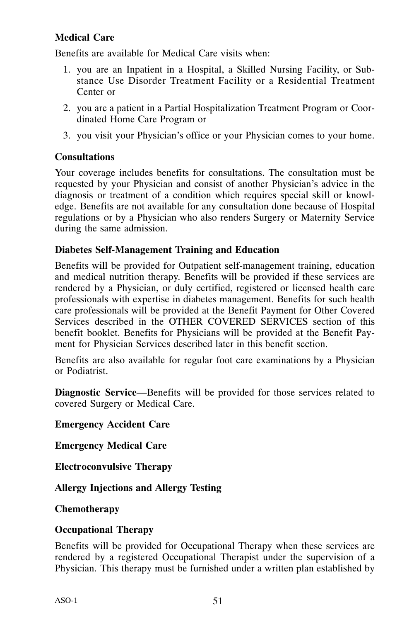# **Medical Care**

Benefits are available for Medical Care visits when:

- 1. you are an Inpatient in a Hospital, a Skilled Nursing Facility, or Substance Use Disorder Treatment Facility or a Residential Treatment Center or
- 2. you are a patient in a Partial Hospitalization Treatment Program or Coordinated Home Care Program or
- 3. you visit your Physician's office or your Physician comes to your home.

# **Consultations**

Your coverage includes benefits for consultations. The consultation must be requested by your Physician and consist of another Physician's advice in the diagnosis or treatment of a condition which requires special skill or knowledge. Benefits are not available for any consultation done because of Hospital regulations or by a Physician who also renders Surgery or Maternity Service during the same admission.

# **Diabetes Self‐Management Training and Education**

Benefits will be provided for Outpatient self-management training, education and medical nutrition therapy. Benefits will be provided if these services are rendered by a Physician, or duly certified, registered or licensed health care professionals with expertise in diabetes management. Benefits for such health care professionals will be provided at the Benefit Payment for Other Covered Services described in the OTHER COVERED SERVICES section of this benefit booklet. Benefits for Physicians will be provided at the Benefit Payment for Physician Services described later in this benefit section.

Benefits are also available for regular foot care examinations by a Physician or Podiatrist.

**Diagnostic Service**—Benefits will be provided for those services related to covered Surgery or Medical Care.

**Emergency Accident Care**

**Emergency Medical Care**

**Electroconvulsive Therapy**

**Allergy Injections and Allergy Testing**

**Chemotherapy**

# **Occupational Therapy**

Benefits will be provided for Occupational Therapy when these services are rendered by a registered Occupational Therapist under the supervision of a Physician. This therapy must be furnished under a written plan established by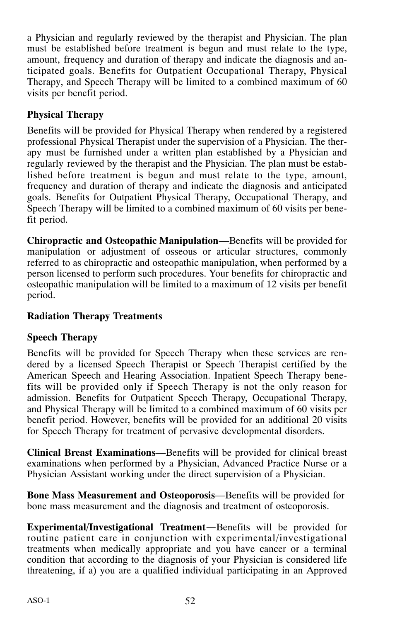a Physician and regularly reviewed by the therapist and Physician. The plan must be established before treatment is begun and must relate to the type, amount, frequency and duration of therapy and indicate the diagnosis and anticipated goals. Benefits for Outpatient Occupational Therapy, Physical Therapy, and Speech Therapy will be limited to a combined maximum of 60 visits per benefit period.

# **Physical Therapy**

Benefits will be provided for Physical Therapy when rendered by a registered professional Physical Therapist under the supervision of a Physician. The therapy must be furnished under a written plan established by a Physician and regularly reviewed by the therapist and the Physician. The plan must be established before treatment is begun and must relate to the type, amount, frequency and duration of therapy and indicate the diagnosis and anticipated goals. Benefits for Outpatient Physical Therapy, Occupational Therapy, and Speech Therapy will be limited to a combined maximum of 60 visits per benefit period.

**Chiropractic and Osteopathic Manipulation**—Benefits will be provided for manipulation or adjustment of osseous or articular structures, commonly referred to as chiropractic and osteopathic manipulation, when performed by a person licensed to perform such procedures. Your benefits for chiropractic and osteopathic manipulation will be limited to a maximum of 12 visits per benefit period.

# **Radiation Therapy Treatments**

# **Speech Therapy**

Benefits will be provided for Speech Therapy when these services are rendered by a licensed Speech Therapist or Speech Therapist certified by the American Speech and Hearing Association. Inpatient Speech Therapy benefits will be provided only if Speech Therapy is not the only reason for admission. Benefits for Outpatient Speech Therapy, Occupational Therapy, and Physical Therapy will be limited to a combined maximum of 60 visits per benefit period. However, benefits will be provided for an additional 20 visits for Speech Therapy for treatment of pervasive developmental disorders.

**Clinical Breast Examinations**—Benefits will be provided for clinical breast examinations when performed by a Physician, Advanced Practice Nurse or a Physician Assistant working under the direct supervision of a Physician.

**Bone Mass Measurement and Osteoporosis**—Benefits will be provided for bone mass measurement and the diagnosis and treatment of osteoporosis.

**Experimental/Investigational Treatment**—Benefits will be provided for routine patient care in conjunction with experimental/investigational treatments when medically appropriate and you have cancer or a terminal condition that according to the diagnosis of your Physician is considered life threatening, if a) you are a qualified individual participating in an Approved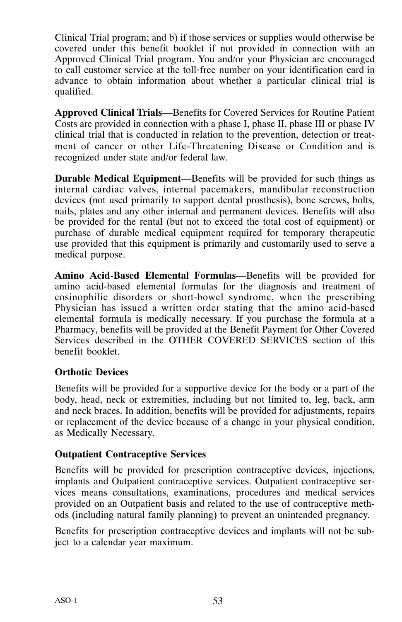Clinical Trial program; and b) if those services or supplies would otherwise be covered under this benefit booklet if not provided in connection with an Approved Clinical Trial program. You and/or your Physician are encouraged to call customer service at the toll‐free number on your identification card in advance to obtain information about whether a particular clinical trial is qualified.

**Approved Clinical Trials**—Benefits for Covered Services for Routine Patient Costs are provided in connection with a phase I, phase II, phase III or phase IV clinical trial that is conducted in relation to the prevention, detection or treatment of cancer or other Life‐Threatening Disease or Condition and is recognized under state and/or federal law.

**Durable Medical Equipment**—Benefits will be provided for such things as internal cardiac valves, internal pacemakers, mandibular reconstruction devices (not used primarily to support dental prosthesis), bone screws, bolts, nails, plates and any other internal and permanent devices. Benefits will also be provided for the rental (but not to exceed the total cost of equipment) or purchase of durable medical equipment required for temporary therapeutic use provided that this equipment is primarily and customarily used to serve a medical purpose.

**Amino Acid‐Based Elemental Formulas**—Benefits will be provided for amino acid‐based elemental formulas for the diagnosis and treatment of eosinophilic disorders or short‐bowel syndrome, when the prescribing Physician has issued a written order stating that the amino acid‐based elemental formula is medically necessary. If you purchase the formula at a Pharmacy, benefits will be provided at the Benefit Payment for Other Covered Services described in the OTHER COVERED SERVICES section of this benefit booklet.

#### **Orthotic Devices**

Benefits will be provided for a supportive device for the body or a part of the body, head, neck or extremities, including but not limited to, leg, back, arm and neck braces. In addition, benefits will be provided for adjustments, repairs or replacement of the device because of a change in your physical condition, as Medically Necessary.

#### **Outpatient Contraceptive Services**

Benefits will be provided for prescription contraceptive devices, injections, implants and Outpatient contraceptive services. Outpatient contraceptive services means consultations, examinations, procedures and medical services provided on an Outpatient basis and related to the use of contraceptive methods (including natural family planning) to prevent an unintended pregnancy.

Benefits for prescription contraceptive devices and implants will not be subject to a calendar year maximum.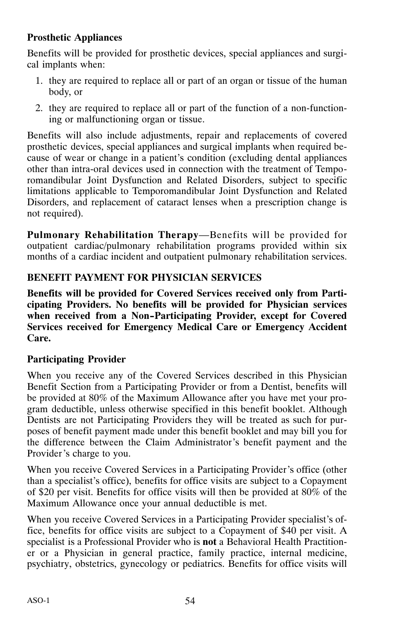# **Prosthetic Appliances**

Benefits will be provided for prosthetic devices, special appliances and surgical implants when:

- 1. they are required to replace all or part of an organ or tissue of the human body, or
- 2. they are required to replace all or part of the function of a non‐functioning or malfunctioning organ or tissue.

Benefits will also include adjustments, repair and replacements of covered prosthetic devices, special appliances and surgical implants when required because of wear or change in a patient's condition (excluding dental appliances other than intra‐oral devices used in connection with the treatment of Temporomandibular Joint Dysfunction and Related Disorders, subject to specific limitations applicable to Temporomandibular Joint Dysfunction and Related Disorders, and replacement of cataract lenses when a prescription change is not required).

**Pulmonary Rehabilitation Therapy**—Benefits will be provided for outpatient cardiac/pulmonary rehabilitation programs provided within six months of a cardiac incident and outpatient pulmonary rehabilitation services.

# **BENEFIT PAYMENT FOR PHYSICIAN SERVICES**

**Benefits will be provided for Covered Services received only from Participating Providers. No benefits will be provided for Physician services when received from a Non-Participating Provider, except for Covered Services received for Emergency Medical Care or Emergency Accident Care.**

# **Participating Provider**

When you receive any of the Covered Services described in this Physician Benefit Section from a Participating Provider or from a Dentist, benefits will be provided at 80% of the Maximum Allowance after you have met your program deductible, unless otherwise specified in this benefit booklet. Although Dentists are not Participating Providers they will be treated as such for purposes of benefit payment made under this benefit booklet and may bill you for the difference between the Claim Administrator's benefit payment and the Provider's charge to you.

When you receive Covered Services in a Participating Provider's office (other than a specialist's office), benefits for office visits are subject to a Copayment of \$20 per visit. Benefits for office visits will then be provided at 80% of the Maximum Allowance once your annual deductible is met.

When you receive Covered Services in a Participating Provider specialist's office, benefits for office visits are subject to a Copayment of \$40 per visit. A specialist is a Professional Provider who is **not** a Behavioral Health Practitioner or a Physician in general practice, family practice, internal medicine, psychiatry, obstetrics, gynecology or pediatrics. Benefits for office visits will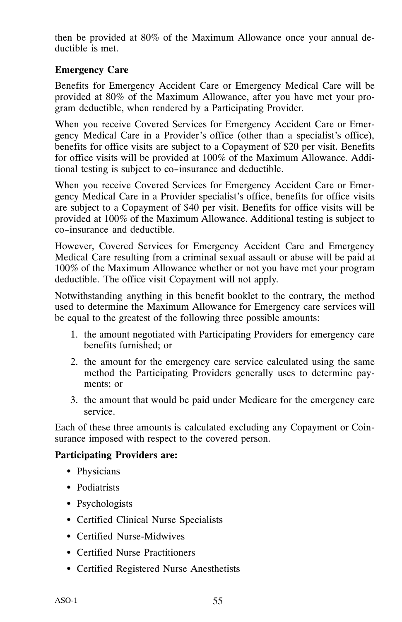then be provided at 80% of the Maximum Allowance once your annual deductible is met.

# **Emergency Care**

Benefits for Emergency Accident Care or Emergency Medical Care will be provided at 80% of the Maximum Allowance, after you have met your program deductible, when rendered by a Participating Provider.

When you receive Covered Services for Emergency Accident Care or Emergency Medical Care in a Provider's office (other than a specialist's office), benefits for office visits are subject to a Copayment of \$20 per visit. Benefits for office visits will be provided at 100% of the Maximum Allowance. Additional testing is subject to co-insurance and deductible.

When you receive Covered Services for Emergency Accident Care or Emergency Medical Care in a Provider specialist's office, benefits for office visits are subject to a Copayment of \$40 per visit. Benefits for office visits will be provided at 100% of the Maximum Allowance. Additional testing is subject to co-insurance and deductible.

However, Covered Services for Emergency Accident Care and Emergency Medical Care resulting from a criminal sexual assault or abuse will be paid at 100% of the Maximum Allowance whether or not you have met your program deductible. The office visit Copayment will not apply.

Notwithstanding anything in this benefit booklet to the contrary, the method used to determine the Maximum Allowance for Emergency care services will be equal to the greatest of the following three possible amounts:

- 1. the amount negotiated with Participating Providers for emergency care benefits furnished; or
- 2. the amount for the emergency care service calculated using the same method the Participating Providers generally uses to determine payments; or
- 3. the amount that would be paid under Medicare for the emergency care service.

Each of these three amounts is calculated excluding any Copayment or Coinsurance imposed with respect to the covered person.

# **Participating Providers are:**

- Physicians
- Podiatrists
- Psychologists
- Certified Clinical Nurse Specialists
- Certified Nurse-Midwives
- Certified Nurse Practitioners
- Certified Registered Nurse Anesthetists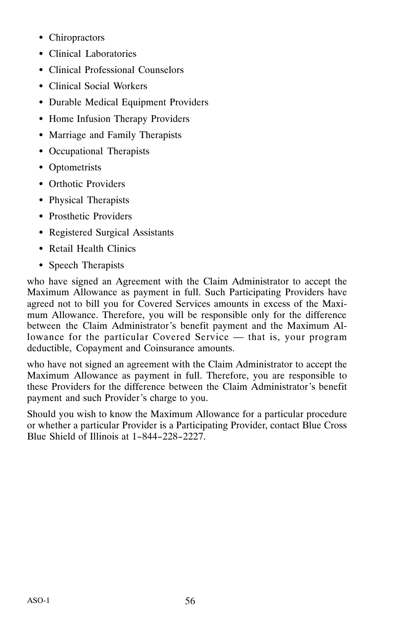- Chiropractors
- Clinical Laboratories
- Clinical Professional Counselors
- Clinical Social Workers
- Durable Medical Equipment Providers
- Home Infusion Therapy Providers
- Marriage and Family Therapists
- Occupational Therapists
- Optometrists
- Orthotic Providers
- Physical Therapists
- Prosthetic Providers
- Registered Surgical Assistants
- Retail Health Clinics
- Speech Therapists

who have signed an Agreement with the Claim Administrator to accept the Maximum Allowance as payment in full. Such Participating Providers have agreed not to bill you for Covered Services amounts in excess of the Maximum Allowance. Therefore, you will be responsible only for the difference between the Claim Administrator's benefit payment and the Maximum Allowance for the particular Covered Service — that is, your program deductible, Copayment and Coinsurance amounts.

who have not signed an agreement with the Claim Administrator to accept the Maximum Allowance as payment in full. Therefore, you are responsible to these Providers for the difference between the Claim Administrator's benefit payment and such Provider's charge to you.

Should you wish to know the Maximum Allowance for a particular procedure or whether a particular Provider is a Participating Provider, contact Blue Cross Blue Shield of Illinois at 1-844-228-2227.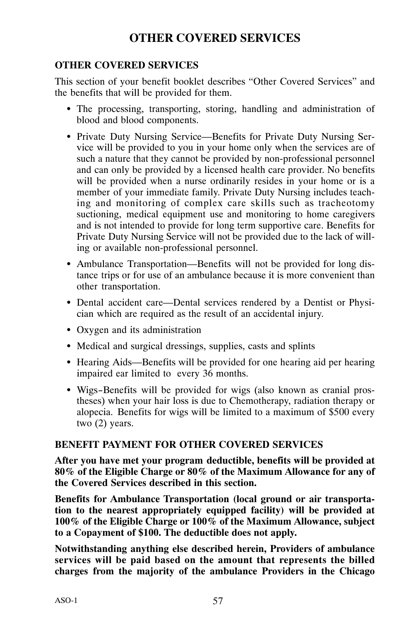# **OTHER COVERED SERVICES**

# **OTHER COVERED SERVICES**

This section of your benefit booklet describes "Other Covered Services" and the benefits that will be provided for them.

- The processing, transporting, storing, handling and administration of blood and blood components.
- Private Duty Nursing Service—Benefits for Private Duty Nursing Service will be provided to you in your home only when the services are of such a nature that they cannot be provided by non‐professional personnel and can only be provided by a licensed health care provider. No benefits will be provided when a nurse ordinarily resides in your home or is a member of your immediate family. Private Duty Nursing includes teaching and monitoring of complex care skills such as tracheotomy suctioning, medical equipment use and monitoring to home caregivers and is not intended to provide for long term supportive care. Benefits for Private Duty Nursing Service will not be provided due to the lack of willing or available non‐professional personnel.
- Ambulance Transportation—Benefits will not be provided for long distance trips or for use of an ambulance because it is more convenient than other transportation.
- Dental accident care—Dental services rendered by a Dentist or Physician which are required as the result of an accidental injury.
- Oxygen and its administration
- Medical and surgical dressings, supplies, casts and splints
- Hearing Aids—Benefits will be provided for one hearing aid per hearing impaired ear limited to every 36 months.
- Wigs-Benefits will be provided for wigs (also known as cranial prostheses) when your hair loss is due to Chemotherapy, radiation therapy or alopecia. Benefits for wigs will be limited to a maximum of \$500 every two (2) years.

#### **BENEFIT PAYMENT FOR OTHER COVERED SERVICES**

**After you have met your program deductible, benefits will be provided at 80% of the Eligible Charge or 80% of the Maximum Allowance for any of the Covered Services described in this section.**

**Benefits for Ambulance Transportation (local ground or air transportation to the nearest appropriately equipped facility) will be provided at 100% of the Eligible Charge or 100% of the Maximum Allowance, subject to a Copayment of \$100. The deductible does not apply.**

**Notwithstanding anything else described herein, Providers of ambulance services will be paid based on the amount that represents the billed charges from the majority of the ambulance Providers in the Chicago**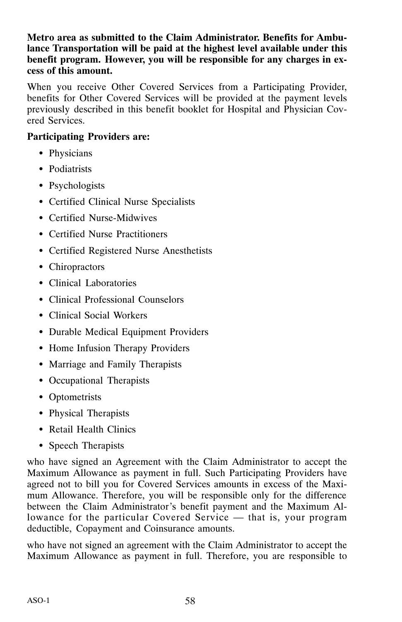#### **Metro area as submitted to the Claim Administrator. Benefits for Ambulance Transportation will be paid at the highest level available under this benefit program. However, you will be responsible for any charges in excess of this amount.**

When you receive Other Covered Services from a Participating Provider, benefits for Other Covered Services will be provided at the payment levels previously described in this benefit booklet for Hospital and Physician Covered Services.

# **Participating Providers are:**

- Physicians
- Podiatrists
- Psychologists
- Certified Clinical Nurse Specialists
- Certified Nurse-Midwives
- Certified Nurse Practitioners
- Certified Registered Nurse Anesthetists
- Chiropractors
- Clinical Laboratories
- Clinical Professional Counselors
- Clinical Social Workers
- Durable Medical Equipment Providers
- Home Infusion Therapy Providers
- Marriage and Family Therapists
- Occupational Therapists
- Optometrists
- Physical Therapists
- Retail Health Clinics
- Speech Therapists

who have signed an Agreement with the Claim Administrator to accept the Maximum Allowance as payment in full. Such Participating Providers have agreed not to bill you for Covered Services amounts in excess of the Maximum Allowance. Therefore, you will be responsible only for the difference between the Claim Administrator's benefit payment and the Maximum Allowance for the particular Covered Service — that is, your program deductible, Copayment and Coinsurance amounts.

who have not signed an agreement with the Claim Administrator to accept the Maximum Allowance as payment in full. Therefore, you are responsible to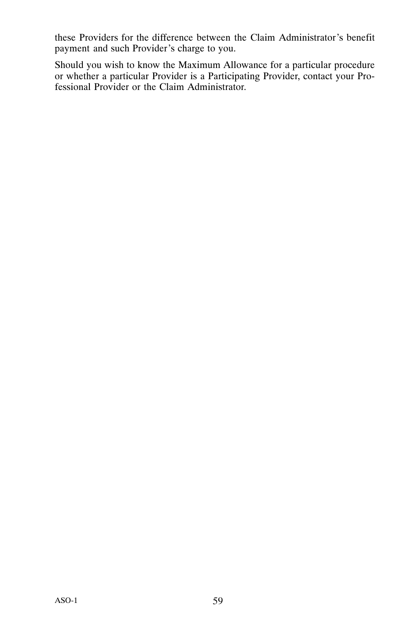these Providers for the difference between the Claim Administrator's benefit payment and such Provider's charge to you.

Should you wish to know the Maximum Allowance for a particular procedure or whether a particular Provider is a Participating Provider, contact your Professional Provider or the Claim Administrator.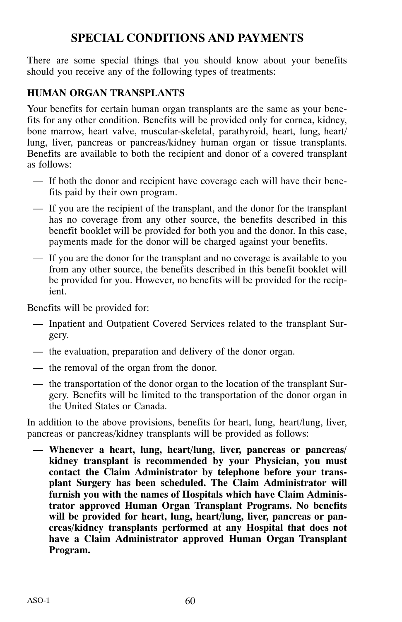# **SPECIAL CONDITIONS AND PAYMENTS**

There are some special things that you should know about your benefits should you receive any of the following types of treatments:

### **HUMAN ORGAN TRANSPLANTS**

Your benefits for certain human organ transplants are the same as your benefits for any other condition. Benefits will be provided only for cornea, kidney, bone marrow, heart valve, muscular-skeletal, parathyroid, heart, lung, heart/ lung, liver, pancreas or pancreas/kidney human organ or tissue transplants. Benefits are available to both the recipient and donor of a covered transplant as follows:

- If both the donor and recipient have coverage each will have their benefits paid by their own program.
- If you are the recipient of the transplant, and the donor for the transplant has no coverage from any other source, the benefits described in this benefit booklet will be provided for both you and the donor. In this case, payments made for the donor will be charged against your benefits.
- If you are the donor for the transplant and no coverage is available to you from any other source, the benefits described in this benefit booklet will be provided for you. However, no benefits will be provided for the recipient.

Benefits will be provided for:

- Inpatient and Outpatient Covered Services related to the transplant Surgery.
- the evaluation, preparation and delivery of the donor organ.
- the removal of the organ from the donor.
- the transportation of the donor organ to the location of the transplant Surgery. Benefits will be limited to the transportation of the donor organ in the United States or Canada.

In addition to the above provisions, benefits for heart, lung, heart/lung, liver, pancreas or pancreas/kidney transplants will be provided as follows:

— **Whenever a heart, lung, heart/lung, liver, pancreas or pancreas/ kidney transplant is recommended by your Physician, you must contact the Claim Administrator by telephone before your transplant Surgery has been scheduled. The Claim Administrator will furnish you with the names of Hospitals which have Claim Administrator approved Human Organ Transplant Programs. No benefits will be provided for heart, lung, heart/lung, liver, pancreas or pancreas/kidney transplants performed at any Hospital that does not have a Claim Administrator approved Human Organ Transplant Program.**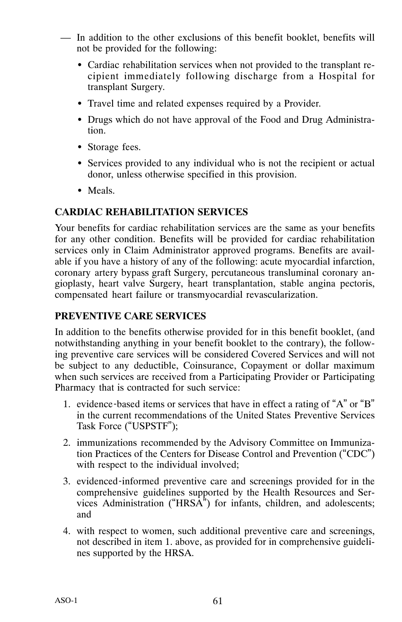- In addition to the other exclusions of this benefit booklet, benefits will not be provided for the following:
	- Cardiac rehabilitation services when not provided to the transplant recipient immediately following discharge from a Hospital for transplant Surgery.
	- Travel time and related expenses required by a Provider.
	- Drugs which do not have approval of the Food and Drug Administration.
	- Storage fees.
	- Services provided to any individual who is not the recipient or actual donor, unless otherwise specified in this provision.
	- Meals.

#### **CARDIAC REHABILITATION SERVICES**

Your benefits for cardiac rehabilitation services are the same as your benefits for any other condition. Benefits will be provided for cardiac rehabilitation services only in Claim Administrator approved programs. Benefits are available if you have a history of any of the following: acute myocardial infarction, coronary artery bypass graft Surgery, percutaneous transluminal coronary angioplasty, heart valve Surgery, heart transplantation, stable angina pectoris, compensated heart failure or transmyocardial revascularization.

#### **PREVENTIVE CARE SERVICES**

In addition to the benefits otherwise provided for in this benefit booklet, (and notwithstanding anything in your benefit booklet to the contrary), the following preventive care services will be considered Covered Services and will not be subject to any deductible, Coinsurance, Copayment or dollar maximum when such services are received from a Participating Provider or Participating Pharmacy that is contracted for such service:

- 1. evidence-based items or services that have in effect a rating of "A" or "B" in the current recommendations of the United States Preventive Services Task Force ("USPSTF");
- 2. immunizations recommended by the Advisory Committee on Immunization Practices of the Centers for Disease Control and Prevention ("CDC") with respect to the individual involved;
- 3. evidenced‐informed preventive care and screenings provided for in the comprehensive guidelines supported by the Health Resources and Services Administration ("HRSA") for infants, children, and adolescents; and
- 4. with respect to women, such additional preventive care and screenings, not described in item 1. above, as provided for in comprehensive guidelines supported by the HRSA.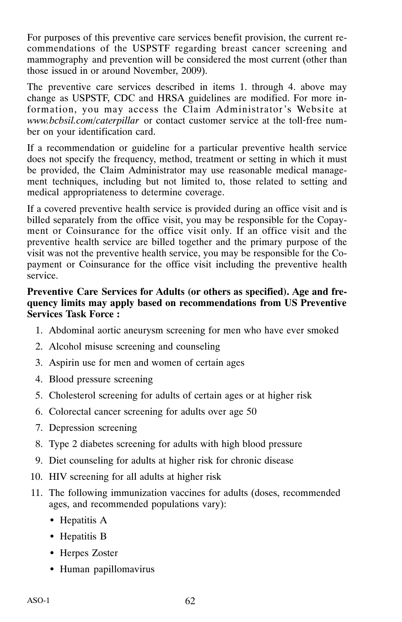For purposes of this preventive care services benefit provision, the current recommendations of the USPSTF regarding breast cancer screening and mammography and prevention will be considered the most current (other than those issued in or around November, 2009).

The preventive care services described in items 1. through 4. above may change as USPSTF, CDC and HRSA guidelines are modified. For more information, you may access the Claim Administrator's Website at *www.bcbsil.com/caterpillar* or contact customer service at the toll‐free number on your identification card.

If a recommendation or guideline for a particular preventive health service does not specify the frequency, method, treatment or setting in which it must be provided, the Claim Administrator may use reasonable medical management techniques, including but not limited to, those related to setting and medical appropriateness to determine coverage.

If a covered preventive health service is provided during an office visit and is billed separately from the office visit, you may be responsible for the Copayment or Coinsurance for the office visit only. If an office visit and the preventive health service are billed together and the primary purpose of the visit was not the preventive health service, you may be responsible for the Copayment or Coinsurance for the office visit including the preventive health service.

#### **Preventive Care Services for Adults (or others as specified). Age and frequency limits may apply based on recommendations from US Preventive Services Task Force :**

- 1. Abdominal aortic aneurysm screening for men who have ever smoked
- 2. Alcohol misuse screening and counseling
- 3. Aspirin use for men and women of certain ages
- 4. Blood pressure screening
- 5. Cholesterol screening for adults of certain ages or at higher risk
- 6. Colorectal cancer screening for adults over age 50
- 7. Depression screening
- 8. Type 2 diabetes screening for adults with high blood pressure
- 9. Diet counseling for adults at higher risk for chronic disease
- 10. HIV screening for all adults at higher risk
- 11. The following immunization vaccines for adults (doses, recommended ages, and recommended populations vary):
	- Hepatitis A
	- Hepatitis B
	- Herpes Zoster
	- Human papillomavirus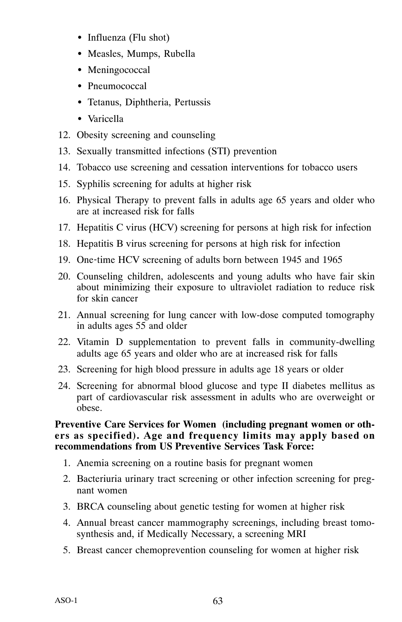- Influenza (Flu shot)
- Measles, Mumps, Rubella
- Meningococcal
- Pneumococcal
- Tetanus, Diphtheria, Pertussis
- Varicella
- 12. Obesity screening and counseling
- 13. Sexually transmitted infections (STI) prevention
- 14. Tobacco use screening and cessation interventions for tobacco users
- 15. Syphilis screening for adults at higher risk
- 16. Physical Therapy to prevent falls in adults age 65 years and older who are at increased risk for falls
- 17. Hepatitis C virus (HCV) screening for persons at high risk for infection
- 18. Hepatitis B virus screening for persons at high risk for infection
- 19. One-time HCV screening of adults born between 1945 and 1965
- 20. Counseling children, adolescents and young adults who have fair skin about minimizing their exposure to ultraviolet radiation to reduce risk for skin cancer
- 21. Annual screening for lung cancer with low‐dose computed tomography in adults ages 55 and older
- 22. Vitamin D supplementation to prevent falls in community‐dwelling adults age 65 years and older who are at increased risk for falls
- 23. Screening for high blood pressure in adults age 18 years or older
- 24. Screening for abnormal blood glucose and type II diabetes mellitus as part of cardiovascular risk assessment in adults who are overweight or obese.

#### **Preventive Care Services for Women (including pregnant women or others as specified). Age and frequency limits may apply based on recommendations from US Preventive Services Task Force:**

- 1. Anemia screening on a routine basis for pregnant women
- 2. Bacteriuria urinary tract screening or other infection screening for pregnant women
- 3. BRCA counseling about genetic testing for women at higher risk
- 4. Annual breast cancer mammography screenings, including breast tomosynthesis and, if Medically Necessary, a screening MRI
- 5. Breast cancer chemoprevention counseling for women at higher risk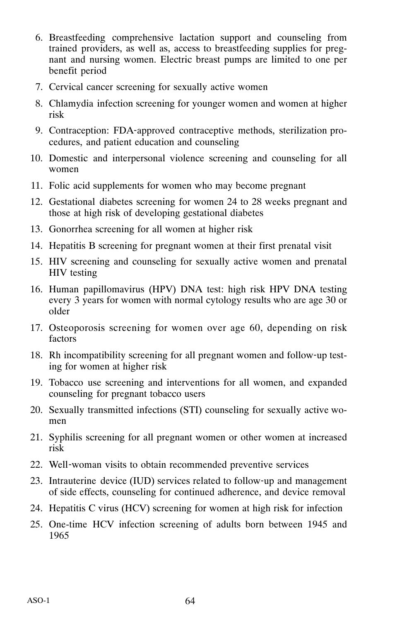- 6. Breastfeeding comprehensive lactation support and counseling from trained providers, as well as, access to breastfeeding supplies for pregnant and nursing women. Electric breast pumps are limited to one per benefit period
- 7. Cervical cancer screening for sexually active women
- 8. Chlamydia infection screening for younger women and women at higher risk
- 9. Contraception: FDA‐approved contraceptive methods, sterilization procedures, and patient education and counseling
- 10. Domestic and interpersonal violence screening and counseling for all women
- 11. Folic acid supplements for women who may become pregnant
- 12. Gestational diabetes screening for women 24 to 28 weeks pregnant and those at high risk of developing gestational diabetes
- 13. Gonorrhea screening for all women at higher risk
- 14. Hepatitis B screening for pregnant women at their first prenatal visit
- 15. HIV screening and counseling for sexually active women and prenatal HIV testing
- 16. Human papillomavirus (HPV) DNA test: high risk HPV DNA testing every 3 years for women with normal cytology results who are age 30 or older
- 17. Osteoporosis screening for women over age 60, depending on risk factors
- 18. Rh incompatibility screening for all pregnant women and follow‐up testing for women at higher risk
- 19. Tobacco use screening and interventions for all women, and expanded counseling for pregnant tobacco users
- 20. Sexually transmitted infections (STI) counseling for sexually active women
- 21. Syphilis screening for all pregnant women or other women at increased risk
- 22. Well‐woman visits to obtain recommended preventive services
- 23. Intrauterine device (IUD) services related to follow‐up and management of side effects, counseling for continued adherence, and device removal
- 24. Hepatitis C virus (HCV) screening for women at high risk for infection
- 25. One-time HCV infection screening of adults born between 1945 and 1965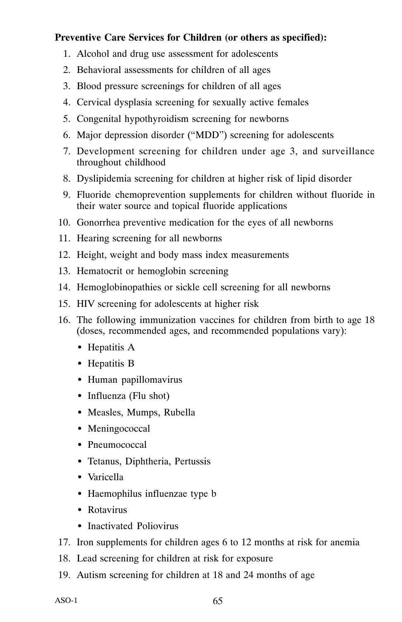# **Preventive Care Services for Children (or others as specified):**

- 1. Alcohol and drug use assessment for adolescents
- 2. Behavioral assessments for children of all ages
- 3. Blood pressure screenings for children of all ages
- 4. Cervical dysplasia screening for sexually active females
- 5. Congenital hypothyroidism screening for newborns
- 6. Major depression disorder ("MDD") screening for adolescents
- 7. Development screening for children under age 3, and surveillance throughout childhood
- 8. Dyslipidemia screening for children at higher risk of lipid disorder
- 9. Fluoride chemoprevention supplements for children without fluoride in their water source and topical fluoride applications
- 10. Gonorrhea preventive medication for the eyes of all newborns
- 11. Hearing screening for all newborns
- 12. Height, weight and body mass index measurements
- 13. Hematocrit or hemoglobin screening
- 14. Hemoglobinopathies or sickle cell screening for all newborns
- 15. HIV screening for adolescents at higher risk
- 16. The following immunization vaccines for children from birth to age 18 (doses, recommended ages, and recommended populations vary):
	- Hepatitis A
	- Hepatitis B
	- Human papillomavirus
	- Influenza (Flu shot)
	- Measles, Mumps, Rubella
	- Meningococcal
	- Pneumococcal
	- Tetanus, Diphtheria, Pertussis
	- Varicella
	- Haemophilus influenzae type b
	- Rotavirus
	- Inactivated Poliovirus
- 17. Iron supplements for children ages 6 to 12 months at risk for anemia
- 18. Lead screening for children at risk for exposure
- 19. Autism screening for children at 18 and 24 months of age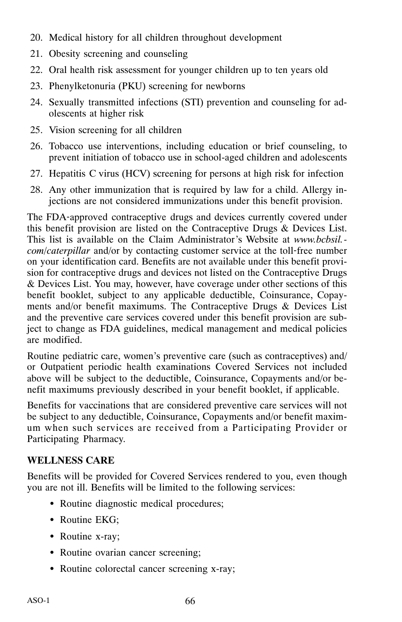- 20. Medical history for all children throughout development
- 21. Obesity screening and counseling
- 22. Oral health risk assessment for younger children up to ten years old
- 23. Phenylketonuria (PKU) screening for newborns
- 24. Sexually transmitted infections (STI) prevention and counseling for adolescents at higher risk
- 25. Vision screening for all children
- 26. Tobacco use interventions, including education or brief counseling, to prevent initiation of tobacco use in school‐aged children and adolescents
- 27. Hepatitis C virus (HCV) screening for persons at high risk for infection
- 28. Any other immunization that is required by law for a child. Allergy injections are not considered immunizations under this benefit provision.

The FDA‐approved contraceptive drugs and devices currently covered under this benefit provision are listed on the Contraceptive Drugs & Devices List. This list is available on the Claim Administrator's Website at *www.bcbsil. com/caterpillar* and/or by contacting customer service at the toll‐free number on your identification card. Benefits are not available under this benefit provision for contraceptive drugs and devices not listed on the Contraceptive Drugs & Devices List. You may, however, have coverage under other sections of this benefit booklet, subject to any applicable deductible, Coinsurance, Copayments and/or benefit maximums. The Contraceptive Drugs & Devices List and the preventive care services covered under this benefit provision are subject to change as FDA guidelines, medical management and medical policies are modified.

Routine pediatric care, women's preventive care (such as contraceptives) and/ or Outpatient periodic health examinations Covered Services not included above will be subject to the deductible, Coinsurance, Copayments and/or benefit maximums previously described in your benefit booklet, if applicable.

Benefits for vaccinations that are considered preventive care services will not be subject to any deductible, Coinsurance, Copayments and/or benefit maximum when such services are received from a Participating Provider or Participating Pharmacy.

# **WELLNESS CARE**

Benefits will be provided for Covered Services rendered to you, even though you are not ill. Benefits will be limited to the following services:

- Routine diagnostic medical procedures;
- Routine EKG;
- Routine x-ray;
- Routine ovarian cancer screening;
- Routine colorectal cancer screening x‐ray;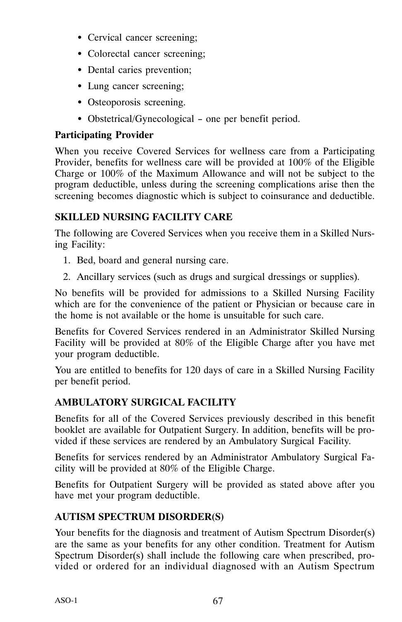- Cervical cancer screening;
- Colorectal cancer screening;
- Dental caries prevention;
- Lung cancer screening;
- Osteoporosis screening.
- Obstetrical/Gynecological one per benefit period.

# **Participating Provider**

When you receive Covered Services for wellness care from a Participating Provider, benefits for wellness care will be provided at 100% of the Eligible Charge or 100% of the Maximum Allowance and will not be subject to the program deductible, unless during the screening complications arise then the screening becomes diagnostic which is subject to coinsurance and deductible.

# **SKILLED NURSING FACILITY CARE**

The following are Covered Services when you receive them in a Skilled Nursing Facility:

- 1. Bed, board and general nursing care.
- 2. Ancillary services (such as drugs and surgical dressings or supplies).

No benefits will be provided for admissions to a Skilled Nursing Facility which are for the convenience of the patient or Physician or because care in the home is not available or the home is unsuitable for such care.

Benefits for Covered Services rendered in an Administrator Skilled Nursing Facility will be provided at 80% of the Eligible Charge after you have met your program deductible.

You are entitled to benefits for 120 days of care in a Skilled Nursing Facility per benefit period.

# **AMBULATORY SURGICAL FACILITY**

Benefits for all of the Covered Services previously described in this benefit booklet are available for Outpatient Surgery. In addition, benefits will be provided if these services are rendered by an Ambulatory Surgical Facility.

Benefits for services rendered by an Administrator Ambulatory Surgical Facility will be provided at 80% of the Eligible Charge.

Benefits for Outpatient Surgery will be provided as stated above after you have met your program deductible.

# **AUTISM SPECTRUM DISORDER(S)**

Your benefits for the diagnosis and treatment of Autism Spectrum Disorder(s) are the same as your benefits for any other condition. Treatment for Autism Spectrum Disorder(s) shall include the following care when prescribed, provided or ordered for an individual diagnosed with an Autism Spectrum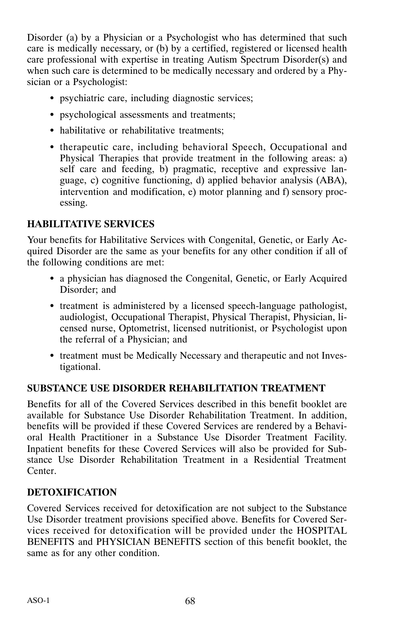Disorder (a) by a Physician or a Psychologist who has determined that such care is medically necessary, or (b) by a certified, registered or licensed health care professional with expertise in treating Autism Spectrum Disorder(s) and when such care is determined to be medically necessary and ordered by a Physician or a Psychologist:

- psychiatric care, including diagnostic services;
- psychological assessments and treatments;
- habilitative or rehabilitative treatments;
- therapeutic care, including behavioral Speech, Occupational and Physical Therapies that provide treatment in the following areas: a) self care and feeding, b) pragmatic, receptive and expressive language, c) cognitive functioning, d) applied behavior analysis (ABA), intervention and modification, e) motor planning and f) sensory processing.

# **HABILITATIVE SERVICES**

Your benefits for Habilitative Services with Congenital, Genetic, or Early Acquired Disorder are the same as your benefits for any other condition if all of the following conditions are met:

- a physician has diagnosed the Congenital, Genetic, or Early Acquired Disorder; and
- treatment is administered by a licensed speech‐language pathologist, audiologist, Occupational Therapist, Physical Therapist, Physician, licensed nurse, Optometrist, licensed nutritionist, or Psychologist upon the referral of a Physician; and
- treatment must be Medically Necessary and therapeutic and not Investigational.

# **SUBSTANCE USE DISORDER REHABILITATION TREATMENT**

Benefits for all of the Covered Services described in this benefit booklet are available for Substance Use Disorder Rehabilitation Treatment. In addition, benefits will be provided if these Covered Services are rendered by a Behavioral Health Practitioner in a Substance Use Disorder Treatment Facility. Inpatient benefits for these Covered Services will also be provided for Substance Use Disorder Rehabilitation Treatment in a Residential Treatment Center.

# **DETOXIFICATION**

Covered Services received for detoxification are not subject to the Substance Use Disorder treatment provisions specified above. Benefits for Covered Services received for detoxification will be provided under the HOSPITAL BENEFITS and PHYSICIAN BENEFITS section of this benefit booklet, the same as for any other condition.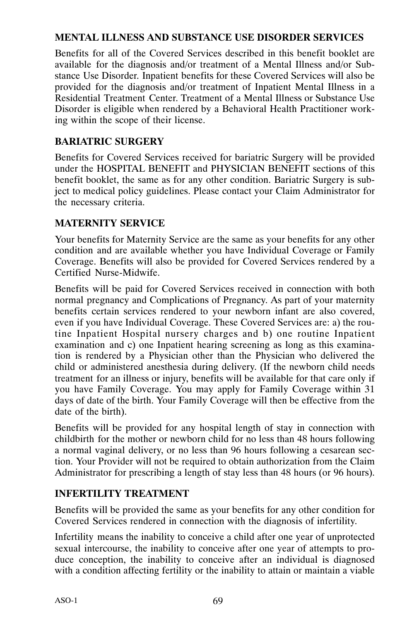# **MENTAL ILLNESS AND SUBSTANCE USE DISORDER SERVICES**

Benefits for all of the Covered Services described in this benefit booklet are available for the diagnosis and/or treatment of a Mental Illness and/or Substance Use Disorder. Inpatient benefits for these Covered Services will also be provided for the diagnosis and/or treatment of Inpatient Mental Illness in a Residential Treatment Center. Treatment of a Mental Illness or Substance Use Disorder is eligible when rendered by a Behavioral Health Practitioner working within the scope of their license.

# **BARIATRIC SURGERY**

Benefits for Covered Services received for bariatric Surgery will be provided under the HOSPITAL BENEFIT and PHYSICIAN BENEFIT sections of this benefit booklet, the same as for any other condition. Bariatric Surgery is subject to medical policy guidelines. Please contact your Claim Administrator for the necessary criteria.

### **MATERNITY SERVICE**

Your benefits for Maternity Service are the same as your benefits for any other condition and are available whether you have Individual Coverage or Family Coverage. Benefits will also be provided for Covered Services rendered by a Certified Nurse‐Midwife.

Benefits will be paid for Covered Services received in connection with both normal pregnancy and Complications of Pregnancy. As part of your maternity benefits certain services rendered to your newborn infant are also covered, even if you have Individual Coverage. These Covered Services are: a) the routine Inpatient Hospital nursery charges and b) one routine Inpatient examination and c) one Inpatient hearing screening as long as this examination is rendered by a Physician other than the Physician who delivered the child or administered anesthesia during delivery. (If the newborn child needs treatment for an illness or injury, benefits will be available for that care only if you have Family Coverage. You may apply for Family Coverage within 31 days of date of the birth. Your Family Coverage will then be effective from the date of the birth).

Benefits will be provided for any hospital length of stay in connection with childbirth for the mother or newborn child for no less than 48 hours following a normal vaginal delivery, or no less than 96 hours following a cesarean section. Your Provider will not be required to obtain authorization from the Claim Administrator for prescribing a length of stay less than 48 hours (or 96 hours).

#### **INFERTILITY TREATMENT**

Benefits will be provided the same as your benefits for any other condition for Covered Services rendered in connection with the diagnosis of infertility.

Infertility means the inability to conceive a child after one year of unprotected sexual intercourse, the inability to conceive after one year of attempts to produce conception, the inability to conceive after an individual is diagnosed with a condition affecting fertility or the inability to attain or maintain a viable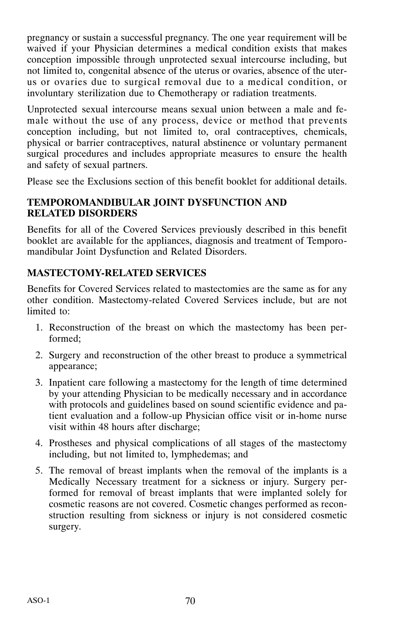pregnancy or sustain a successful pregnancy. The one year requirement will be waived if your Physician determines a medical condition exists that makes conception impossible through unprotected sexual intercourse including, but not limited to, congenital absence of the uterus or ovaries, absence of the uterus or ovaries due to surgical removal due to a medical condition, or involuntary sterilization due to Chemotherapy or radiation treatments.

Unprotected sexual intercourse means sexual union between a male and female without the use of any process, device or method that prevents conception including, but not limited to, oral contraceptives, chemicals, physical or barrier contraceptives, natural abstinence or voluntary permanent surgical procedures and includes appropriate measures to ensure the health and safety of sexual partners.

Please see the Exclusions section of this benefit booklet for additional details.

# **TEMPOROMANDIBULAR JOINT DYSFUNCTION AND RELATED DISORDERS**

Benefits for all of the Covered Services previously described in this benefit booklet are available for the appliances, diagnosis and treatment of Temporomandibular Joint Dysfunction and Related Disorders.

# **MASTECTOMY‐RELATED SERVICES**

Benefits for Covered Services related to mastectomies are the same as for any other condition. Mastectomy‐related Covered Services include, but are not limited to:

- 1. Reconstruction of the breast on which the mastectomy has been performed;
- 2. Surgery and reconstruction of the other breast to produce a symmetrical appearance;
- 3. Inpatient care following a mastectomy for the length of time determined by your attending Physician to be medically necessary and in accordance with protocols and guidelines based on sound scientific evidence and patient evaluation and a follow‐up Physician office visit or in‐home nurse visit within 48 hours after discharge;
- 4. Prostheses and physical complications of all stages of the mastectomy including, but not limited to, lymphedemas; and
- 5. The removal of breast implants when the removal of the implants is a Medically Necessary treatment for a sickness or injury. Surgery performed for removal of breast implants that were implanted solely for cosmetic reasons are not covered. Cosmetic changes performed as reconstruction resulting from sickness or injury is not considered cosmetic surgery.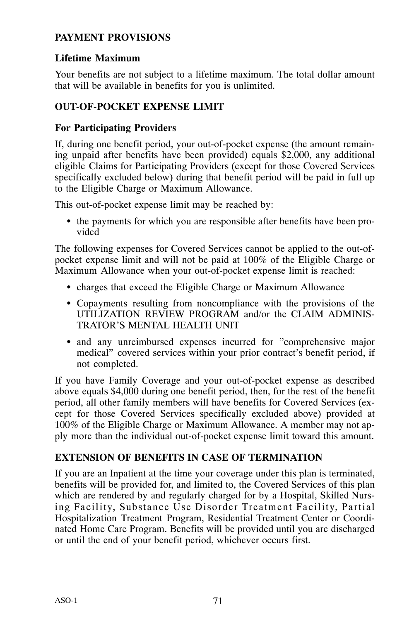# **PAYMENT PROVISIONS**

# **Lifetime Maximum**

Your benefits are not subject to a lifetime maximum. The total dollar amount that will be available in benefits for you is unlimited.

# **OUT‐OF‐POCKET EXPENSE LIMIT**

# **For Participating Providers**

If, during one benefit period, your out‐of‐pocket expense (the amount remaining unpaid after benefits have been provided) equals \$2,000, any additional eligible Claims for Participating Providers (except for those Covered Services specifically excluded below) during that benefit period will be paid in full up to the Eligible Charge or Maximum Allowance.

This out-of-pocket expense limit may be reached by:

- the payments for which you are responsible after benefits have been provided

The following expenses for Covered Services cannot be applied to the out-ofpocket expense limit and will not be paid at 100% of the Eligible Charge or Maximum Allowance when your out‐of‐pocket expense limit is reached:

- charges that exceed the Eligible Charge or Maximum Allowance
- Copayments resulting from noncompliance with the provisions of the UTILIZATION REVIEW PROGRAM and/or the CLAIM ADMINIS-TRATOR'S MENTAL HEALTH UNIT
- and any unreimbursed expenses incurred for "comprehensive major medical" covered services within your prior contract's benefit period, if not completed.

If you have Family Coverage and your out‐of‐pocket expense as described above equals \$4,000 during one benefit period, then, for the rest of the benefit period, all other family members will have benefits for Covered Services (except for those Covered Services specifically excluded above) provided at 100% of the Eligible Charge or Maximum Allowance. A member may not apply more than the individual out‐of‐pocket expense limit toward this amount.

#### **EXTENSION OF BENEFITS IN CASE OF TERMINATION**

If you are an Inpatient at the time your coverage under this plan is terminated, benefits will be provided for, and limited to, the Covered Services of this plan which are rendered by and regularly charged for by a Hospital, Skilled Nursing Facility, Substance Use Disorder Treatment Facility, Partial Hospitalization Treatment Program, Residential Treatment Center or Coordinated Home Care Program. Benefits will be provided until you are discharged or until the end of your benefit period, whichever occurs first.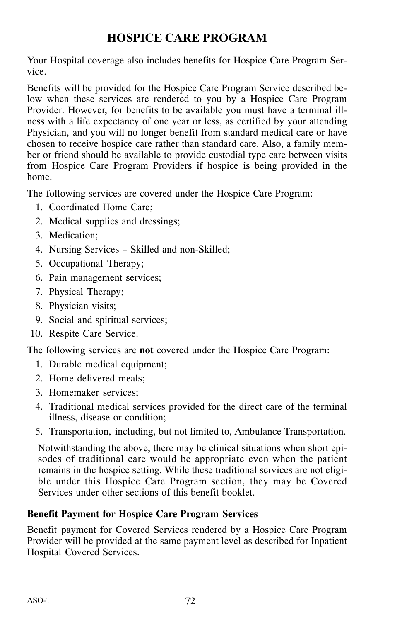# **HOSPICE CARE PROGRAM**

Your Hospital coverage also includes benefits for Hospice Care Program Service.

Benefits will be provided for the Hospice Care Program Service described below when these services are rendered to you by a Hospice Care Program Provider. However, for benefits to be available you must have a terminal illness with a life expectancy of one year or less, as certified by your attending Physician, and you will no longer benefit from standard medical care or have chosen to receive hospice care rather than standard care. Also, a family member or friend should be available to provide custodial type care between visits from Hospice Care Program Providers if hospice is being provided in the home.

The following services are covered under the Hospice Care Program:

- 1. Coordinated Home Care;
- 2. Medical supplies and dressings;
- 3. Medication;
- 4. Nursing Services Skilled and non‐Skilled;
- 5. Occupational Therapy;
- 6. Pain management services;
- 7. Physical Therapy;
- 8. Physician visits;
- 9. Social and spiritual services;
- 10. Respite Care Service.

The following services are **not** covered under the Hospice Care Program:

- 1. Durable medical equipment;
- 2. Home delivered meals;
- 3. Homemaker services;
- 4. Traditional medical services provided for the direct care of the terminal illness, disease or condition;
- 5. Transportation, including, but not limited to, Ambulance Transportation.

Notwithstanding the above, there may be clinical situations when short episodes of traditional care would be appropriate even when the patient remains in the hospice setting. While these traditional services are not eligible under this Hospice Care Program section, they may be Covered Services under other sections of this benefit booklet.

# **Benefit Payment for Hospice Care Program Services**

Benefit payment for Covered Services rendered by a Hospice Care Program Provider will be provided at the same payment level as described for Inpatient Hospital Covered Services.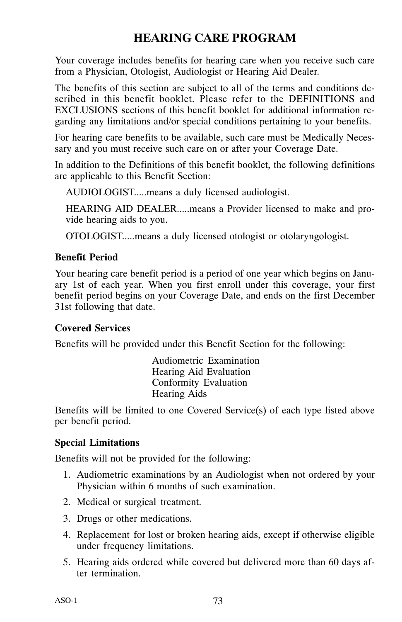# **HEARING CARE PROGRAM**

Your coverage includes benefits for hearing care when you receive such care from a Physician, Otologist, Audiologist or Hearing Aid Dealer.

The benefits of this section are subject to all of the terms and conditions described in this benefit booklet. Please refer to the DEFINITIONS and EXCLUSIONS sections of this benefit booklet for additional information regarding any limitations and/or special conditions pertaining to your benefits.

For hearing care benefits to be available, such care must be Medically Necessary and you must receive such care on or after your Coverage Date.

In addition to the Definitions of this benefit booklet, the following definitions are applicable to this Benefit Section:

AUDIOLOGIST.....means a duly licensed audiologist.

HEARING AID DEALER.....means a Provider licensed to make and provide hearing aids to you.

OTOLOGIST.....means a duly licensed otologist or otolaryngologist.

#### **Benefit Period**

Your hearing care benefit period is a period of one year which begins on January 1st of each year. When you first enroll under this coverage, your first benefit period begins on your Coverage Date, and ends on the first December 31st following that date.

#### **Covered Services**

Benefits will be provided under this Benefit Section for the following:

Audiometric Examination Hearing Aid Evaluation Conformity Evaluation Hearing Aids

Benefits will be limited to one Covered Service(s) of each type listed above per benefit period.

#### **Special Limitations**

Benefits will not be provided for the following:

- 1. Audiometric examinations by an Audiologist when not ordered by your Physician within 6 months of such examination.
- 2. Medical or surgical treatment.
- 3. Drugs or other medications.
- 4. Replacement for lost or broken hearing aids, except if otherwise eligible under frequency limitations.
- 5. Hearing aids ordered while covered but delivered more than 60 days after termination.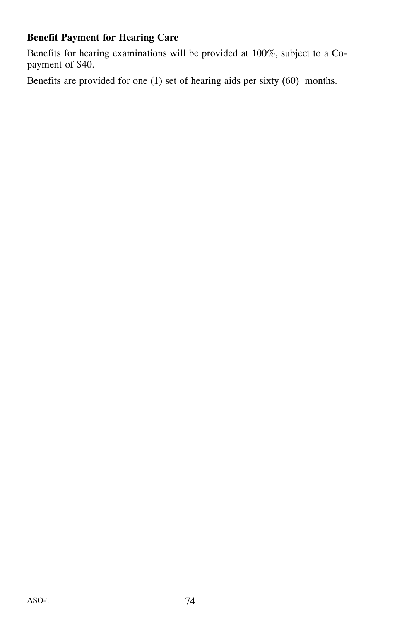## **Benefit Payment for Hearing Care**

Benefits for hearing examinations will be provided at 100%, subject to a Copayment of \$40.

Benefits are provided for one (1) set of hearing aids per sixty (60) months.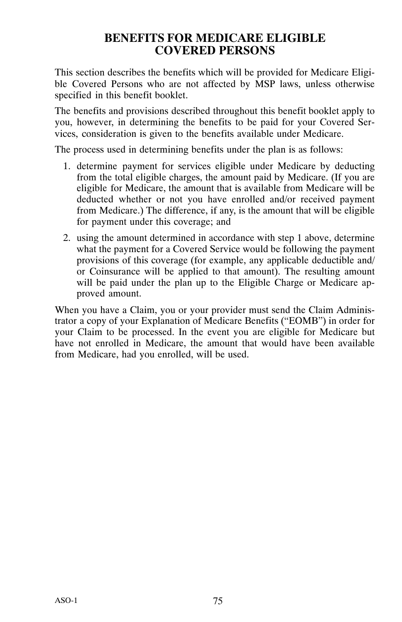## **BENEFITS FOR MEDICARE ELIGIBLE COVERED PERSONS**

This section describes the benefits which will be provided for Medicare Eligible Covered Persons who are not affected by MSP laws, unless otherwise specified in this benefit booklet.

The benefits and provisions described throughout this benefit booklet apply to you, however, in determining the benefits to be paid for your Covered Services, consideration is given to the benefits available under Medicare.

The process used in determining benefits under the plan is as follows:

- 1. determine payment for services eligible under Medicare by deducting from the total eligible charges, the amount paid by Medicare. (If you are eligible for Medicare, the amount that is available from Medicare will be deducted whether or not you have enrolled and/or received payment from Medicare.) The difference, if any, is the amount that will be eligible for payment under this coverage; and
- 2. using the amount determined in accordance with step 1 above, determine what the payment for a Covered Service would be following the payment provisions of this coverage (for example, any applicable deductible and/ or Coinsurance will be applied to that amount). The resulting amount will be paid under the plan up to the Eligible Charge or Medicare approved amount.

When you have a Claim, you or your provider must send the Claim Administrator a copy of your Explanation of Medicare Benefits ("EOMB") in order for your Claim to be processed. In the event you are eligible for Medicare but have not enrolled in Medicare, the amount that would have been available from Medicare, had you enrolled, will be used.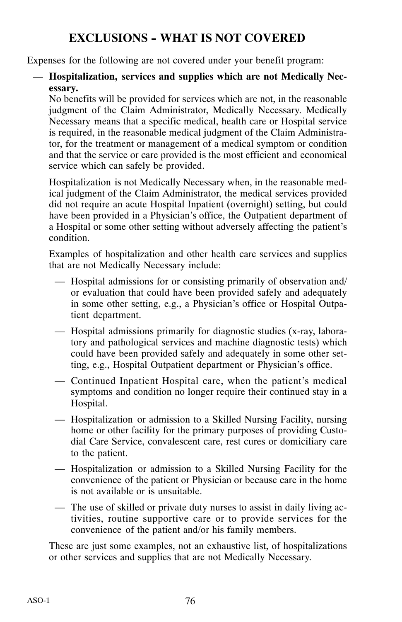# **EXCLUSIONS - WHAT IS NOT COVERED**

Expenses for the following are not covered under your benefit program:

#### — **Hospitalization, services and supplies which are not Medically Necessary.**

No benefits will be provided for services which are not, in the reasonable judgment of the Claim Administrator, Medically Necessary. Medically Necessary means that a specific medical, health care or Hospital service is required, in the reasonable medical judgment of the Claim Administrator, for the treatment or management of a medical symptom or condition and that the service or care provided is the most efficient and economical service which can safely be provided.

Hospitalization is not Medically Necessary when, in the reasonable medical judgment of the Claim Administrator, the medical services provided did not require an acute Hospital Inpatient (overnight) setting, but could have been provided in a Physician's office, the Outpatient department of a Hospital or some other setting without adversely affecting the patient's condition.

Examples of hospitalization and other health care services and supplies that are not Medically Necessary include:

- Hospital admissions for or consisting primarily of observation and/ or evaluation that could have been provided safely and adequately in some other setting, e.g., a Physician's office or Hospital Outpatient department.
- Hospital admissions primarily for diagnostic studies (x‐ray, laboratory and pathological services and machine diagnostic tests) which could have been provided safely and adequately in some other setting, e.g., Hospital Outpatient department or Physician's office.
- Continued Inpatient Hospital care, when the patient's medical symptoms and condition no longer require their continued stay in a Hospital.
- Hospitalization or admission to a Skilled Nursing Facility, nursing home or other facility for the primary purposes of providing Custodial Care Service, convalescent care, rest cures or domiciliary care to the patient.
- Hospitalization or admission to a Skilled Nursing Facility for the convenience of the patient or Physician or because care in the home is not available or is unsuitable.
- The use of skilled or private duty nurses to assist in daily living activities, routine supportive care or to provide services for the convenience of the patient and/or his family members.

These are just some examples, not an exhaustive list, of hospitalizations or other services and supplies that are not Medically Necessary.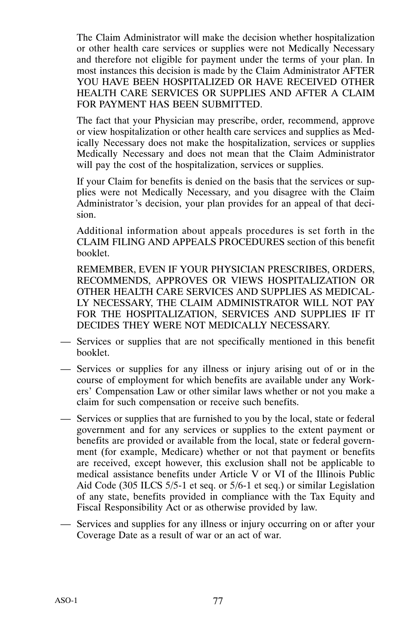The Claim Administrator will make the decision whether hospitalization or other health care services or supplies were not Medically Necessary and therefore not eligible for payment under the terms of your plan. In most instances this decision is made by the Claim Administrator AFTER YOU HAVE BEEN HOSPITALIZED OR HAVE RECEIVED OTHER HEALTH CARE SERVICES OR SUPPLIES AND AFTER A CLAIM FOR PAYMENT HAS BEEN SUBMITTED.

The fact that your Physician may prescribe, order, recommend, approve or view hospitalization or other health care services and supplies as Medically Necessary does not make the hospitalization, services or supplies Medically Necessary and does not mean that the Claim Administrator will pay the cost of the hospitalization, services or supplies.

If your Claim for benefits is denied on the basis that the services or supplies were not Medically Necessary, and you disagree with the Claim Administrator 's decision, your plan provides for an appeal of that decision.

Additional information about appeals procedures is set forth in the CLAIM FILING AND APPEALS PROCEDURES section of this benefit booklet.

REMEMBER, EVEN IF YOUR PHYSICIAN PRESCRIBES, ORDERS, RECOMMENDS, APPROVES OR VIEWS HOSPITALIZATION OR OTHER HEALTH CARE SERVICES AND SUPPLIES AS MEDICAL-LY NECESSARY, THE CLAIM ADMINISTRATOR WILL NOT PAY FOR THE HOSPITALIZATION, SERVICES AND SUPPLIES IF IT DECIDES THEY WERE NOT MEDICALLY NECESSARY.

- Services or supplies that are not specifically mentioned in this benefit booklet.
- Services or supplies for any illness or injury arising out of or in the course of employment for which benefits are available under any Workers' Compensation Law or other similar laws whether or not you make a claim for such compensation or receive such benefits.
- Services or supplies that are furnished to you by the local, state or federal government and for any services or supplies to the extent payment or benefits are provided or available from the local, state or federal government (for example, Medicare) whether or not that payment or benefits are received, except however, this exclusion shall not be applicable to medical assistance benefits under Article V or VI of the Illinois Public Aid Code (305 ILCS 5/5‐1 et seq. or 5/6‐1 et seq.) or similar Legislation of any state, benefits provided in compliance with the Tax Equity and Fiscal Responsibility Act or as otherwise provided by law.
- Services and supplies for any illness or injury occurring on or after your Coverage Date as a result of war or an act of war.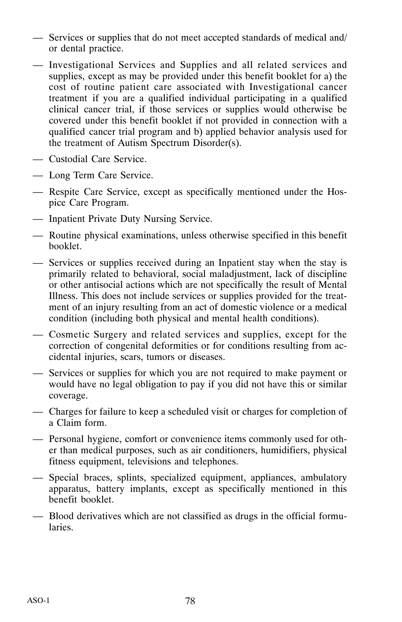- Services or supplies that do not meet accepted standards of medical and/ or dental practice.
- Investigational Services and Supplies and all related services and supplies, except as may be provided under this benefit booklet for a) the cost of routine patient care associated with Investigational cancer treatment if you are a qualified individual participating in a qualified clinical cancer trial, if those services or supplies would otherwise be covered under this benefit booklet if not provided in connection with a qualified cancer trial program and b) applied behavior analysis used for the treatment of Autism Spectrum Disorder(s).
- Custodial Care Service.
- Long Term Care Service.
- Respite Care Service, except as specifically mentioned under the Hospice Care Program.
- Inpatient Private Duty Nursing Service.
- Routine physical examinations, unless otherwise specified in this benefit booklet.
- Services or supplies received during an Inpatient stay when the stay is primarily related to behavioral, social maladjustment, lack of discipline or other antisocial actions which are not specifically the result of Mental Illness. This does not include services or supplies provided for the treatment of an injury resulting from an act of domestic violence or a medical condition (including both physical and mental health conditions).
- Cosmetic Surgery and related services and supplies, except for the correction of congenital deformities or for conditions resulting from accidental injuries, scars, tumors or diseases.
- Services or supplies for which you are not required to make payment or would have no legal obligation to pay if you did not have this or similar coverage.
- Charges for failure to keep a scheduled visit or charges for completion of a Claim form.
- Personal hygiene, comfort or convenience items commonly used for other than medical purposes, such as air conditioners, humidifiers, physical fitness equipment, televisions and telephones.
- Special braces, splints, specialized equipment, appliances, ambulatory apparatus, battery implants, except as specifically mentioned in this benefit booklet.
- Blood derivatives which are not classified as drugs in the official formularies.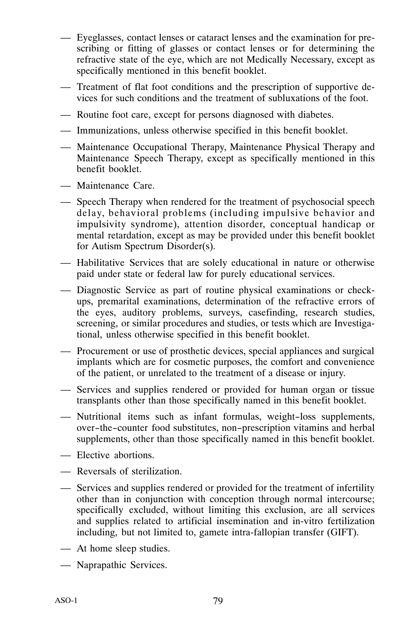- Eyeglasses, contact lenses or cataract lenses and the examination for prescribing or fitting of glasses or contact lenses or for determining the refractive state of the eye, which are not Medically Necessary, except as specifically mentioned in this benefit booklet.
- Treatment of flat foot conditions and the prescription of supportive devices for such conditions and the treatment of subluxations of the foot.
- Routine foot care, except for persons diagnosed with diabetes.
- Immunizations, unless otherwise specified in this benefit booklet.
- Maintenance Occupational Therapy, Maintenance Physical Therapy and Maintenance Speech Therapy, except as specifically mentioned in this benefit booklet.
- Maintenance Care.
- Speech Therapy when rendered for the treatment of psychosocial speech delay, behavioral problems (including impulsive behavior and impulsivity syndrome), attention disorder, conceptual handicap or mental retardation, except as may be provided under this benefit booklet for Autism Spectrum Disorder(s).
- Habilitative Services that are solely educational in nature or otherwise paid under state or federal law for purely educational services.
- Diagnostic Service as part of routine physical examinations or check‐ ups, premarital examinations, determination of the refractive errors of the eyes, auditory problems, surveys, casefinding, research studies, screening, or similar procedures and studies, or tests which are Investigational, unless otherwise specified in this benefit booklet.
- Procurement or use of prosthetic devices, special appliances and surgical implants which are for cosmetic purposes, the comfort and convenience of the patient, or unrelated to the treatment of a disease or injury.
- Services and supplies rendered or provided for human organ or tissue transplants other than those specifically named in this benefit booklet.
- Nutritional items such as infant formulas, weight-loss supplements, over-the-counter food substitutes, non-prescription vitamins and herbal supplements, other than those specifically named in this benefit booklet.
- Elective abortions.
- Reversals of sterilization.
- Services and supplies rendered or provided for the treatment of infertility other than in conjunction with conception through normal intercourse; specifically excluded, without limiting this exclusion, are all services and supplies related to artificial insemination and in‐vitro fertilization including, but not limited to, gamete intra‐fallopian transfer (GIFT).
- At home sleep studies.
- Naprapathic Services.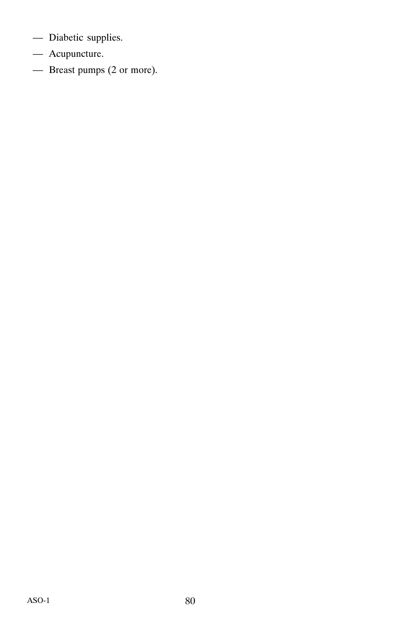- Diabetic supplies.
- Acupuncture.
- Breast pumps (2 or more).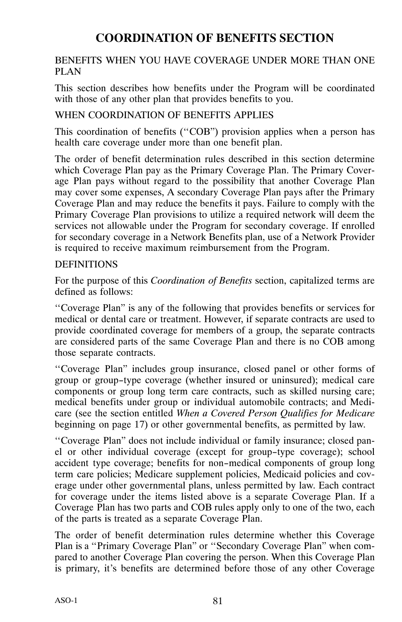# **COORDINATION OF BENEFITS SECTION**

#### BENEFITS WHEN YOU HAVE COVERAGE UNDER MORE THAN ONE PLAN

This section describes how benefits under the Program will be coordinated with those of any other plan that provides benefits to you.

#### WHEN COORDINATION OF BENEFITS APPLIES

This coordination of benefits ("COB") provision applies when a person has health care coverage under more than one benefit plan.

The order of benefit determination rules described in this section determine which Coverage Plan pay as the Primary Coverage Plan. The Primary Coverage Plan pays without regard to the possibility that another Coverage Plan may cover some expenses, A secondary Coverage Plan pays after the Primary Coverage Plan and may reduce the benefits it pays. Failure to comply with the Primary Coverage Plan provisions to utilize a required network will deem the services not allowable under the Program for secondary coverage. If enrolled for secondary coverage in a Network Benefits plan, use of a Network Provider is required to receive maximum reimbursement from the Program.

#### DEFINITIONS

For the purpose of this *Coordination of Benefits* section, capitalized terms are defined as follows:

``Coverage Plan" is any of the following that provides benefits or services for medical or dental care or treatment. However, if separate contracts are used to provide coordinated coverage for members of a group, the separate contracts are considered parts of the same Coverage Plan and there is no COB among those separate contracts.

``Coverage Plan" includes group insurance, closed panel or other forms of group or group-type coverage (whether insured or uninsured); medical care components or group long term care contracts, such as skilled nursing care; medical benefits under group or individual automobile contracts; and Medicare (see the section entitled *When a Covered Person Qualifies for Medicare* beginning on page 17) or other governmental benefits, as permitted by law.

``Coverage Plan" does not include individual or family insurance; closed panel or other individual coverage (except for group-type coverage); school accident type coverage; benefits for non-medical components of group long term care policies; Medicare supplement policies, Medicaid policies and coverage under other governmental plans, unless permitted by law. Each contract for coverage under the items listed above is a separate Coverage Plan. If a Coverage Plan has two parts and COB rules apply only to one of the two, each of the parts is treated as a separate Coverage Plan.

The order of benefit determination rules determine whether this Coverage Plan is a "Primary Coverage Plan" or "Secondary Coverage Plan" when compared to another Coverage Plan covering the person. When this Coverage Plan is primary, it's benefits are determined before those of any other Coverage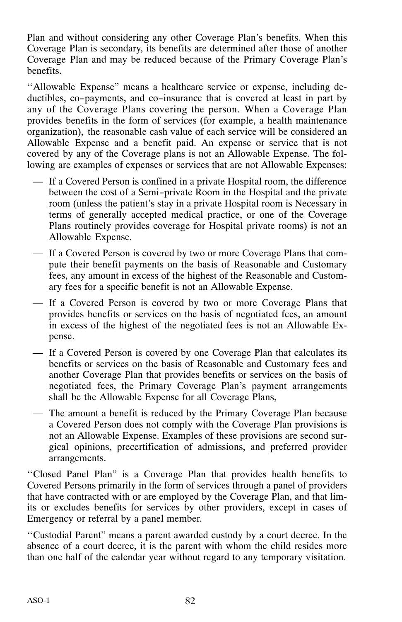Plan and without considering any other Coverage Plan's benefits. When this Coverage Plan is secondary, its benefits are determined after those of another Coverage Plan and may be reduced because of the Primary Coverage Plan's benefits.

``Allowable Expense" means a healthcare service or expense, including deductibles, co-payments, and co-insurance that is covered at least in part by any of the Coverage Plans covering the person. When a Coverage Plan provides benefits in the form of services (for example, a health maintenance organization), the reasonable cash value of each service will be considered an Allowable Expense and a benefit paid. An expense or service that is not covered by any of the Coverage plans is not an Allowable Expense. The following are examples of expenses or services that are not Allowable Expenses:

- If a Covered Person is confined in a private Hospital room, the difference between the cost of a Semi-private Room in the Hospital and the private room (unless the patient's stay in a private Hospital room is Necessary in terms of generally accepted medical practice, or one of the Coverage Plans routinely provides coverage for Hospital private rooms) is not an Allowable Expense.
- If a Covered Person is covered by two or more Coverage Plans that compute their benefit payments on the basis of Reasonable and Customary fees, any amount in excess of the highest of the Reasonable and Customary fees for a specific benefit is not an Allowable Expense.
- If a Covered Person is covered by two or more Coverage Plans that provides benefits or services on the basis of negotiated fees, an amount in excess of the highest of the negotiated fees is not an Allowable Expense.
- If a Covered Person is covered by one Coverage Plan that calculates its benefits or services on the basis of Reasonable and Customary fees and another Coverage Plan that provides benefits or services on the basis of negotiated fees, the Primary Coverage Plan's payment arrangements shall be the Allowable Expense for all Coverage Plans,
- The amount a benefit is reduced by the Primary Coverage Plan because a Covered Person does not comply with the Coverage Plan provisions is not an Allowable Expense. Examples of these provisions are second surgical opinions, precertification of admissions, and preferred provider arrangements.

``Closed Panel Plan" is a Coverage Plan that provides health benefits to Covered Persons primarily in the form of services through a panel of providers that have contracted with or are employed by the Coverage Plan, and that limits or excludes benefits for services by other providers, except in cases of Emergency or referral by a panel member.

``Custodial Parent" means a parent awarded custody by a court decree. In the absence of a court decree, it is the parent with whom the child resides more than one half of the calendar year without regard to any temporary visitation.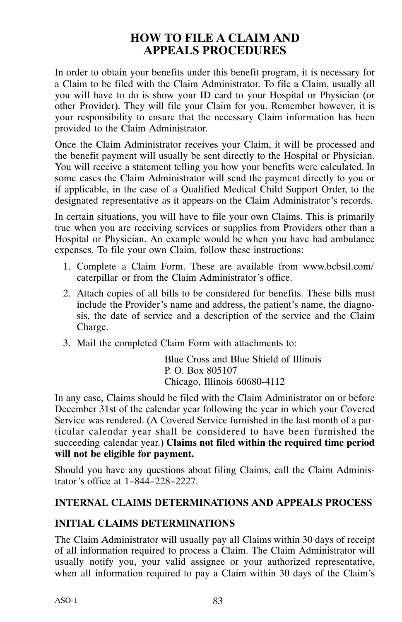## **HOW TO FILE A CLAIM AND APPEALS PROCEDURES**

In order to obtain your benefits under this benefit program, it is necessary for a Claim to be filed with the Claim Administrator. To file a Claim, usually all you will have to do is show your ID card to your Hospital or Physician (or other Provider). They will file your Claim for you. Remember however, it is your responsibility to ensure that the necessary Claim information has been provided to the Claim Administrator.

Once the Claim Administrator receives your Claim, it will be processed and the benefit payment will usually be sent directly to the Hospital or Physician. You will receive a statement telling you how your benefits were calculated. In some cases the Claim Administrator will send the payment directly to you or if applicable, in the case of a Qualified Medical Child Support Order, to the designated representative as it appears on the Claim Administrator's records.

In certain situations, you will have to file your own Claims. This is primarily true when you are receiving services or supplies from Providers other than a Hospital or Physician. An example would be when you have had ambulance expenses. To file your own Claim, follow these instructions:

- 1. Complete a Claim Form. These are available from www.bcbsil.com/ caterpillar or from the Claim Administrator's office.
- 2. Attach copies of all bills to be considered for benefits. These bills must include the Provider's name and address, the patient's name, the diagnosis, the date of service and a description of the service and the Claim Charge.
- 3. Mail the completed Claim Form with attachments to:

Blue Cross and Blue Shield of Illinois P. O. Box 805107 Chicago, Illinois 60680‐4112

In any case, Claims should be filed with the Claim Administrator on or before December 31st of the calendar year following the year in which your Covered Service was rendered. (A Covered Service furnished in the last month of a particular calendar year shall be considered to have been furnished the succeeding calendar year.) **Claims not filed within the required time period will not be eligible for payment.**

Should you have any questions about filing Claims, call the Claim Administrator's office at 1-844-228-2227.

## **INTERNAL CLAIMS DETERMINATIONS AND APPEALS PROCESS**

#### **INITIAL CLAIMS DETERMINATIONS**

The Claim Administrator will usually pay all Claims within 30 days of receipt of all information required to process a Claim. The Claim Administrator will usually notify you, your valid assignee or your authorized representative, when all information required to pay a Claim within 30 days of the Claim's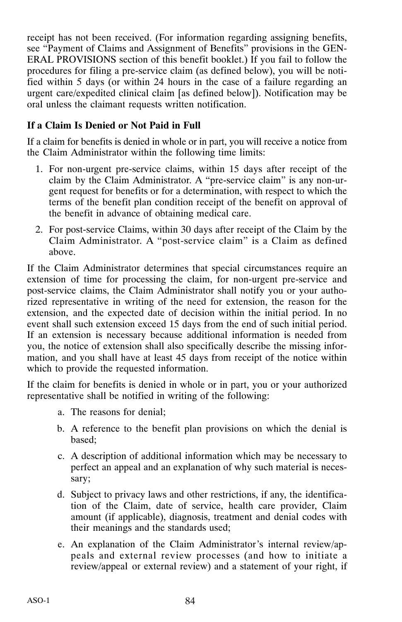receipt has not been received. (For information regarding assigning benefits, see "Payment of Claims and Assignment of Benefits" provisions in the GEN-ERAL PROVISIONS section of this benefit booklet.) If you fail to follow the procedures for filing a pre‐service claim (as defined below), you will be notified within 5 days (or within 24 hours in the case of a failure regarding an urgent care/expedited clinical claim [as defined below]). Notification may be oral unless the claimant requests written notification.

### **If a Claim Is Denied or Not Paid in Full**

If a claim for benefits is denied in whole or in part, you will receive a notice from the Claim Administrator within the following time limits:

- 1. For non‐urgent pre‐service claims, within 15 days after receipt of the claim by the Claim Administrator. A "pre‐service claim" is any non‐urgent request for benefits or for a determination, with respect to which the terms of the benefit plan condition receipt of the benefit on approval of the benefit in advance of obtaining medical care.
- 2. For post‐service Claims, within 30 days after receipt of the Claim by the Claim Administrator. A "post‐service claim" is a Claim as defined above.

If the Claim Administrator determines that special circumstances require an extension of time for processing the claim, for non-urgent pre-service and post‐service claims, the Claim Administrator shall notify you or your authorized representative in writing of the need for extension, the reason for the extension, and the expected date of decision within the initial period. In no event shall such extension exceed 15 days from the end of such initial period. If an extension is necessary because additional information is needed from you, the notice of extension shall also specifically describe the missing information, and you shall have at least 45 days from receipt of the notice within which to provide the requested information.

If the claim for benefits is denied in whole or in part, you or your authorized representative shall be notified in writing of the following:

- a. The reasons for denial;
- b. A reference to the benefit plan provisions on which the denial is based;
- c. A description of additional information which may be necessary to perfect an appeal and an explanation of why such material is necessary;
- d. Subject to privacy laws and other restrictions, if any, the identification of the Claim, date of service, health care provider, Claim amount (if applicable), diagnosis, treatment and denial codes with their meanings and the standards used;
- e. An explanation of the Claim Administrator's internal review/appeals and external review processes (and how to initiate a review/appeal or external review) and a statement of your right, if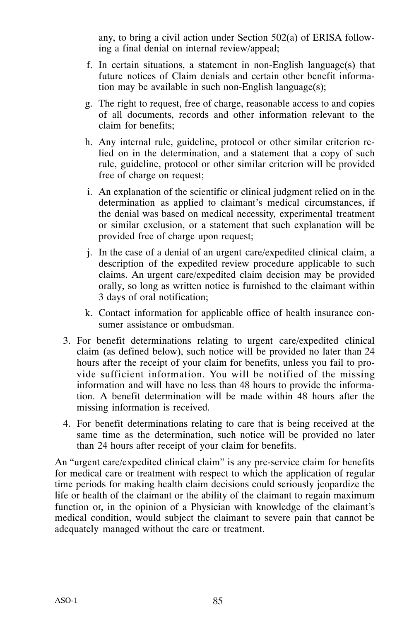any, to bring a civil action under Section 502(a) of ERISA following a final denial on internal review/appeal;

- f. In certain situations, a statement in non‐English language(s) that future notices of Claim denials and certain other benefit information may be available in such non‐English language(s);
- g. The right to request, free of charge, reasonable access to and copies of all documents, records and other information relevant to the claim for benefits;
- h. Any internal rule, guideline, protocol or other similar criterion relied on in the determination, and a statement that a copy of such rule, guideline, protocol or other similar criterion will be provided free of charge on request;
- i. An explanation of the scientific or clinical judgment relied on in the determination as applied to claimant's medical circumstances, if the denial was based on medical necessity, experimental treatment or similar exclusion, or a statement that such explanation will be provided free of charge upon request;
- j. In the case of a denial of an urgent care/expedited clinical claim, a description of the expedited review procedure applicable to such claims. An urgent care/expedited claim decision may be provided orally, so long as written notice is furnished to the claimant within 3 days of oral notification;
- k. Contact information for applicable office of health insurance consumer assistance or ombudsman.
- 3. For benefit determinations relating to urgent care/expedited clinical claim (as defined below), such notice will be provided no later than 24 hours after the receipt of your claim for benefits, unless you fail to provide sufficient information. You will be notified of the missing information and will have no less than 48 hours to provide the information. A benefit determination will be made within 48 hours after the missing information is received.
- 4. For benefit determinations relating to care that is being received at the same time as the determination, such notice will be provided no later than 24 hours after receipt of your claim for benefits.

An "urgent care/expedited clinical claim" is any pre‐service claim for benefits for medical care or treatment with respect to which the application of regular time periods for making health claim decisions could seriously jeopardize the life or health of the claimant or the ability of the claimant to regain maximum function or, in the opinion of a Physician with knowledge of the claimant's medical condition, would subject the claimant to severe pain that cannot be adequately managed without the care or treatment.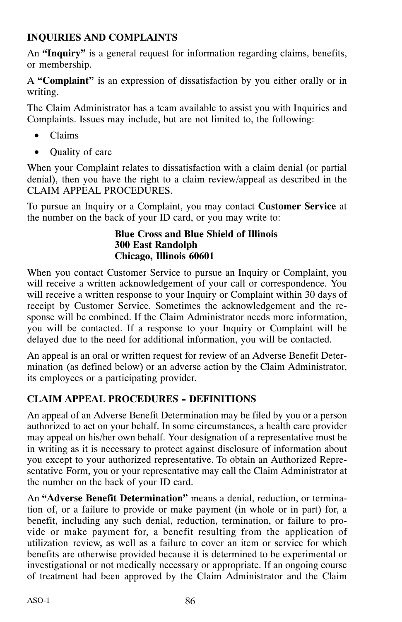## **INQUIRIES AND COMPLAINTS**

An **"Inquiry"** is a general request for information regarding claims, benefits, or membership.

A **"Complaint"** is an expression of dissatisfaction by you either orally or in writing.

The Claim Administrator has a team available to assist you with Inquiries and Complaints. Issues may include, but are not limited to, the following:

- Claims
- Quality of care

When your Complaint relates to dissatisfaction with a claim denial (or partial denial), then you have the right to a claim review/appeal as described in the CLAIM APPEAL PROCEDURES.

To pursue an Inquiry or a Complaint, you may contact **Customer Service** at the number on the back of your ID card, or you may write to:

#### **Blue Cross and Blue Shield of Illinois 300 East Randolph Chicago, Illinois 60601**

When you contact Customer Service to pursue an Inquiry or Complaint, you will receive a written acknowledgement of your call or correspondence. You will receive a written response to your Inquiry or Complaint within 30 days of receipt by Customer Service. Sometimes the acknowledgement and the response will be combined. If the Claim Administrator needs more information, you will be contacted. If a response to your Inquiry or Complaint will be delayed due to the need for additional information, you will be contacted.

An appeal is an oral or written request for review of an Adverse Benefit Determination (as defined below) or an adverse action by the Claim Administrator, its employees or a participating provider.

## **CLAIM APPEAL PROCEDURES - DEFINITIONS**

An appeal of an Adverse Benefit Determination may be filed by you or a person authorized to act on your behalf. In some circumstances, a health care provider may appeal on his/her own behalf. Your designation of a representative must be in writing as it is necessary to protect against disclosure of information about you except to your authorized representative. To obtain an Authorized Representative Form, you or your representative may call the Claim Administrator at the number on the back of your ID card.

An **"Adverse Benefit Determination"** means a denial, reduction, or termination of, or a failure to provide or make payment (in whole or in part) for, a benefit, including any such denial, reduction, termination, or failure to provide or make payment for, a benefit resulting from the application of utilization review, as well as a failure to cover an item or service for which benefits are otherwise provided because it is determined to be experimental or investigational or not medically necessary or appropriate. If an ongoing course of treatment had been approved by the Claim Administrator and the Claim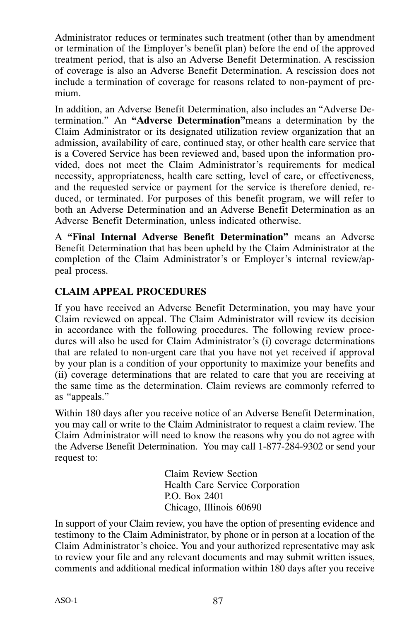Administrator reduces or terminates such treatment (other than by amendment or termination of the Employer's benefit plan) before the end of the approved treatment period, that is also an Adverse Benefit Determination. A rescission of coverage is also an Adverse Benefit Determination. A rescission does not include a termination of coverage for reasons related to non‐payment of premium.

In addition, an Adverse Benefit Determination, also includes an "Adverse Determination." An **"Adverse Determination"**means a determination by the Claim Administrator or its designated utilization review organization that an admission, availability of care, continued stay, or other health care service that is a Covered Service has been reviewed and, based upon the information provided, does not meet the Claim Administrator's requirements for medical necessity, appropriateness, health care setting, level of care, or effectiveness, and the requested service or payment for the service is therefore denied, reduced, or terminated. For purposes of this benefit program, we will refer to both an Adverse Determination and an Adverse Benefit Determination as an Adverse Benefit Determination, unless indicated otherwise.

A **"Final Internal Adverse Benefit Determination"** means an Adverse Benefit Determination that has been upheld by the Claim Administrator at the completion of the Claim Administrator's or Employer's internal review/appeal process.

## **CLAIM APPEAL PROCEDURES**

If you have received an Adverse Benefit Determination, you may have your Claim reviewed on appeal. The Claim Administrator will review its decision in accordance with the following procedures. The following review procedures will also be used for Claim Administrator's (i) coverage determinations that are related to non‐urgent care that you have not yet received if approval by your plan is a condition of your opportunity to maximize your benefits and (ii) coverage determinations that are related to care that you are receiving at the same time as the determination. Claim reviews are commonly referred to as "appeals."

Within 180 days after you receive notice of an Adverse Benefit Determination, you may call or write to the Claim Administrator to request a claim review. The Claim Administrator will need to know the reasons why you do not agree with the Adverse Benefit Determination. You may call 1‐877‐284‐9302 or send your request to:

> Claim Review Section Health Care Service Corporation P.O. Box 2401 Chicago, Illinois 60690

In support of your Claim review, you have the option of presenting evidence and testimony to the Claim Administrator, by phone or in person at a location of the Claim Administrator's choice. You and your authorized representative may ask to review your file and any relevant documents and may submit written issues, comments and additional medical information within 180 days after you receive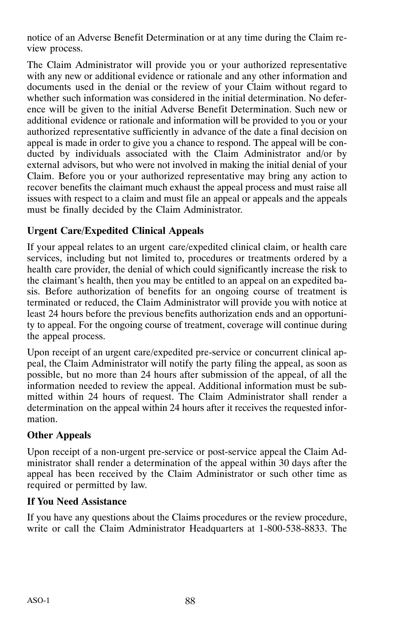notice of an Adverse Benefit Determination or at any time during the Claim review process.

The Claim Administrator will provide you or your authorized representative with any new or additional evidence or rationale and any other information and documents used in the denial or the review of your Claim without regard to whether such information was considered in the initial determination. No deference will be given to the initial Adverse Benefit Determination. Such new or additional evidence or rationale and information will be provided to you or your authorized representative sufficiently in advance of the date a final decision on appeal is made in order to give you a chance to respond. The appeal will be conducted by individuals associated with the Claim Administrator and/or by external advisors, but who were not involved in making the initial denial of your Claim. Before you or your authorized representative may bring any action to recover benefits the claimant much exhaust the appeal process and must raise all issues with respect to a claim and must file an appeal or appeals and the appeals must be finally decided by the Claim Administrator.

## **Urgent Care/Expedited Clinical Appeals**

If your appeal relates to an urgent care/expedited clinical claim, or health care services, including but not limited to, procedures or treatments ordered by a health care provider, the denial of which could significantly increase the risk to the claimant's health, then you may be entitled to an appeal on an expedited basis. Before authorization of benefits for an ongoing course of treatment is terminated or reduced, the Claim Administrator will provide you with notice at least 24 hours before the previous benefits authorization ends and an opportunity to appeal. For the ongoing course of treatment, coverage will continue during the appeal process.

Upon receipt of an urgent care/expedited pre‐service or concurrent clinical appeal, the Claim Administrator will notify the party filing the appeal, as soon as possible, but no more than 24 hours after submission of the appeal, of all the information needed to review the appeal. Additional information must be submitted within 24 hours of request. The Claim Administrator shall render a determination on the appeal within 24 hours after it receives the requested information.

## **Other Appeals**

Upon receipt of a non‐urgent pre‐service or post‐service appeal the Claim Administrator shall render a determination of the appeal within 30 days after the appeal has been received by the Claim Administrator or such other time as required or permitted by law.

## **If You Need Assistance**

If you have any questions about the Claims procedures or the review procedure, write or call the Claim Administrator Headquarters at 1‐800‐538‐8833. The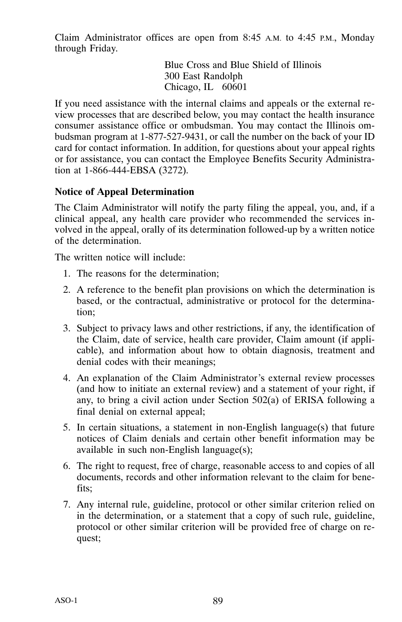Claim Administrator offices are open from 8:45 A.M. to 4:45 P.M., Monday through Friday.

> Blue Cross and Blue Shield of Illinois 300 East Randolph Chicago, IL 60601

If you need assistance with the internal claims and appeals or the external review processes that are described below, you may contact the health insurance consumer assistance office or ombudsman. You may contact the Illinois ombudsman program at 1‐877‐527‐9431, or call the number on the back of your ID card for contact information. In addition, for questions about your appeal rights or for assistance, you can contact the Employee Benefits Security Administration at 1‐866‐444‐EBSA (3272).

#### **Notice of Appeal Determination**

The Claim Administrator will notify the party filing the appeal, you, and, if a clinical appeal, any health care provider who recommended the services involved in the appeal, orally of its determination followed‐up by a written notice of the determination.

The written notice will include:

- 1. The reasons for the determination;
- 2. A reference to the benefit plan provisions on which the determination is based, or the contractual, administrative or protocol for the determination;
- 3. Subject to privacy laws and other restrictions, if any, the identification of the Claim, date of service, health care provider, Claim amount (if applicable), and information about how to obtain diagnosis, treatment and denial codes with their meanings;
- 4. An explanation of the Claim Administrator's external review processes (and how to initiate an external review) and a statement of your right, if any, to bring a civil action under Section 502(a) of ERISA following a final denial on external appeal;
- 5. In certain situations, a statement in non‐English language(s) that future notices of Claim denials and certain other benefit information may be available in such non‐English language(s);
- 6. The right to request, free of charge, reasonable access to and copies of all documents, records and other information relevant to the claim for benefits;
- 7. Any internal rule, guideline, protocol or other similar criterion relied on in the determination, or a statement that a copy of such rule, guideline, protocol or other similar criterion will be provided free of charge on request;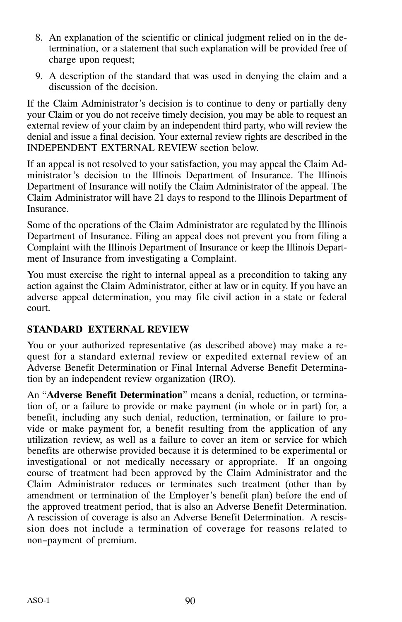- 8. An explanation of the scientific or clinical judgment relied on in the determination, or a statement that such explanation will be provided free of charge upon request;
- 9. A description of the standard that was used in denying the claim and a discussion of the decision.

If the Claim Administrator's decision is to continue to deny or partially deny your Claim or you do not receive timely decision, you may be able to request an external review of your claim by an independent third party, who will review the denial and issue a final decision. Your external review rights are described in the INDEPENDENT EXTERNAL REVIEW section below.

If an appeal is not resolved to your satisfaction, you may appeal the Claim Administrator's decision to the Illinois Department of Insurance. The Illinois Department of Insurance will notify the Claim Administrator of the appeal. The Claim Administrator will have 21 days to respond to the Illinois Department of Insurance.

Some of the operations of the Claim Administrator are regulated by the Illinois Department of Insurance. Filing an appeal does not prevent you from filing a Complaint with the Illinois Department of Insurance or keep the Illinois Department of Insurance from investigating a Complaint.

You must exercise the right to internal appeal as a precondition to taking any action against the Claim Administrator, either at law or in equity. If you have an adverse appeal determination, you may file civil action in a state or federal court.

## **STANDARD EXTERNAL REVIEW**

You or your authorized representative (as described above) may make a request for a standard external review or expedited external review of an Adverse Benefit Determination or Final Internal Adverse Benefit Determination by an independent review organization (IRO).

An "**Adverse Benefit Determination**" means a denial, reduction, or termination of, or a failure to provide or make payment (in whole or in part) for, a benefit, including any such denial, reduction, termination, or failure to provide or make payment for, a benefit resulting from the application of any utilization review, as well as a failure to cover an item or service for which benefits are otherwise provided because it is determined to be experimental or investigational or not medically necessary or appropriate. If an ongoing course of treatment had been approved by the Claim Administrator and the Claim Administrator reduces or terminates such treatment (other than by amendment or termination of the Employer's benefit plan) before the end of the approved treatment period, that is also an Adverse Benefit Determination. A rescission of coverage is also an Adverse Benefit Determination. A rescission does not include a termination of coverage for reasons related to non-payment of premium.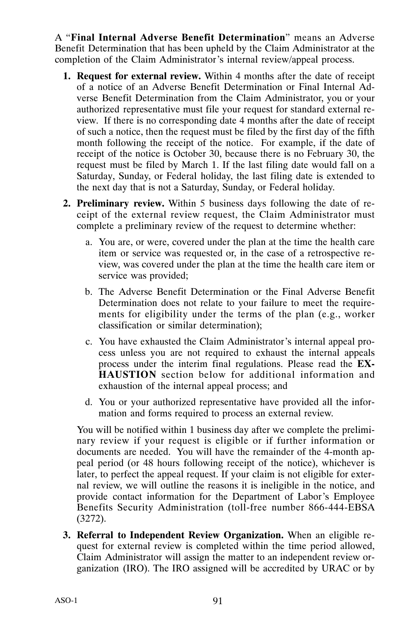A "**Final Internal Adverse Benefit Determination**" means an Adverse Benefit Determination that has been upheld by the Claim Administrator at the completion of the Claim Administrator's internal review/appeal process.

- **1. Request for external review.** Within 4 months after the date of receipt of a notice of an Adverse Benefit Determination or Final Internal Adverse Benefit Determination from the Claim Administrator, you or your authorized representative must file your request for standard external review. If there is no corresponding date 4 months after the date of receipt of such a notice, then the request must be filed by the first day of the fifth month following the receipt of the notice. For example, if the date of receipt of the notice is October 30, because there is no February 30, the request must be filed by March 1. If the last filing date would fall on a Saturday, Sunday, or Federal holiday, the last filing date is extended to the next day that is not a Saturday, Sunday, or Federal holiday.
- **2. Preliminary review.** Within 5 business days following the date of receipt of the external review request, the Claim Administrator must complete a preliminary review of the request to determine whether:
	- a. You are, or were, covered under the plan at the time the health care item or service was requested or, in the case of a retrospective review, was covered under the plan at the time the health care item or service was provided;
	- b. The Adverse Benefit Determination or the Final Adverse Benefit Determination does not relate to your failure to meet the requirements for eligibility under the terms of the plan (e.g., worker classification or similar determination);
	- c. You have exhausted the Claim Administrator's internal appeal process unless you are not required to exhaust the internal appeals process under the interim final regulations. Please read the **EX-HAUSTION** section below for additional information and exhaustion of the internal appeal process; and
	- d. You or your authorized representative have provided all the information and forms required to process an external review.

You will be notified within 1 business day after we complete the preliminary review if your request is eligible or if further information or documents are needed. You will have the remainder of the 4‐month appeal period (or 48 hours following receipt of the notice), whichever is later, to perfect the appeal request. If your claim is not eligible for external review, we will outline the reasons it is ineligible in the notice, and provide contact information for the Department of Labor's Employee Benefits Security Administration (toll‐free number 866‐444‐EBSA (3272).

**3. Referral to Independent Review Organization.** When an eligible request for external review is completed within the time period allowed, Claim Administrator will assign the matter to an independent review organization (IRO). The IRO assigned will be accredited by URAC or by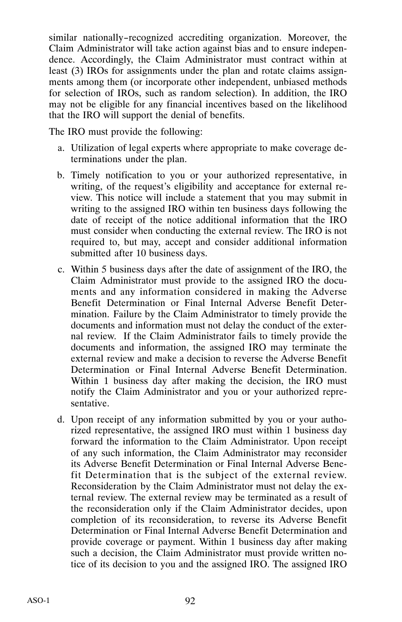similar nationally-recognized accrediting organization. Moreover, the Claim Administrator will take action against bias and to ensure independence. Accordingly, the Claim Administrator must contract within at least (3) IROs for assignments under the plan and rotate claims assignments among them (or incorporate other independent, unbiased methods for selection of IROs, such as random selection). In addition, the IRO may not be eligible for any financial incentives based on the likelihood that the IRO will support the denial of benefits.

The IRO must provide the following:

- a. Utilization of legal experts where appropriate to make coverage determinations under the plan.
- b. Timely notification to you or your authorized representative, in writing, of the request's eligibility and acceptance for external review. This notice will include a statement that you may submit in writing to the assigned IRO within ten business days following the date of receipt of the notice additional information that the IRO must consider when conducting the external review. The IRO is not required to, but may, accept and consider additional information submitted after 10 business days.
- c. Within 5 business days after the date of assignment of the IRO, the Claim Administrator must provide to the assigned IRO the documents and any information considered in making the Adverse Benefit Determination or Final Internal Adverse Benefit Determination. Failure by the Claim Administrator to timely provide the documents and information must not delay the conduct of the external review. If the Claim Administrator fails to timely provide the documents and information, the assigned IRO may terminate the external review and make a decision to reverse the Adverse Benefit Determination or Final Internal Adverse Benefit Determination. Within 1 business day after making the decision, the IRO must notify the Claim Administrator and you or your authorized representative.
- d. Upon receipt of any information submitted by you or your authorized representative, the assigned IRO must within 1 business day forward the information to the Claim Administrator. Upon receipt of any such information, the Claim Administrator may reconsider its Adverse Benefit Determination or Final Internal Adverse Benefit Determination that is the subject of the external review. Reconsideration by the Claim Administrator must not delay the external review. The external review may be terminated as a result of the reconsideration only if the Claim Administrator decides, upon completion of its reconsideration, to reverse its Adverse Benefit Determination or Final Internal Adverse Benefit Determination and provide coverage or payment. Within 1 business day after making such a decision, the Claim Administrator must provide written notice of its decision to you and the assigned IRO. The assigned IRO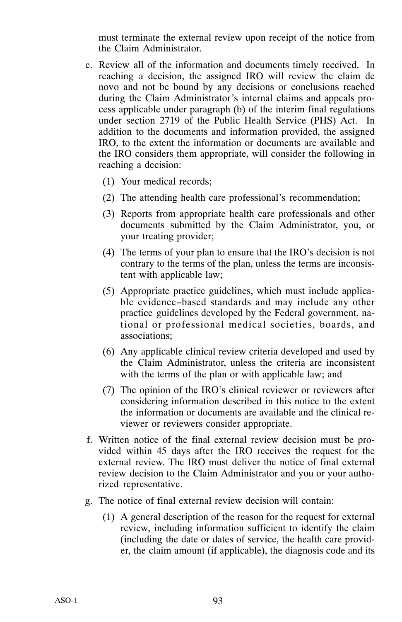must terminate the external review upon receipt of the notice from the Claim Administrator.

- e. Review all of the information and documents timely received. In reaching a decision, the assigned IRO will review the claim de novo and not be bound by any decisions or conclusions reached during the Claim Administrator's internal claims and appeals process applicable under paragraph (b) of the interim final regulations under section 2719 of the Public Health Service (PHS) Act. In addition to the documents and information provided, the assigned IRO, to the extent the information or documents are available and the IRO considers them appropriate, will consider the following in reaching a decision:
	- (1) Your medical records;
	- (2) The attending health care professional's recommendation;
	- (3) Reports from appropriate health care professionals and other documents submitted by the Claim Administrator, you, or your treating provider;
	- (4) The terms of your plan to ensure that the IRO's decision is not contrary to the terms of the plan, unless the terms are inconsistent with applicable law;
	- (5) Appropriate practice guidelines, which must include applicable evidence-based standards and may include any other practice guidelines developed by the Federal government, national or professional medical societies, boards, and associations;
	- (6) Any applicable clinical review criteria developed and used by the Claim Administrator, unless the criteria are inconsistent with the terms of the plan or with applicable law; and
	- (7) The opinion of the IRO's clinical reviewer or reviewers after considering information described in this notice to the extent the information or documents are available and the clinical reviewer or reviewers consider appropriate.
- f. Written notice of the final external review decision must be provided within 45 days after the IRO receives the request for the external review. The IRO must deliver the notice of final external review decision to the Claim Administrator and you or your authorized representative.
- g. The notice of final external review decision will contain:
	- (1) A general description of the reason for the request for external review, including information sufficient to identify the claim (including the date or dates of service, the health care provider, the claim amount (if applicable), the diagnosis code and its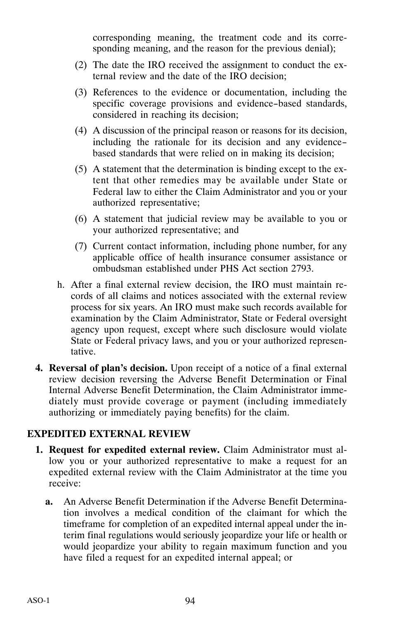corresponding meaning, the treatment code and its corresponding meaning, and the reason for the previous denial);

- (2) The date the IRO received the assignment to conduct the external review and the date of the IRO decision;
- (3) References to the evidence or documentation, including the specific coverage provisions and evidence-based standards, considered in reaching its decision;
- (4) A discussion of the principal reason or reasons for its decision, including the rationale for its decision and any evidencebased standards that were relied on in making its decision;
- (5) A statement that the determination is binding except to the extent that other remedies may be available under State or Federal law to either the Claim Administrator and you or your authorized representative;
- (6) A statement that judicial review may be available to you or your authorized representative; and
- (7) Current contact information, including phone number, for any applicable office of health insurance consumer assistance or ombudsman established under PHS Act section 2793.
- h. After a final external review decision, the IRO must maintain records of all claims and notices associated with the external review process for six years. An IRO must make such records available for examination by the Claim Administrator, State or Federal oversight agency upon request, except where such disclosure would violate State or Federal privacy laws, and you or your authorized representative.
- **4. Reversal of plan's decision.** Upon receipt of a notice of a final external review decision reversing the Adverse Benefit Determination or Final Internal Adverse Benefit Determination, the Claim Administrator immediately must provide coverage or payment (including immediately authorizing or immediately paying benefits) for the claim.

#### **EXPEDITED EXTERNAL REVIEW**

- **1. Request for expedited external review.** Claim Administrator must allow you or your authorized representative to make a request for an expedited external review with the Claim Administrator at the time you receive:
	- **a.** An Adverse Benefit Determination if the Adverse Benefit Determination involves a medical condition of the claimant for which the timeframe for completion of an expedited internal appeal under the interim final regulations would seriously jeopardize your life or health or would jeopardize your ability to regain maximum function and you have filed a request for an expedited internal appeal; or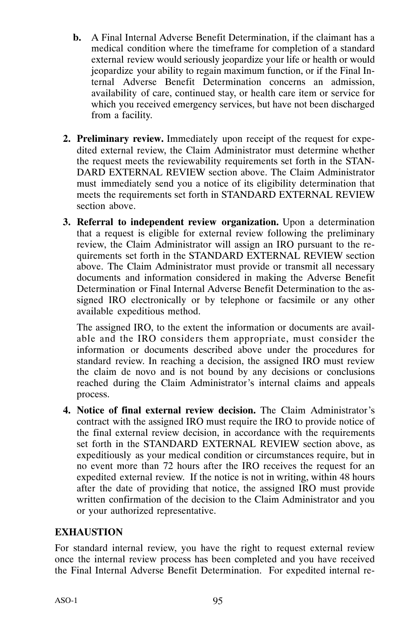- **b.** A Final Internal Adverse Benefit Determination, if the claimant has a medical condition where the timeframe for completion of a standard external review would seriously jeopardize your life or health or would jeopardize your ability to regain maximum function, or if the Final Internal Adverse Benefit Determination concerns an admission, availability of care, continued stay, or health care item or service for which you received emergency services, but have not been discharged from a facility.
- **2. Preliminary review.** Immediately upon receipt of the request for expedited external review, the Claim Administrator must determine whether the request meets the reviewability requirements set forth in the STAN-DARD EXTERNAL REVIEW section above. The Claim Administrator must immediately send you a notice of its eligibility determination that meets the requirements set forth in STANDARD EXTERNAL REVIEW section above.
- **3. Referral to independent review organization.** Upon a determination that a request is eligible for external review following the preliminary review, the Claim Administrator will assign an IRO pursuant to the requirements set forth in the STANDARD EXTERNAL REVIEW section above. The Claim Administrator must provide or transmit all necessary documents and information considered in making the Adverse Benefit Determination or Final Internal Adverse Benefit Determination to the assigned IRO electronically or by telephone or facsimile or any other available expeditious method.

The assigned IRO, to the extent the information or documents are available and the IRO considers them appropriate, must consider the information or documents described above under the procedures for standard review. In reaching a decision, the assigned IRO must review the claim de novo and is not bound by any decisions or conclusions reached during the Claim Administrator's internal claims and appeals process.

**4. Notice of final external review decision.** The Claim Administrator's contract with the assigned IRO must require the IRO to provide notice of the final external review decision, in accordance with the requirements set forth in the STANDARD EXTERNAL REVIEW section above, as expeditiously as your medical condition or circumstances require, but in no event more than 72 hours after the IRO receives the request for an expedited external review. If the notice is not in writing, within 48 hours after the date of providing that notice, the assigned IRO must provide written confirmation of the decision to the Claim Administrator and you or your authorized representative.

#### **EXHAUSTION**

For standard internal review, you have the right to request external review once the internal review process has been completed and you have received the Final Internal Adverse Benefit Determination. For expedited internal re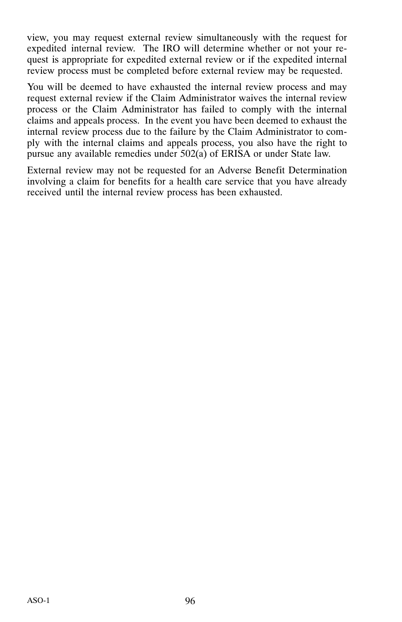view, you may request external review simultaneously with the request for expedited internal review. The IRO will determine whether or not your request is appropriate for expedited external review or if the expedited internal review process must be completed before external review may be requested.

You will be deemed to have exhausted the internal review process and may request external review if the Claim Administrator waives the internal review process or the Claim Administrator has failed to comply with the internal claims and appeals process. In the event you have been deemed to exhaust the internal review process due to the failure by the Claim Administrator to comply with the internal claims and appeals process, you also have the right to pursue any available remedies under 502(a) of ERISA or under State law.

External review may not be requested for an Adverse Benefit Determination involving a claim for benefits for a health care service that you have already received until the internal review process has been exhausted.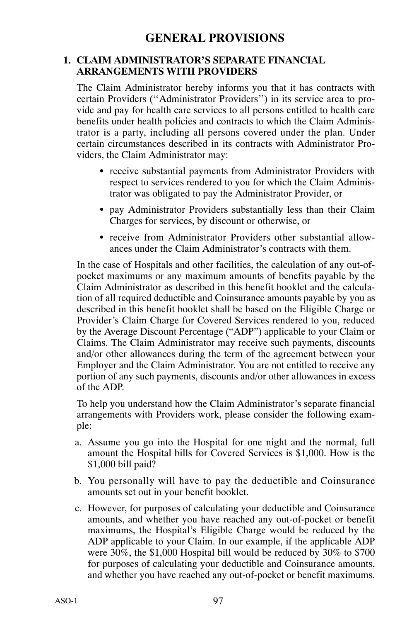#### **1. CLAIM ADMINISTRATOR'S SEPARATE FINANCIAL ARRANGEMENTS WITH PROVIDERS**

The Claim Administrator hereby informs you that it has contracts with certain Providers ("Administrator Providers") in its service area to provide and pay for health care services to all persons entitled to health care benefits under health policies and contracts to which the Claim Administrator is a party, including all persons covered under the plan. Under certain circumstances described in its contracts with Administrator Providers, the Claim Administrator may:

- receive substantial payments from Administrator Providers with respect to services rendered to you for which the Claim Administrator was obligated to pay the Administrator Provider, or
- pay Administrator Providers substantially less than their Claim Charges for services, by discount or otherwise, or
- receive from Administrator Providers other substantial allowances under the Claim Administrator's contracts with them.

In the case of Hospitals and other facilities, the calculation of any out‐of‐ pocket maximums or any maximum amounts of benefits payable by the Claim Administrator as described in this benefit booklet and the calculation of all required deductible and Coinsurance amounts payable by you as described in this benefit booklet shall be based on the Eligible Charge or Provider's Claim Charge for Covered Services rendered to you, reduced by the Average Discount Percentage ("ADP") applicable to your Claim or Claims. The Claim Administrator may receive such payments, discounts and/or other allowances during the term of the agreement between your Employer and the Claim Administrator. You are not entitled to receive any portion of any such payments, discounts and/or other allowances in excess of the ADP.

To help you understand how the Claim Administrator's separate financial arrangements with Providers work, please consider the following example:

- a. Assume you go into the Hospital for one night and the normal, full amount the Hospital bills for Covered Services is \$1,000. How is the \$1,000 bill paid?
- b. You personally will have to pay the deductible and Coinsurance amounts set out in your benefit booklet.
- c. However, for purposes of calculating your deductible and Coinsurance amounts, and whether you have reached any out‐of‐pocket or benefit maximums, the Hospital's Eligible Charge would be reduced by the ADP applicable to your Claim. In our example, if the applicable ADP were 30%, the \$1,000 Hospital bill would be reduced by 30% to \$700 for purposes of calculating your deductible and Coinsurance amounts, and whether you have reached any out‐of‐pocket or benefit maximums.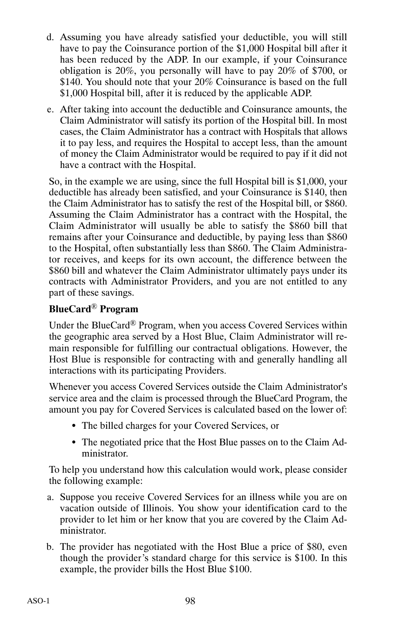- d. Assuming you have already satisfied your deductible, you will still have to pay the Coinsurance portion of the \$1,000 Hospital bill after it has been reduced by the ADP. In our example, if your Coinsurance obligation is 20%, you personally will have to pay 20% of \$700, or \$140. You should note that your 20% Coinsurance is based on the full \$1,000 Hospital bill, after it is reduced by the applicable ADP.
- e. After taking into account the deductible and Coinsurance amounts, the Claim Administrator will satisfy its portion of the Hospital bill. In most cases, the Claim Administrator has a contract with Hospitals that allows it to pay less, and requires the Hospital to accept less, than the amount of money the Claim Administrator would be required to pay if it did not have a contract with the Hospital.

So, in the example we are using, since the full Hospital bill is \$1,000, your deductible has already been satisfied, and your Coinsurance is \$140, then the Claim Administrator has to satisfy the rest of the Hospital bill, or \$860. Assuming the Claim Administrator has a contract with the Hospital, the Claim Administrator will usually be able to satisfy the \$860 bill that remains after your Coinsurance and deductible, by paying less than \$860 to the Hospital, often substantially less than \$860. The Claim Administrator receives, and keeps for its own account, the difference between the \$860 bill and whatever the Claim Administrator ultimately pays under its contracts with Administrator Providers, and you are not entitled to any part of these savings.

## **BlueCard**® **Program**

Under the BlueCard® Program, when you access Covered Services within the geographic area served by a Host Blue, Claim Administrator will remain responsible for fulfilling our contractual obligations. However, the Host Blue is responsible for contracting with and generally handling all interactions with its participating Providers.

Whenever you access Covered Services outside the Claim Administrator's service area and the claim is processed through the BlueCard Program, the amount you pay for Covered Services is calculated based on the lower of:

- The billed charges for your Covered Services, or
- The negotiated price that the Host Blue passes on to the Claim Administrator.

To help you understand how this calculation would work, please consider the following example:

- a. Suppose you receive Covered Services for an illness while you are on vacation outside of Illinois. You show your identification card to the provider to let him or her know that you are covered by the Claim Administrator.
- b. The provider has negotiated with the Host Blue a price of \$80, even though the provider's standard charge for this service is \$100. In this example, the provider bills the Host Blue \$100.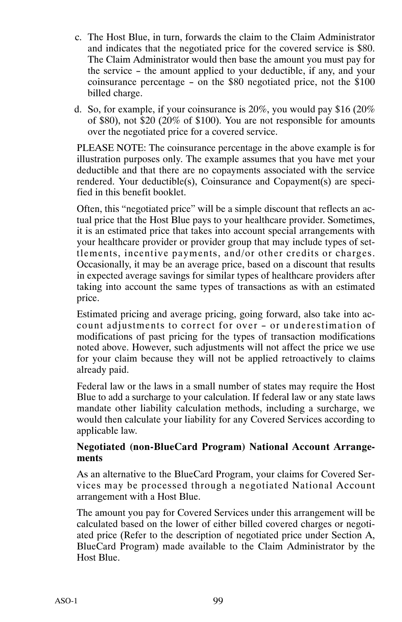- c. The Host Blue, in turn, forwards the claim to the Claim Administrator and indicates that the negotiated price for the covered service is \$80. The Claim Administrator would then base the amount you must pay for the service - the amount applied to your deductible, if any, and your coinsurance percentage - on the \$80 negotiated price, not the \$100 billed charge.
- d. So, for example, if your coinsurance is 20%, you would pay \$16 (20% of \$80), not \$20 (20% of \$100). You are not responsible for amounts over the negotiated price for a covered service.

PLEASE NOTE: The coinsurance percentage in the above example is for illustration purposes only. The example assumes that you have met your deductible and that there are no copayments associated with the service rendered. Your deductible(s), Coinsurance and Copayment(s) are specified in this benefit booklet.

Often, this "negotiated price" will be a simple discount that reflects an actual price that the Host Blue pays to your healthcare provider. Sometimes, it is an estimated price that takes into account special arrangements with your healthcare provider or provider group that may include types of settlements, incentive payments, and/or other credits or charges. Occasionally, it may be an average price, based on a discount that results in expected average savings for similar types of healthcare providers after taking into account the same types of transactions as with an estimated price.

Estimated pricing and average pricing, going forward, also take into account adjustments to correct for over - or underestimation of modifications of past pricing for the types of transaction modifications noted above. However, such adjustments will not affect the price we use for your claim because they will not be applied retroactively to claims already paid.

Federal law or the laws in a small number of states may require the Host Blue to add a surcharge to your calculation. If federal law or any state laws mandate other liability calculation methods, including a surcharge, we would then calculate your liability for any Covered Services according to applicable law.

#### **Negotiated (non‐BlueCard Program) National Account Arrangements**

As an alternative to the BlueCard Program, your claims for Covered Services may be processed through a negotiated National Account arrangement with a Host Blue.

The amount you pay for Covered Services under this arrangement will be calculated based on the lower of either billed covered charges or negotiated price (Refer to the description of negotiated price under Section A, BlueCard Program) made available to the Claim Administrator by the Host Blue.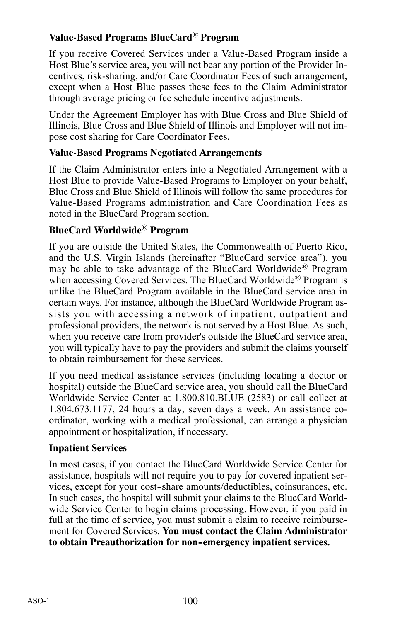## **Value‐Based Programs BlueCard**® **Program**

If you receive Covered Services under a Value‐Based Program inside a Host Blue's service area, you will not bear any portion of the Provider Incentives, risk‐sharing, and/or Care Coordinator Fees of such arrangement, except when a Host Blue passes these fees to the Claim Administrator through average pricing or fee schedule incentive adjustments.

Under the Agreement Employer has with Blue Cross and Blue Shield of Illinois, Blue Cross and Blue Shield of Illinois and Employer will not impose cost sharing for Care Coordinator Fees.

#### **Value‐Based Programs Negotiated Arrangements**

If the Claim Administrator enters into a Negotiated Arrangement with a Host Blue to provide Value‐Based Programs to Employer on your behalf, Blue Cross and Blue Shield of Illinois will follow the same procedures for Value‐Based Programs administration and Care Coordination Fees as noted in the BlueCard Program section.

#### **BlueCard Worldwide**® **Program**

If you are outside the United States, the Commonwealth of Puerto Rico, and the U.S. Virgin Islands (hereinafter "BlueCard service area"), you may be able to take advantage of the BlueCard Worldwide® Program when accessing Covered Services. The BlueCard Worldwide<sup>®</sup> Program is unlike the BlueCard Program available in the BlueCard service area in certain ways. For instance, although the BlueCard Worldwide Program assists you with accessing a network of inpatient, outpatient and professional providers, the network is not served by a Host Blue. As such, when you receive care from provider's outside the BlueCard service area, you will typically have to pay the providers and submit the claims yourself to obtain reimbursement for these services.

If you need medical assistance services (including locating a doctor or hospital) outside the BlueCard service area, you should call the BlueCard Worldwide Service Center at 1.800.810.BLUE (2583) or call collect at 1.804.673.1177, 24 hours a day, seven days a week. An assistance coordinator, working with a medical professional, can arrange a physician appointment or hospitalization, if necessary.

#### **Inpatient Services**

In most cases, if you contact the BlueCard Worldwide Service Center for assistance, hospitals will not require you to pay for covered inpatient services, except for your cost-share amounts/deductibles, coinsurances, etc. In such cases, the hospital will submit your claims to the BlueCard Worldwide Service Center to begin claims processing. However, if you paid in full at the time of service, you must submit a claim to receive reimbursement for Covered Services. **You must contact the Claim Administrator to obtain Preauthorization for non-emergency inpatient services.**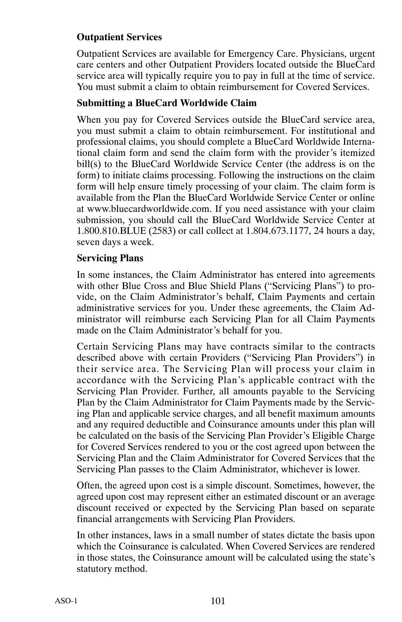## **Outpatient Services**

Outpatient Services are available for Emergency Care. Physicians, urgent care centers and other Outpatient Providers located outside the BlueCard service area will typically require you to pay in full at the time of service. You must submit a claim to obtain reimbursement for Covered Services.

### **Submitting a BlueCard Worldwide Claim**

When you pay for Covered Services outside the BlueCard service area, you must submit a claim to obtain reimbursement. For institutional and professional claims, you should complete a BlueCard Worldwide International claim form and send the claim form with the provider's itemized bill(s) to the BlueCard Worldwide Service Center (the address is on the form) to initiate claims processing. Following the instructions on the claim form will help ensure timely processing of your claim. The claim form is available from the Plan the BlueCard Worldwide Service Center or online at www.bluecardworldwide.com. If you need assistance with your claim submission, you should call the BlueCard Worldwide Service Center at 1.800.810.BLUE (2583) or call collect at 1.804.673.1177, 24 hours a day, seven days a week.

#### **Servicing Plans**

In some instances, the Claim Administrator has entered into agreements with other Blue Cross and Blue Shield Plans ("Servicing Plans") to provide, on the Claim Administrator's behalf, Claim Payments and certain administrative services for you. Under these agreements, the Claim Administrator will reimburse each Servicing Plan for all Claim Payments made on the Claim Administrator's behalf for you.

Certain Servicing Plans may have contracts similar to the contracts described above with certain Providers ("Servicing Plan Providers") in their service area. The Servicing Plan will process your claim in accordance with the Servicing Plan's applicable contract with the Servicing Plan Provider. Further, all amounts payable to the Servicing Plan by the Claim Administrator for Claim Payments made by the Servicing Plan and applicable service charges, and all benefit maximum amounts and any required deductible and Coinsurance amounts under this plan will be calculated on the basis of the Servicing Plan Provider's Eligible Charge for Covered Services rendered to you or the cost agreed upon between the Servicing Plan and the Claim Administrator for Covered Services that the Servicing Plan passes to the Claim Administrator, whichever is lower.

Often, the agreed upon cost is a simple discount. Sometimes, however, the agreed upon cost may represent either an estimated discount or an average discount received or expected by the Servicing Plan based on separate financial arrangements with Servicing Plan Providers.

In other instances, laws in a small number of states dictate the basis upon which the Coinsurance is calculated. When Covered Services are rendered in those states, the Coinsurance amount will be calculated using the state's statutory method.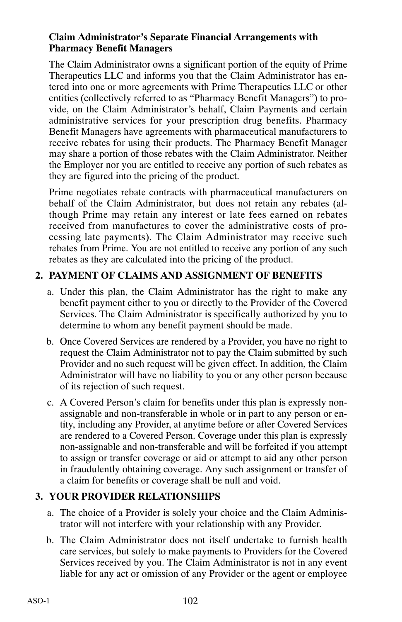#### **Claim Administrator's Separate Financial Arrangements with Pharmacy Benefit Managers**

The Claim Administrator owns a significant portion of the equity of Prime Therapeutics LLC and informs you that the Claim Administrator has entered into one or more agreements with Prime Therapeutics LLC or other entities (collectively referred to as "Pharmacy Benefit Managers") to provide, on the Claim Administrator's behalf, Claim Payments and certain administrative services for your prescription drug benefits. Pharmacy Benefit Managers have agreements with pharmaceutical manufacturers to receive rebates for using their products. The Pharmacy Benefit Manager may share a portion of those rebates with the Claim Administrator. Neither the Employer nor you are entitled to receive any portion of such rebates as they are figured into the pricing of the product.

Prime negotiates rebate contracts with pharmaceutical manufacturers on behalf of the Claim Administrator, but does not retain any rebates (although Prime may retain any interest or late fees earned on rebates received from manufactures to cover the administrative costs of processing late payments). The Claim Administrator may receive such rebates from Prime. You are not entitled to receive any portion of any such rebates as they are calculated into the pricing of the product.

### **2. PAYMENT OF CLAIMS AND ASSIGNMENT OF BENEFITS**

- a. Under this plan, the Claim Administrator has the right to make any benefit payment either to you or directly to the Provider of the Covered Services. The Claim Administrator is specifically authorized by you to determine to whom any benefit payment should be made.
- b. Once Covered Services are rendered by a Provider, you have no right to request the Claim Administrator not to pay the Claim submitted by such Provider and no such request will be given effect. In addition, the Claim Administrator will have no liability to you or any other person because of its rejection of such request.
- c. A Covered Person's claim for benefits under this plan is expressly non‐ assignable and non‐transferable in whole or in part to any person or entity, including any Provider, at anytime before or after Covered Services are rendered to a Covered Person. Coverage under this plan is expressly non‐assignable and non‐transferable and will be forfeited if you attempt to assign or transfer coverage or aid or attempt to aid any other person in fraudulently obtaining coverage. Any such assignment or transfer of a claim for benefits or coverage shall be null and void.

#### **3. YOUR PROVIDER RELATIONSHIPS**

- a. The choice of a Provider is solely your choice and the Claim Administrator will not interfere with your relationship with any Provider.
- b. The Claim Administrator does not itself undertake to furnish health care services, but solely to make payments to Providers for the Covered Services received by you. The Claim Administrator is not in any event liable for any act or omission of any Provider or the agent or employee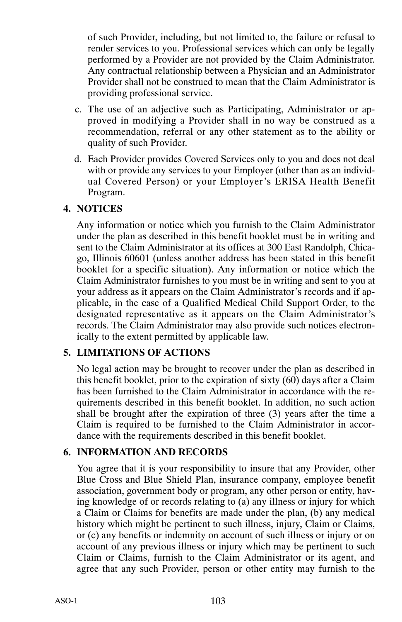of such Provider, including, but not limited to, the failure or refusal to render services to you. Professional services which can only be legally performed by a Provider are not provided by the Claim Administrator. Any contractual relationship between a Physician and an Administrator Provider shall not be construed to mean that the Claim Administrator is providing professional service.

- c. The use of an adjective such as Participating, Administrator or approved in modifying a Provider shall in no way be construed as a recommendation, referral or any other statement as to the ability or quality of such Provider.
- d. Each Provider provides Covered Services only to you and does not deal with or provide any services to your Employer (other than as an individual Covered Person) or your Employer's ERISA Health Benefit Program.

#### **4. NOTICES**

Any information or notice which you furnish to the Claim Administrator under the plan as described in this benefit booklet must be in writing and sent to the Claim Administrator at its offices at 300 East Randolph, Chicago, Illinois 60601 (unless another address has been stated in this benefit booklet for a specific situation). Any information or notice which the Claim Administrator furnishes to you must be in writing and sent to you at your address as it appears on the Claim Administrator's records and if applicable, in the case of a Qualified Medical Child Support Order, to the designated representative as it appears on the Claim Administrator's records. The Claim Administrator may also provide such notices electronically to the extent permitted by applicable law.

## **5. LIMITATIONS OF ACTIONS**

No legal action may be brought to recover under the plan as described in this benefit booklet, prior to the expiration of sixty (60) days after a Claim has been furnished to the Claim Administrator in accordance with the requirements described in this benefit booklet. In addition, no such action shall be brought after the expiration of three (3) years after the time a Claim is required to be furnished to the Claim Administrator in accordance with the requirements described in this benefit booklet.

## **6. INFORMATION AND RECORDS**

You agree that it is your responsibility to insure that any Provider, other Blue Cross and Blue Shield Plan, insurance company, employee benefit association, government body or program, any other person or entity, having knowledge of or records relating to (a) any illness or injury for which a Claim or Claims for benefits are made under the plan, (b) any medical history which might be pertinent to such illness, injury, Claim or Claims, or (c) any benefits or indemnity on account of such illness or injury or on account of any previous illness or injury which may be pertinent to such Claim or Claims, furnish to the Claim Administrator or its agent, and agree that any such Provider, person or other entity may furnish to the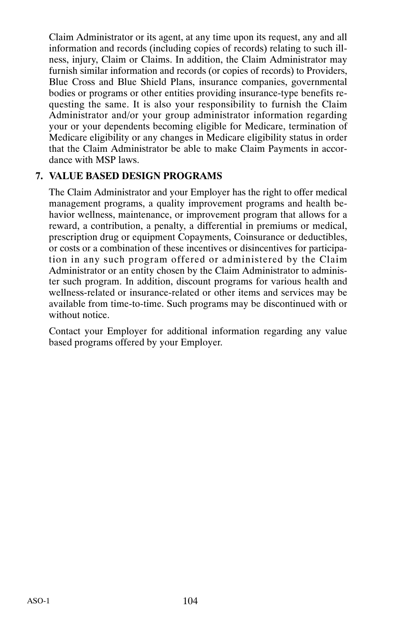Claim Administrator or its agent, at any time upon its request, any and all information and records (including copies of records) relating to such illness, injury, Claim or Claims. In addition, the Claim Administrator may furnish similar information and records (or copies of records) to Providers, Blue Cross and Blue Shield Plans, insurance companies, governmental bodies or programs or other entities providing insurance‐type benefits requesting the same. It is also your responsibility to furnish the Claim Administrator and/or your group administrator information regarding your or your dependents becoming eligible for Medicare, termination of Medicare eligibility or any changes in Medicare eligibility status in order that the Claim Administrator be able to make Claim Payments in accordance with MSP laws.

#### **7. VALUE BASED DESIGN PROGRAMS**

The Claim Administrator and your Employer has the right to offer medical management programs, a quality improvement programs and health behavior wellness, maintenance, or improvement program that allows for a reward, a contribution, a penalty, a differential in premiums or medical, prescription drug or equipment Copayments, Coinsurance or deductibles, or costs or a combination of these incentives or disincentives for participation in any such program offered or administered by the Claim Administrator or an entity chosen by the Claim Administrator to administer such program. In addition, discount programs for various health and wellness-related or insurance-related or other items and services may be available from time‐to‐time. Such programs may be discontinued with or without notice.

Contact your Employer for additional information regarding any value based programs offered by your Employer.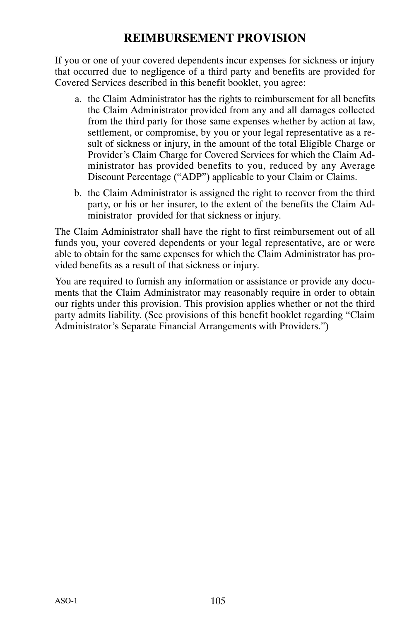## **REIMBURSEMENT PROVISION**

If you or one of your covered dependents incur expenses for sickness or injury that occurred due to negligence of a third party and benefits are provided for Covered Services described in this benefit booklet, you agree:

- a. the Claim Administrator has the rights to reimbursement for all benefits the Claim Administrator provided from any and all damages collected from the third party for those same expenses whether by action at law, settlement, or compromise, by you or your legal representative as a result of sickness or injury, in the amount of the total Eligible Charge or Provider's Claim Charge for Covered Services for which the Claim Administrator has provided benefits to you, reduced by any Average Discount Percentage ("ADP") applicable to your Claim or Claims.
- b. the Claim Administrator is assigned the right to recover from the third party, or his or her insurer, to the extent of the benefits the Claim Administrator provided for that sickness or injury.

The Claim Administrator shall have the right to first reimbursement out of all funds you, your covered dependents or your legal representative, are or were able to obtain for the same expenses for which the Claim Administrator has provided benefits as a result of that sickness or injury.

You are required to furnish any information or assistance or provide any documents that the Claim Administrator may reasonably require in order to obtain our rights under this provision. This provision applies whether or not the third party admits liability. (See provisions of this benefit booklet regarding "Claim Administrator's Separate Financial Arrangements with Providers.")